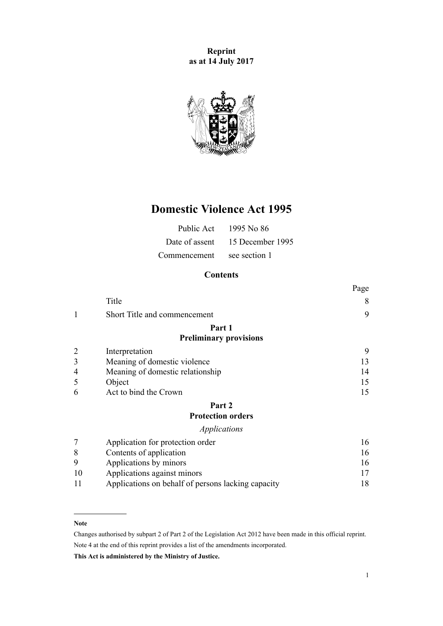**Reprint as at 14 July 2017**



# **Domestic Violence Act 1995**

| Public Act     | 1995 No 86       |
|----------------|------------------|
| Date of assent | 15 December 1995 |
| Commencement   | see section 1    |

# **Contents**

|                |                                                    | Page |
|----------------|----------------------------------------------------|------|
|                | Title                                              | 8    |
| 1              | Short Title and commencement                       | 9    |
|                | Part 1                                             |      |
|                | <b>Preliminary provisions</b>                      |      |
|                | Interpretation                                     | 9    |
| 3              | Meaning of domestic violence                       | 13   |
| 4              | Meaning of domestic relationship                   | 14   |
| 5              | Object                                             | 15   |
| 6              | Act to bind the Crown                              | 15   |
|                | Part 2                                             |      |
|                | <b>Protection orders</b>                           |      |
|                | <i>Applications</i>                                |      |
| $\overline{7}$ | Application for protection order                   | 16   |
| 8              | Contents of application                            | 16   |
| 9              | Applications by minors                             | 16   |
| 10             | Applications against minors                        | 17   |
| 11             | Applications on behalf of persons lacking capacity | 18   |

#### **Note**

Changes authorised by [subpart 2](http://prd-lgnz-nlb.prd.pco.net.nz/pdflink.aspx?id=DLM2998524) of Part 2 of the Legislation Act 2012 have been made in this official reprint. Note 4 at the end of this reprint provides a list of the amendments incorporated.

**This Act is administered by the Ministry of Justice.**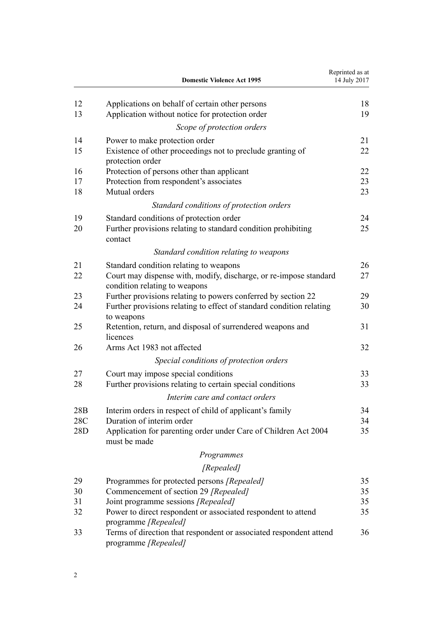|            | <b>Domestic Violence Act 1995</b>                                                                                  | Reprinted as at<br>14 July 2017 |
|------------|--------------------------------------------------------------------------------------------------------------------|---------------------------------|
| 12         | Applications on behalf of certain other persons                                                                    | 18                              |
| 13         | Application without notice for protection order                                                                    | 19                              |
|            | Scope of protection orders                                                                                         |                                 |
| 14         | Power to make protection order                                                                                     | 21                              |
| 15         | Existence of other proceedings not to preclude granting of<br>protection order                                     | 22                              |
| 16         | Protection of persons other than applicant                                                                         | 22                              |
| 17<br>18   | Protection from respondent's associates<br>Mutual orders                                                           | 23<br>23                        |
|            | Standard conditions of protection orders                                                                           |                                 |
| 19         | Standard conditions of protection order                                                                            | 24                              |
| 20         | Further provisions relating to standard condition prohibiting<br>contact                                           | 25                              |
|            | Standard condition relating to weapons                                                                             |                                 |
| 21         | Standard condition relating to weapons                                                                             | 26                              |
| 22         | Court may dispense with, modify, discharge, or re-impose standard<br>condition relating to weapons                 | 27                              |
| 23         | Further provisions relating to powers conferred by section 22                                                      | 29                              |
| 24         | Further provisions relating to effect of standard condition relating<br>to weapons                                 | 30                              |
| 25         | Retention, return, and disposal of surrendered weapons and<br>licences                                             | 31                              |
| 26         | Arms Act 1983 not affected                                                                                         | 32                              |
|            | Special conditions of protection orders                                                                            |                                 |
| 27         | Court may impose special conditions                                                                                | 33                              |
| 28         | Further provisions relating to certain special conditions                                                          | 33                              |
|            | Interim care and contact orders                                                                                    |                                 |
| 28B        | Interim orders in respect of child of applicant's family                                                           | 34                              |
| 28C<br>28D | Duration of interim order<br>Application for parenting order under Care of Children Act 2004<br>must be made       | 34<br>35                        |
|            | Programmes                                                                                                         |                                 |
|            | [Repealed]                                                                                                         |                                 |
| 29         | Programmes for protected persons [Repealed]                                                                        | 35                              |
| 30         | Commencement of section 29 [Repealed]                                                                              | 35                              |
| 31         | Joint programme sessions [Repealed]                                                                                | 35                              |
| 32         | Power to direct respondent or associated respondent to attend                                                      | 35                              |
| 33         | programme [Repealed]<br>Terms of direction that respondent or associated respondent attend<br>programme [Repealed] | 36                              |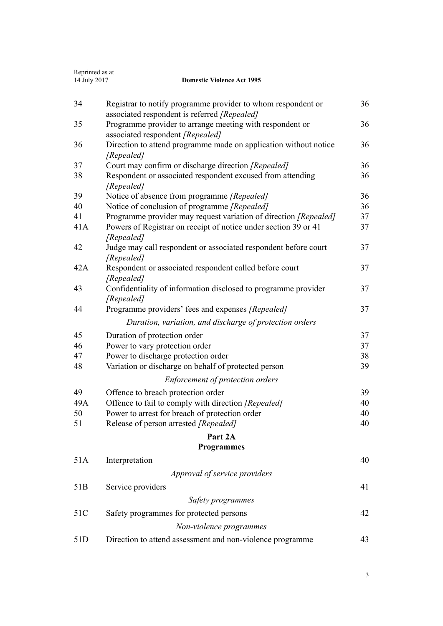| Reprinted as at<br>14 July 2017<br><b>Domestic Violence Act 1995</b> |                                                                                                              |    |
|----------------------------------------------------------------------|--------------------------------------------------------------------------------------------------------------|----|
|                                                                      |                                                                                                              |    |
| 34                                                                   | Registrar to notify programme provider to whom respondent or<br>associated respondent is referred [Repealed] | 36 |
| 35                                                                   | Programme provider to arrange meeting with respondent or                                                     | 36 |
|                                                                      | associated respondent [Repealed]                                                                             |    |
| 36                                                                   | Direction to attend programme made on application without notice                                             | 36 |
|                                                                      | [Repealed]                                                                                                   |    |
| 37                                                                   | Court may confirm or discharge direction [Repealed]                                                          | 36 |
| 38                                                                   | Respondent or associated respondent excused from attending<br>[Repealed]                                     | 36 |
| 39                                                                   | Notice of absence from programme [Repealed]                                                                  | 36 |
| 40                                                                   | Notice of conclusion of programme [Repealed]                                                                 | 36 |
| 41                                                                   | Programme provider may request variation of direction [Repealed]                                             | 37 |
| 41A                                                                  | Powers of Registrar on receipt of notice under section 39 or 41                                              | 37 |
|                                                                      | [Repealed]                                                                                                   |    |
| 42                                                                   | Judge may call respondent or associated respondent before court                                              | 37 |
| 42A                                                                  | [Repealed]                                                                                                   | 37 |
|                                                                      | Respondent or associated respondent called before court<br>[Repealed]                                        |    |
| 43                                                                   | Confidentiality of information disclosed to programme provider                                               | 37 |
|                                                                      | [Repealed]                                                                                                   |    |
| 44                                                                   | Programme providers' fees and expenses [Repealed]                                                            | 37 |
|                                                                      | Duration, variation, and discharge of protection orders                                                      |    |
| 45                                                                   | Duration of protection order                                                                                 | 37 |
| 46                                                                   | Power to vary protection order                                                                               | 37 |
| 47                                                                   | Power to discharge protection order                                                                          | 38 |
| 48                                                                   | Variation or discharge on behalf of protected person                                                         | 39 |
|                                                                      | Enforcement of protection orders                                                                             |    |
| 49                                                                   | Offence to breach protection order                                                                           | 39 |
| 49A                                                                  | Offence to fail to comply with direction [Repealed]                                                          | 40 |
| 50                                                                   | Power to arrest for breach of protection order                                                               | 40 |
| 51                                                                   | Release of person arrested [Repealed]                                                                        | 40 |
|                                                                      | Part 2A                                                                                                      |    |
|                                                                      | <b>Programmes</b>                                                                                            |    |
| 51A                                                                  | Interpretation                                                                                               | 40 |
|                                                                      | Approval of service providers                                                                                |    |
| 51 <sub>B</sub>                                                      | Service providers                                                                                            | 41 |
|                                                                      | Safety programmes                                                                                            |    |
| 51C                                                                  | Safety programmes for protected persons                                                                      | 42 |
|                                                                      | Non-violence programmes                                                                                      |    |
| 51D                                                                  | Direction to attend assessment and non-violence programme                                                    | 43 |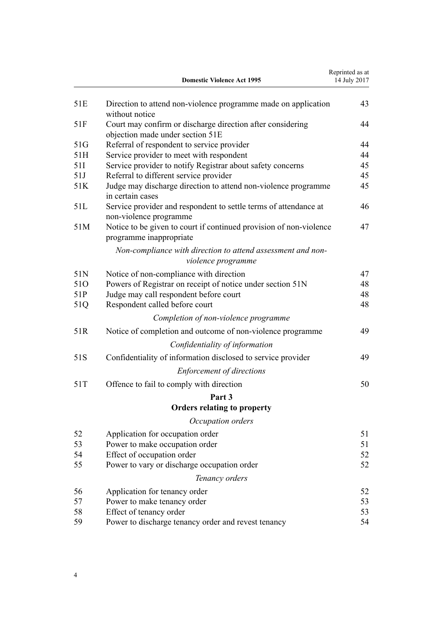|     | <b>Domestic Violence Act 1995</b>                                                              | Reprinted as at<br>14 July 2017 |
|-----|------------------------------------------------------------------------------------------------|---------------------------------|
| 51E | Direction to attend non-violence programme made on application<br>without notice               | 43                              |
| 51F | Court may confirm or discharge direction after considering<br>objection made under section 51E | 44                              |
| 51G | Referral of respondent to service provider                                                     | 44                              |
| 51H | Service provider to meet with respondent                                                       | 44                              |
| 51I | Service provider to notify Registrar about safety concerns                                     | 45                              |
| 51J | Referral to different service provider                                                         | 45                              |
| 51K | Judge may discharge direction to attend non-violence programme<br>in certain cases             | 45                              |
| 51L | Service provider and respondent to settle terms of attendance at<br>non-violence programme     | 46                              |
| 51M | Notice to be given to court if continued provision of non-violence<br>programme inappropriate  | 47                              |
|     | Non-compliance with direction to attend assessment and non-<br>violence programme              |                                 |
| 51N | Notice of non-compliance with direction                                                        | 47                              |
| 510 | Powers of Registrar on receipt of notice under section 51N                                     | 48                              |
| 51P | Judge may call respondent before court                                                         | 48                              |
| 51Q | Respondent called before court                                                                 | 48                              |
|     | Completion of non-violence programme                                                           |                                 |
| 51R | Notice of completion and outcome of non-violence programme                                     | 49                              |
|     | Confidentiality of information                                                                 |                                 |
| 51S | Confidentiality of information disclosed to service provider                                   | 49                              |
|     | <b>Enforcement of directions</b>                                                               |                                 |
| 51T | Offence to fail to comply with direction                                                       | 50                              |
|     | Part 3                                                                                         |                                 |
|     | <b>Orders relating to property</b>                                                             |                                 |
|     | Occupation orders                                                                              |                                 |
| 52  | Application for occupation order                                                               | 51                              |
| 53  | Power to make occupation order                                                                 | 51                              |
| 54  | Effect of occupation order                                                                     | 52                              |
| 55  | Power to vary or discharge occupation order                                                    | 52                              |
|     | Tenancy orders                                                                                 |                                 |
| 56  | Application for tenancy order                                                                  | 52                              |
| 57  | Power to make tenancy order                                                                    | 53                              |
| 58  | Effect of tenancy order                                                                        | 53                              |
| 59  | Power to discharge tenancy order and revest tenancy                                            | 54                              |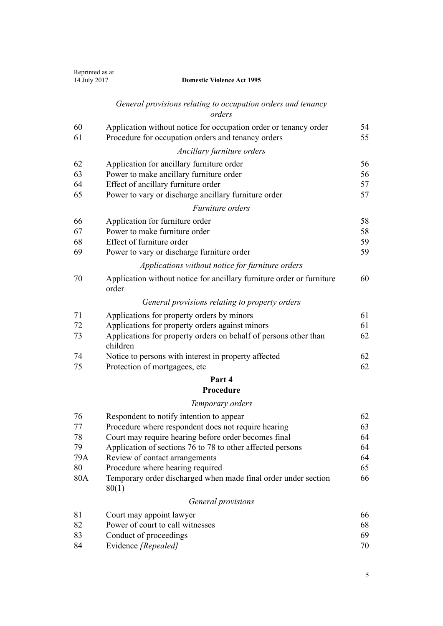| Reprinted as at<br>14 July 2017 | <b>Domestic Violence Act 1995</b>                                                                                      |          |
|---------------------------------|------------------------------------------------------------------------------------------------------------------------|----------|
|                                 | General provisions relating to occupation orders and tenancy<br>orders                                                 |          |
| 60<br>61                        | Application without notice for occupation order or tenancy order<br>Procedure for occupation orders and tenancy orders | 54<br>55 |
|                                 | Ancillary furniture orders                                                                                             |          |
| 62                              | Application for ancillary furniture order                                                                              | 56       |
| 63                              | Power to make ancillary furniture order                                                                                | 56       |
| 64                              | Effect of ancillary furniture order                                                                                    | 57       |
| 65                              | Power to vary or discharge ancillary furniture order                                                                   | 57       |
|                                 | Furniture orders                                                                                                       |          |
| 66                              | Application for furniture order                                                                                        | 58       |
| 67                              | Power to make furniture order                                                                                          | 58       |
| 68                              | Effect of furniture order                                                                                              | 59       |
| 69                              | Power to vary or discharge furniture order                                                                             | 59       |
|                                 | Applications without notice for furniture orders                                                                       |          |
| 70                              | Application without notice for ancillary furniture order or furniture<br>order                                         | 60       |
|                                 | General provisions relating to property orders                                                                         |          |
| 71                              | Applications for property orders by minors                                                                             | 61       |
| 72                              | Applications for property orders against minors                                                                        | 61       |
| 73                              | Applications for property orders on behalf of persons other than<br>children                                           | 62       |
| 74                              | Notice to persons with interest in property affected                                                                   | 62       |
| 75                              | Protection of mortgagees, etc                                                                                          | 62       |
|                                 | Part 4                                                                                                                 |          |
|                                 | Procedure                                                                                                              |          |
|                                 | Temporary orders                                                                                                       |          |
| 76                              | Respondent to notify intention to appear                                                                               | 62       |
| 77                              | Procedure where respondent does not require hearing                                                                    | 63       |
| 78                              | Court may require hearing before order becomes final                                                                   | 64       |
| 79                              | Application of sections 76 to 78 to other affected persons                                                             | 64       |
| 79A                             | Review of contact arrangements                                                                                         | 64       |
| 80                              | Procedure where hearing required                                                                                       | 65       |
| 80A                             | Temporary order discharged when made final order under section<br>80(1)                                                | 66       |
|                                 | General provisions                                                                                                     |          |
| 81                              | Court may appoint lawyer                                                                                               | 66       |
| 82                              | Power of court to call witnesses                                                                                       | 68       |
| 83                              | Conduct of proceedings                                                                                                 | 69       |
| 84                              | Evidence [Repealed]                                                                                                    | 70       |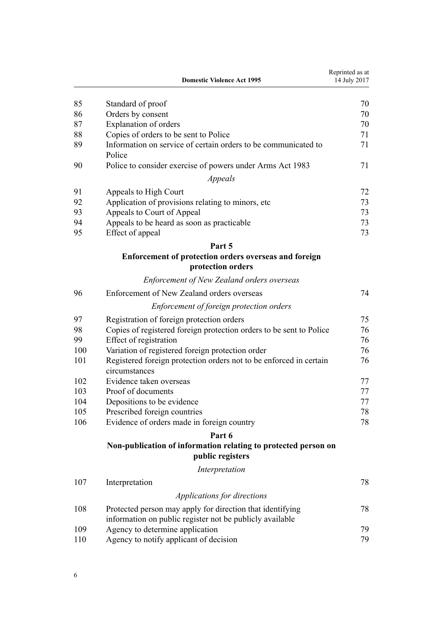|     | <b>Domestic Violence Act 1995</b>                                                   | Reprinted as at<br>14 July 2017 |
|-----|-------------------------------------------------------------------------------------|---------------------------------|
|     |                                                                                     |                                 |
| 85  | Standard of proof                                                                   | 70                              |
| 86  | Orders by consent                                                                   | 70                              |
| 87  | Explanation of orders                                                               | 70                              |
| 88  | Copies of orders to be sent to Police                                               | 71                              |
| 89  | Information on service of certain orders to be communicated to<br>Police            | 71                              |
| 90  | Police to consider exercise of powers under Arms Act 1983                           | 71                              |
|     | Appeals                                                                             |                                 |
| 91  | Appeals to High Court                                                               | 72                              |
| 92  | Application of provisions relating to minors, etc.                                  | 73                              |
| 93  | Appeals to Court of Appeal                                                          | 73                              |
| 94  | Appeals to be heard as soon as practicable                                          | 73                              |
| 95  | Effect of appeal                                                                    | 73                              |
|     | Part 5                                                                              |                                 |
|     | Enforcement of protection orders overseas and foreign<br>protection orders          |                                 |
|     | <b>Enforcement of New Zealand orders overseas</b>                                   |                                 |
| 96  | Enforcement of New Zealand orders overseas                                          | 74                              |
|     | Enforcement of foreign protection orders                                            |                                 |
| 97  | Registration of foreign protection orders                                           | 75                              |
| 98  | Copies of registered foreign protection orders to be sent to Police                 | 76                              |
| 99  | Effect of registration                                                              | 76                              |
| 100 | Variation of registered foreign protection order                                    | 76                              |
| 101 | Registered foreign protection orders not to be enforced in certain<br>circumstances | 76                              |
| 102 | Evidence taken overseas                                                             | 77                              |
| 103 | Proof of documents                                                                  | 77                              |
| 104 | Depositions to be evidence                                                          | 77                              |
| 105 | Prescribed foreign countries                                                        | 78                              |
| 106 | Evidence of orders made in foreign country                                          | 78                              |
|     | Part 6                                                                              |                                 |
|     | Non-publication of information relating to protected person on<br>public registers  |                                 |
|     | Interpretation                                                                      |                                 |
| 107 | Interpretation                                                                      | 78                              |
|     | Applications for directions                                                         |                                 |
| 108 | Protected person may apply for direction that identifying                           | 78                              |
|     | information on public register not be publicly available                            |                                 |
| 109 | Agency to determine application                                                     | 79                              |
| 110 | Agency to notify applicant of decision                                              | 79                              |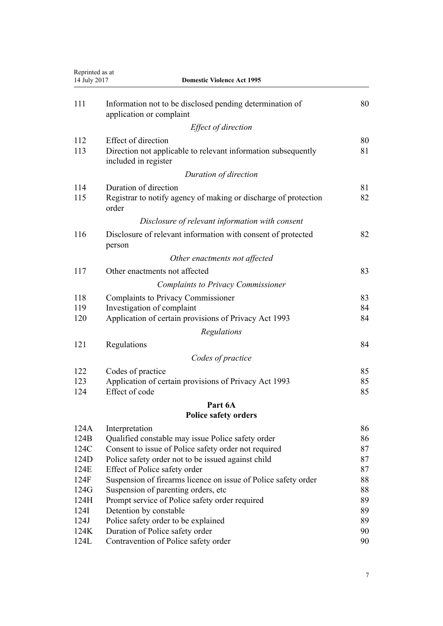| Reprinted as at<br>14 July 2017<br><b>Domestic Violence Act 1995</b> |                                                                                       |          |
|----------------------------------------------------------------------|---------------------------------------------------------------------------------------|----------|
| 111                                                                  | Information not to be disclosed pending determination of<br>application or complaint  | 80       |
|                                                                      | Effect of direction                                                                   |          |
| 112                                                                  | <b>Effect of direction</b>                                                            | 80       |
| 113                                                                  | Direction not applicable to relevant information subsequently<br>included in register | 81       |
|                                                                      | Duration of direction                                                                 |          |
| 114                                                                  | Duration of direction                                                                 | 81       |
| 115                                                                  | Registrar to notify agency of making or discharge of protection<br>order              | 82       |
|                                                                      | Disclosure of relevant information with consent                                       |          |
| 116                                                                  | Disclosure of relevant information with consent of protected<br>person                | 82       |
|                                                                      | Other enactments not affected                                                         |          |
| 117                                                                  | Other enactments not affected                                                         | 83       |
|                                                                      | <b>Complaints to Privacy Commissioner</b>                                             |          |
| 118                                                                  | <b>Complaints to Privacy Commissioner</b>                                             | 83       |
| 119                                                                  | Investigation of complaint                                                            | 84       |
| 120                                                                  | Application of certain provisions of Privacy Act 1993                                 | 84       |
|                                                                      | Regulations                                                                           |          |
| 121                                                                  | Regulations                                                                           | 84       |
|                                                                      | Codes of practice                                                                     |          |
| 122                                                                  | Codes of practice                                                                     | 85       |
| 123                                                                  | Application of certain provisions of Privacy Act 1993                                 | 85       |
| 124                                                                  | Effect of code                                                                        | 85       |
|                                                                      | Part 6A                                                                               |          |
|                                                                      | <b>Police safety orders</b>                                                           |          |
| 124A                                                                 | Interpretation                                                                        | 86       |
| 124B                                                                 | Qualified constable may issue Police safety order                                     | 86       |
| 124C                                                                 | Consent to issue of Police safety order not required                                  | 87       |
| 124D<br>124E                                                         | Police safety order not to be issued against child<br>Effect of Police safety order   | 87<br>87 |
| 124F                                                                 | Suspension of firearms licence on issue of Police safety order                        | 88       |
| 124G                                                                 | Suspension of parenting orders, etc.                                                  | 88       |
| 124H                                                                 | Prompt service of Police safety order required                                        | 89       |
| 124I                                                                 | Detention by constable                                                                | 89       |
| 124J                                                                 | Police safety order to be explained                                                   | 89       |
| 124K                                                                 | Duration of Police safety order                                                       | 90       |
| 124L                                                                 | Contravention of Police safety order                                                  | 90       |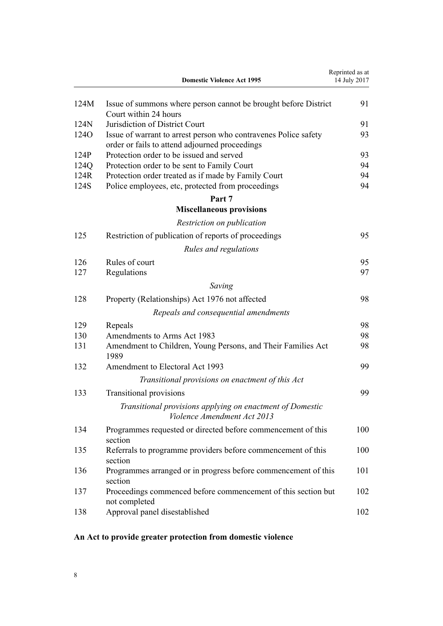<span id="page-7-0"></span>

|                  | <b>Domestic Violence Act 1995</b>                                                                                 | Reprinted as at<br>14 July 2017 |
|------------------|-------------------------------------------------------------------------------------------------------------------|---------------------------------|
| 124M             | Issue of summons where person cannot be brought before District<br>Court within 24 hours                          | 91                              |
| 124N             | Jurisdiction of District Court                                                                                    | 91                              |
| 124 <sub>O</sub> | Issue of warrant to arrest person who contravenes Police safety<br>order or fails to attend adjourned proceedings | 93                              |
| 124P             | Protection order to be issued and served                                                                          | 93                              |
| 124Q             | Protection order to be sent to Family Court                                                                       | 94                              |
| 124R             | Protection order treated as if made by Family Court                                                               | 94                              |
| 124S             | Police employees, etc, protected from proceedings                                                                 | 94                              |
|                  | Part 7                                                                                                            |                                 |
|                  | <b>Miscellaneous provisions</b>                                                                                   |                                 |
|                  | Restriction on publication                                                                                        |                                 |
| 125              | Restriction of publication of reports of proceedings                                                              | 95                              |
|                  | Rules and regulations                                                                                             |                                 |
| 126              | Rules of court                                                                                                    | 95                              |
| 127              | Regulations                                                                                                       | 97                              |
|                  | Saving                                                                                                            |                                 |
| 128              | Property (Relationships) Act 1976 not affected                                                                    | 98                              |
|                  | Repeals and consequential amendments                                                                              |                                 |
| 129              | Repeals                                                                                                           | 98                              |
| 130              | Amendments to Arms Act 1983                                                                                       | 98                              |
| 131              | Amendment to Children, Young Persons, and Their Families Act<br>1989                                              | 98                              |
| 132              | Amendment to Electoral Act 1993                                                                                   | 99                              |
|                  | Transitional provisions on enactment of this Act                                                                  |                                 |
| 133              | <b>Transitional provisions</b>                                                                                    | 99                              |
|                  | Transitional provisions applying on enactment of Domestic<br>Violence Amendment Act 2013                          |                                 |
| 134              | Programmes requested or directed before commencement of this<br>section                                           | 100                             |
| 135              | Referrals to programme providers before commencement of this<br>section                                           | 100                             |
| 136              | Programmes arranged or in progress before commencement of this<br>section                                         | 101                             |
| 137              | Proceedings commenced before commencement of this section but<br>not completed                                    | 102                             |
| 138              | Approval panel disestablished                                                                                     | 102                             |

# **An Act to provide greater protection from domestic violence**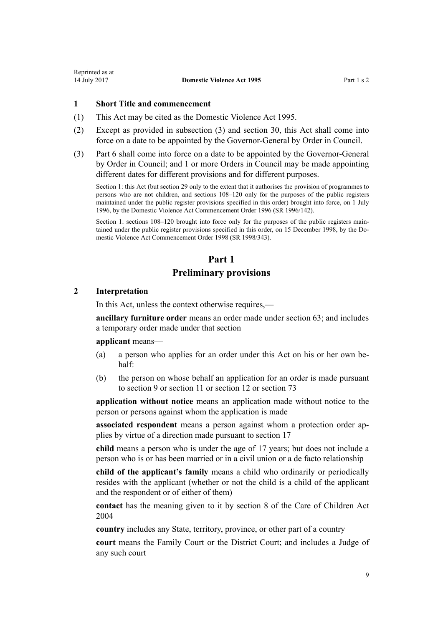## <span id="page-8-0"></span>**1 Short Title and commencement**

- (1) This Act may be cited as the Domestic Violence Act 1995.
- (2) Except as provided in subsection (3) and [section 30](#page-34-0), this Act shall come into force on a date to be appointed by the Governor-General by Order in Council.
- (3) [Part 6](#page-77-0) shall come into force on a date to be appointed by the Governor-General by Order in Council; and 1 or more Orders in Council may be made appointing different dates for different provisions and for different purposes.

Section 1: this Act (but section 29 only to the extent that it authorises the provision of programmes to persons who are not children, and sections 108–120 only for the purposes of the public registers maintained under the public register provisions specified in this order) brought into force, on 1 July 1996, by the [Domestic Violence Act Commencement Order 1996](http://prd-lgnz-nlb.prd.pco.net.nz/pdflink.aspx?id=DLM212125) (SR 1996/142).

Section 1: sections 108–120 brought into force only for the purposes of the public registers maintained under the public register provisions specified in this order, on 15 December 1998, by the [Do](http://prd-lgnz-nlb.prd.pco.net.nz/pdflink.aspx?id=DLM264465)[mestic Violence Act Commencement Order 1998](http://prd-lgnz-nlb.prd.pco.net.nz/pdflink.aspx?id=DLM264465) (SR 1998/343).

# **Part 1**

# **Preliminary provisions**

# **2 Interpretation**

In this Act, unless the context otherwise requires,—

**ancillary furniture order** means an order made under [section 63;](#page-55-0) and includes a temporary order made under that section

#### **applicant** means—

- (a) a person who applies for an order under this Act on his or her own behalf:
- (b) the person on whose behalf an application for an order is made pursuant to [section 9](#page-15-0) or [section 11](#page-17-0) or [section 12](#page-17-0) or [section 73](#page-61-0)

**application without notice** means an application made without notice to the person or persons against whom the application is made

**associated respondent** means a person against whom a protection order applies by virtue of a direction made pursuant to [section 17](#page-22-0)

**child** means a person who is under the age of 17 years; but does not include a person who is or has been married or in a civil union or a de facto relationship

**child of the applicant's family** means a child who ordinarily or periodically resides with the applicant (whether or not the child is a child of the applicant and the respondent or of either of them)

**contact** has the meaning given to it by [section 8](http://prd-lgnz-nlb.prd.pco.net.nz/pdflink.aspx?id=DLM317244) of the Care of Children Act 2004

**country** includes any State, territory, province, or other part of a country

**court** means the Family Court or the District Court; and includes a Judge of any such court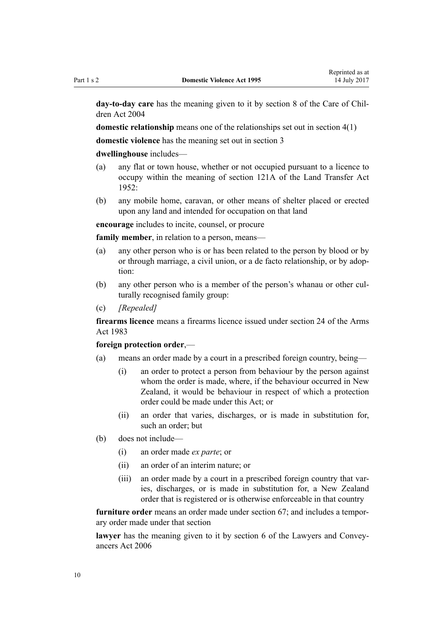**day-to-day care** has the meaning given to it by [section 8](http://prd-lgnz-nlb.prd.pco.net.nz/pdflink.aspx?id=DLM317244) of the Care of Children Act 2004

**domestic relationship** means one of the relationships set out in [section 4\(1\)](#page-13-0)

**domestic violence** has the meaning set out in [section 3](#page-12-0)

#### **dwellinghouse** includes—

- (a) any flat or town house, whether or not occupied pursuant to a licence to occupy within the meaning of [section 121A](http://prd-lgnz-nlb.prd.pco.net.nz/pdflink.aspx?id=DLM271049) of the Land Transfer Act  $1952$
- (b) any mobile home, caravan, or other means of shelter placed or erected upon any land and intended for occupation on that land

**encourage** includes to incite, counsel, or procure

**family member**, in relation to a person, means—

- (a) any other person who is or has been related to the person by blood or by or through marriage, a civil union, or a de facto relationship, or by adoption:
- (b) any other person who is a member of the person's whanau or other culturally recognised family group:
- (c) *[Repealed]*

**firearms licence** means a firearms licence issued under [section 24](http://prd-lgnz-nlb.prd.pco.net.nz/pdflink.aspx?id=DLM72923) of the Arms Act 1983

#### **foreign protection order**,—

- (a) means an order made by a court in a prescribed foreign country, being—
	- (i) an order to protect a person from behaviour by the person against whom the order is made, where, if the behaviour occurred in New Zealand, it would be behaviour in respect of which a protection order could be made under this Act; or
	- (ii) an order that varies, discharges, or is made in substitution for, such an order; but
- (b) does not include—
	- (i) an order made *ex parte*; or
	- (ii) an order of an interim nature; or
	- (iii) an order made by a court in a prescribed foreign country that varies, discharges, or is made in substitution for, a New Zealand order that is registered or is otherwise enforceable in that country

**furniture order** means an order made under [section 67;](#page-57-0) and includes a temporary order made under that section

**lawyer** has the meaning given to it by [section 6](http://prd-lgnz-nlb.prd.pco.net.nz/pdflink.aspx?id=DLM364948) of the Lawyers and Conveyancers Act 2006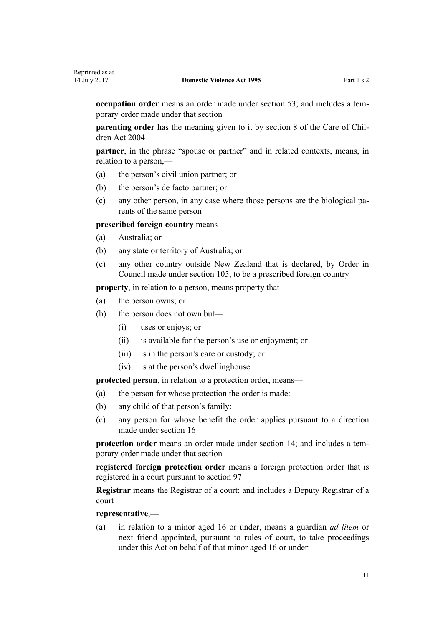**occupation order** means an order made under [section 53;](#page-50-0) and includes a temporary order made under that section

**parenting order** has the meaning given to it by [section 8](http://prd-lgnz-nlb.prd.pco.net.nz/pdflink.aspx?id=DLM317244) of the Care of Children Act 2004

**partner**, in the phrase "spouse or partner" and in related contexts, means, in relation to a person,—

- (a) the person's civil union partner; or
- (b) the person's de facto partner; or
- (c) any other person, in any case where those persons are the biological parents of the same person

**prescribed foreign country** means—

- (a) Australia; or
- (b) any state or territory of Australia; or
- (c) any other country outside New Zealand that is declared, by Order in Council made under [section 105](#page-77-0), to be a prescribed foreign country

**property**, in relation to a person, means property that—

- (a) the person owns; or
- (b) the person does not own but—
	- (i) uses or enjoys; or
	- (ii) is available for the person's use or enjoyment; or
	- (iii) is in the person's care or custody; or
	- (iv) is at the person's dwellinghouse

**protected person**, in relation to a protection order, means—

- (a) the person for whose protection the order is made:
- (b) any child of that person's family:
- (c) any person for whose benefit the order applies pursuant to a direction made under [section 16](#page-21-0)

**protection order** means an order made under [section 14;](#page-20-0) and includes a temporary order made under that section

**registered foreign protection order** means a foreign protection order that is registered in a court pursuant to [section 97](#page-74-0)

**Registrar** means the Registrar of a court; and includes a Deputy Registrar of a court

#### **representative**,—

(a) in relation to a minor aged 16 or under, means a guardian *ad litem* or next friend appointed, pursuant to rules of court, to take proceedings under this Act on behalf of that minor aged 16 or under: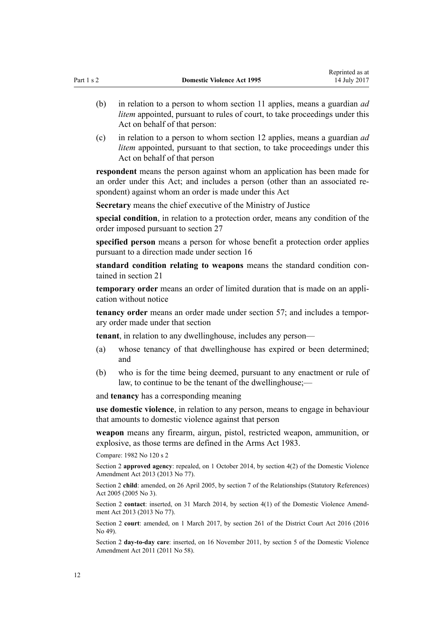Reprinted as at

- (b) in relation to a person to whom [section 11](#page-17-0) applies, means a guardian *ad litem* appointed, pursuant to rules of court, to take proceedings under this Act on behalf of that person:
- (c) in relation to a person to whom [section 12](#page-17-0) applies, means a guardian *ad litem* appointed, pursuant to that section, to take proceedings under this Act on behalf of that person

**respondent** means the person against whom an application has been made for an order under this Act; and includes a person (other than an associated respondent) against whom an order is made under this Act

**Secretary** means the chief executive of the Ministry of Justice

**special condition**, in relation to a protection order, means any condition of the order imposed pursuant to [section 27](#page-32-0)

**specified person** means a person for whose benefit a protection order applies pursuant to a direction made under [section 16](#page-21-0)

**standard condition relating to weapons** means the standard condition contained in [section 21](#page-25-0)

**temporary order** means an order of limited duration that is made on an application without notice

**tenancy order** means an order made under [section 57;](#page-52-0) and includes a temporary order made under that section

**tenant**, in relation to any dwellinghouse, includes any person—

- (a) whose tenancy of that dwellinghouse has expired or been determined; and
- (b) who is for the time being deemed, pursuant to any enactment or rule of law, to continue to be the tenant of the dwellinghouse;—

and **tenancy** has a corresponding meaning

**use domestic violence**, in relation to any person, means to engage in behaviour that amounts to domestic violence against that person

**weapon** means any firearm, airgun, pistol, restricted weapon, ammunition, or explosive, as those terms are defined in the [Arms Act 1983.](http://prd-lgnz-nlb.prd.pco.net.nz/pdflink.aspx?id=DLM72621)

Compare: 1982 No 120 [s 2](http://prd-lgnz-nlb.prd.pco.net.nz/pdflink.aspx?id=DLM81596)

Section 2 **approved agency**: repealed, on 1 October 2014, by [section 4\(2\)](http://prd-lgnz-nlb.prd.pco.net.nz/pdflink.aspx?id=DLM5615642) of the Domestic Violence Amendment Act 2013 (2013 No 77).

Section 2 **child**: amended, on 26 April 2005, by [section 7](http://prd-lgnz-nlb.prd.pco.net.nz/pdflink.aspx?id=DLM333795) of the Relationships (Statutory References) Act 2005 (2005 No 3).

Section 2 **contact**: inserted, on 31 March 2014, by [section 4\(1\)](http://prd-lgnz-nlb.prd.pco.net.nz/pdflink.aspx?id=DLM5615642) of the Domestic Violence Amendment Act 2013 (2013 No 77).

Section 2 **court**: amended, on 1 March 2017, by [section 261](http://prd-lgnz-nlb.prd.pco.net.nz/pdflink.aspx?id=DLM6942680) of the District Court Act 2016 (2016 No 49).

Section 2 **day-to-day care**: inserted, on 16 November 2011, by [section 5](http://prd-lgnz-nlb.prd.pco.net.nz/pdflink.aspx?id=DLM1955505) of the Domestic Violence Amendment Act 2011 (2011 No 58).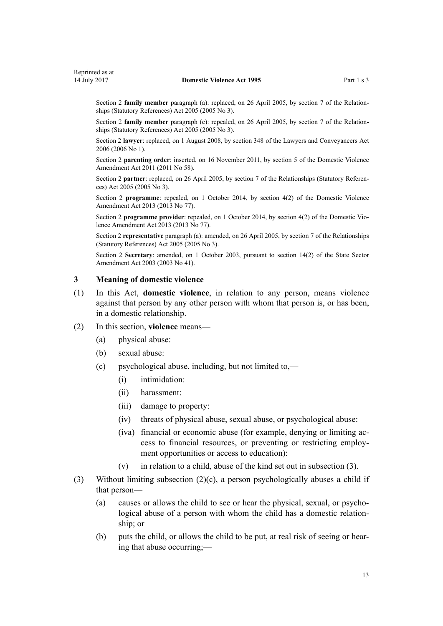<span id="page-12-0"></span>Section 2 **family member** paragraph (a): replaced, on 26 April 2005, by [section 7](http://prd-lgnz-nlb.prd.pco.net.nz/pdflink.aspx?id=DLM333795) of the Relationships (Statutory References) Act 2005 (2005 No 3).

Section 2 **family member** paragraph (c): repealed, on 26 April 2005, by [section 7](http://prd-lgnz-nlb.prd.pco.net.nz/pdflink.aspx?id=DLM333795) of the Relationships (Statutory References) Act 2005 (2005 No 3).

Section 2 **lawyer**: replaced, on 1 August 2008, by [section 348](http://prd-lgnz-nlb.prd.pco.net.nz/pdflink.aspx?id=DLM367849) of the Lawyers and Conveyancers Act 2006 (2006 No 1).

Section 2 **parenting order**: inserted, on 16 November 2011, by [section 5](http://prd-lgnz-nlb.prd.pco.net.nz/pdflink.aspx?id=DLM1955505) of the Domestic Violence Amendment Act 2011 (2011 No 58).

Section 2 **partner**: replaced, on 26 April 2005, by [section 7](http://prd-lgnz-nlb.prd.pco.net.nz/pdflink.aspx?id=DLM333795) of the Relationships (Statutory References) Act 2005 (2005 No 3).

Section 2 **programme**: repealed, on 1 October 2014, by [section 4\(2\)](http://prd-lgnz-nlb.prd.pco.net.nz/pdflink.aspx?id=DLM5615642) of the Domestic Violence Amendment Act 2013 (2013 No 77).

Section 2 **programme provider**: repealed, on 1 October 2014, by [section 4\(2\)](http://prd-lgnz-nlb.prd.pco.net.nz/pdflink.aspx?id=DLM5615642) of the Domestic Violence Amendment Act 2013 (2013 No 77).

Section 2 **representative** paragraph (a): amended, on 26 April 2005, by [section 7](http://prd-lgnz-nlb.prd.pco.net.nz/pdflink.aspx?id=DLM333795) of the Relationships (Statutory References) Act 2005 (2005 No 3).

Section 2 **Secretary**: amended, on 1 October 2003, pursuant to [section 14\(2\)](http://prd-lgnz-nlb.prd.pco.net.nz/pdflink.aspx?id=DLM201378) of the State Sector Amendment Act 2003 (2003 No 41).

# **3 Meaning of domestic violence**

(1) In this Act, **domestic violence**, in relation to any person, means violence against that person by any other person with whom that person is, or has been, in a domestic relationship.

#### (2) In this section, **violence** means—

- (a) physical abuse:
- (b) sexual abuse:
- (c) psychological abuse, including, but not limited to,—
	- (i) intimidation:
	- (ii) harassment:
	- (iii) damage to property:
	- (iv) threats of physical abuse, sexual abuse, or psychological abuse:
	- (iva) financial or economic abuse (for example, denying or limiting access to financial resources, or preventing or restricting employment opportunities or access to education):
	- (v) in relation to a child, abuse of the kind set out in subsection (3).
- (3) Without limiting subsection (2)(c), a person psychologically abuses a child if that person—
	- (a) causes or allows the child to see or hear the physical, sexual, or psychological abuse of a person with whom the child has a domestic relationship; or
	- (b) puts the child, or allows the child to be put, at real risk of seeing or hearing that abuse occurring;—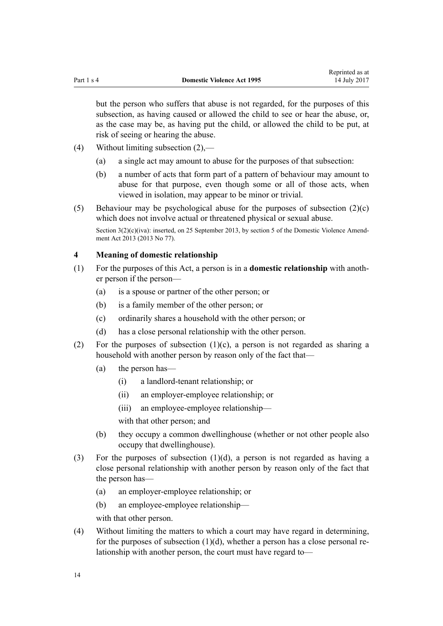<span id="page-13-0"></span>but the person who suffers that abuse is not regarded, for the purposes of this subsection, as having caused or allowed the child to see or hear the abuse, or, as the case may be, as having put the child, or allowed the child to be put, at risk of seeing or hearing the abuse.

- (4) Without limiting subsection (2),—
	- (a) a single act may amount to abuse for the purposes of that subsection:
	- (b) a number of acts that form part of a pattern of behaviour may amount to abuse for that purpose, even though some or all of those acts, when viewed in isolation, may appear to be minor or trivial.
- (5) Behaviour may be psychological abuse for the purposes of subsection  $(2)(c)$ which does not involve actual or threatened physical or sexual abuse. Section  $3(2)(c)(iva)$ : inserted, on 25 September 2013, by [section 5](http://prd-lgnz-nlb.prd.pco.net.nz/pdflink.aspx?id=DLM5615651) of the Domestic Violence Amendment Act 2013 (2013 No 77).

# **4 Meaning of domestic relationship**

- (1) For the purposes of this Act, a person is in a **domestic relationship** with another person if the person—
	- (a) is a spouse or partner of the other person; or
	- (b) is a family member of the other person; or
	- (c) ordinarily shares a household with the other person; or
	- (d) has a close personal relationship with the other person.
- (2) For the purposes of subsection  $(1)(c)$ , a person is not regarded as sharing a household with another person by reason only of the fact that—
	- (a) the person has—
		- (i) a landlord-tenant relationship; or
		- (ii) an employer-employee relationship; or
		- (iii) an employee-employee relationship—

with that other person; and

- (b) they occupy a common dwellinghouse (whether or not other people also occupy that dwellinghouse).
- (3) For the purposes of subsection (1)(d), a person is not regarded as having a close personal relationship with another person by reason only of the fact that the person has—
	- (a) an employer-employee relationship; or
	- (b) an employee-employee relationship—

with that other person.

(4) Without limiting the matters to which a court may have regard in determining, for the purposes of subsection  $(1)(d)$ , whether a person has a close personal relationship with another person, the court must have regard to—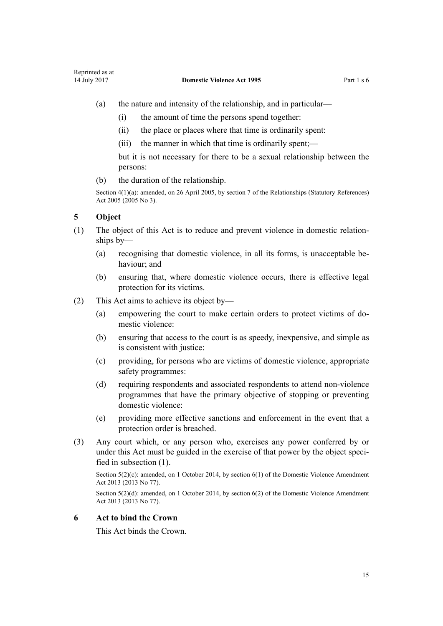- <span id="page-14-0"></span>(a) the nature and intensity of the relationship, and in particular—
	- (i) the amount of time the persons spend together:
	- (ii) the place or places where that time is ordinarily spent:
	- (iii) the manner in which that time is ordinarily spent;—

but it is not necessary for there to be a sexual relationship between the persons:

(b) the duration of the relationship.

Section 4(1)(a): amended, on 26 April 2005, by [section 7](http://prd-lgnz-nlb.prd.pco.net.nz/pdflink.aspx?id=DLM333795) of the Relationships (Statutory References) Act 2005 (2005 No 3).

# **5 Object**

- (1) The object of this Act is to reduce and prevent violence in domestic relationships by—
	- (a) recognising that domestic violence, in all its forms, is unacceptable behaviour; and
	- (b) ensuring that, where domestic violence occurs, there is effective legal protection for its victims.
- (2) This Act aims to achieve its object by—
	- (a) empowering the court to make certain orders to protect victims of domestic violence:
	- (b) ensuring that access to the court is as speedy, inexpensive, and simple as is consistent with justice:
	- (c) providing, for persons who are victims of domestic violence, appropriate safety programmes:
	- (d) requiring respondents and associated respondents to attend non-violence programmes that have the primary objective of stopping or preventing domestic violence:
	- (e) providing more effective sanctions and enforcement in the event that a protection order is breached.
- (3) Any court which, or any person who, exercises any power conferred by or under this Act must be guided in the exercise of that power by the object specified in subsection (1).

Section 5(2)(c): amended, on 1 October 2014, by [section 6\(1\)](http://prd-lgnz-nlb.prd.pco.net.nz/pdflink.aspx?id=DLM5615652) of the Domestic Violence Amendment Act 2013 (2013 No 77).

Section 5(2)(d): amended, on 1 October 2014, by [section 6\(2\)](http://prd-lgnz-nlb.prd.pco.net.nz/pdflink.aspx?id=DLM5615652) of the Domestic Violence Amendment Act 2013 (2013 No 77).

# **6 Act to bind the Crown**

This Act binds the Crown.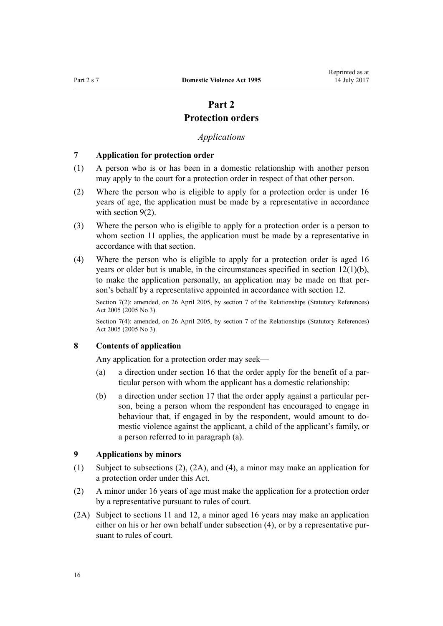# **Part 2 Protection orders**

# *Applications*

#### <span id="page-15-0"></span>**7 Application for protection order**

- (1) A person who is or has been in a domestic relationship with another person may apply to the court for a protection order in respect of that other person.
- (2) Where the person who is eligible to apply for a protection order is under 16 years of age, the application must be made by a representative in accordance with section  $9(2)$ .
- (3) Where the person who is eligible to apply for a protection order is a person to whom [section 11](#page-17-0) applies, the application must be made by a representative in accordance with that section.
- (4) Where the person who is eligible to apply for a protection order is aged 16 years or older but is unable, in the circumstances specified in [section 12\(1\)\(b\)](#page-17-0), to make the application personally, an application may be made on that person's behalf by a representative appointed in accordance with section 12.

Section 7(2): amended, on 26 April 2005, by [section 7](http://prd-lgnz-nlb.prd.pco.net.nz/pdflink.aspx?id=DLM333795) of the Relationships (Statutory References) Act 2005 (2005 No 3).

Section 7(4): amended, on 26 April 2005, by [section 7](http://prd-lgnz-nlb.prd.pco.net.nz/pdflink.aspx?id=DLM333795) of the Relationships (Statutory References) Act 2005 (2005 No 3).

# **8 Contents of application**

Any application for a protection order may seek—

- (a) a direction under [section 16](#page-21-0) that the order apply for the benefit of a particular person with whom the applicant has a domestic relationship:
- (b) a direction under [section 17](#page-22-0) that the order apply against a particular person, being a person whom the respondent has encouraged to engage in behaviour that, if engaged in by the respondent, would amount to domestic violence against the applicant, a child of the applicant's family, or a person referred to in paragraph (a).

# **9 Applications by minors**

- (1) Subject to subsections (2), (2A), and (4), a minor may make an application for a protection order under this Act.
- (2) A minor under 16 years of age must make the application for a protection order by a representative pursuant to rules of court.
- (2A) Subject to [sections 11](#page-17-0) and [12,](#page-17-0) a minor aged 16 years may make an application either on his or her own behalf under subsection (4), or by a representative pursuant to rules of court.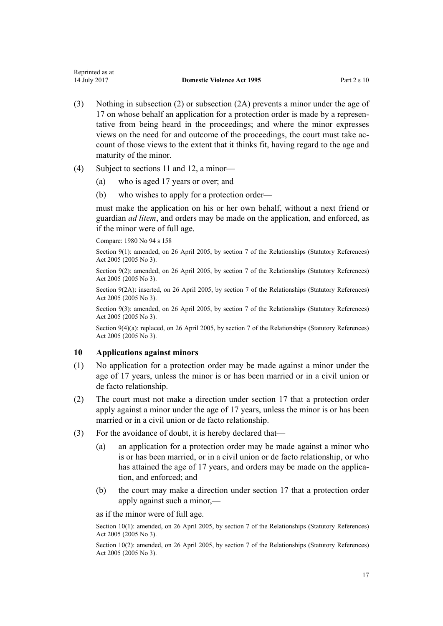- <span id="page-16-0"></span>(3) Nothing in subsection (2) or subsection (2A) prevents a minor under the age of 17 on whose behalf an application for a protection order is made by a representative from being heard in the proceedings; and where the minor expresses views on the need for and outcome of the proceedings, the court must take account of those views to the extent that it thinks fit, having regard to the age and maturity of the minor.
- (4) Subject to [sections 11](#page-17-0) and [12](#page-17-0), a minor—
	- (a) who is aged 17 years or over; and
	- (b) who wishes to apply for a protection order—

must make the application on his or her own behalf, without a next friend or guardian *ad litem*, and orders may be made on the application, and enforced, as if the minor were of full age.

Compare: 1980 No 94 [s 158](http://prd-lgnz-nlb.prd.pco.net.nz/pdflink.aspx?id=DLM41829)

Section 9(1): amended, on 26 April 2005, by [section 7](http://prd-lgnz-nlb.prd.pco.net.nz/pdflink.aspx?id=DLM333795) of the Relationships (Statutory References) Act 2005 (2005 No 3).

Section 9(2): amended, on 26 April 2005, by [section 7](http://prd-lgnz-nlb.prd.pco.net.nz/pdflink.aspx?id=DLM333795) of the Relationships (Statutory References) Act 2005 (2005 No 3).

Section 9(2A): inserted, on 26 April 2005, by [section 7](http://prd-lgnz-nlb.prd.pco.net.nz/pdflink.aspx?id=DLM333795) of the Relationships (Statutory References) Act 2005 (2005 No 3).

Section 9(3): amended, on 26 April 2005, by [section 7](http://prd-lgnz-nlb.prd.pco.net.nz/pdflink.aspx?id=DLM333795) of the Relationships (Statutory References) Act 2005 (2005 No 3).

Section 9(4)(a): replaced, on 26 April 2005, by [section 7](http://prd-lgnz-nlb.prd.pco.net.nz/pdflink.aspx?id=DLM333795) of the Relationships (Statutory References) Act 2005 (2005 No 3).

#### **10 Applications against minors**

- (1) No application for a protection order may be made against a minor under the age of 17 years, unless the minor is or has been married or in a civil union or de facto relationship.
- (2) The court must not make a direction under [section 17](#page-22-0) that a protection order apply against a minor under the age of 17 years, unless the minor is or has been married or in a civil union or de facto relationship.
- (3) For the avoidance of doubt, it is hereby declared that—
	- (a) an application for a protection order may be made against a minor who is or has been married, or in a civil union or de facto relationship, or who has attained the age of 17 years, and orders may be made on the application, and enforced; and
	- (b) the court may make a direction under [section 17](#page-22-0) that a protection order apply against such a minor,—

as if the minor were of full age.

Section 10(1): amended, on 26 April 2005, by [section 7](http://prd-lgnz-nlb.prd.pco.net.nz/pdflink.aspx?id=DLM333795) of the Relationships (Statutory References) Act 2005 (2005 No 3).

Section 10(2): amended, on 26 April 2005, by [section 7](http://prd-lgnz-nlb.prd.pco.net.nz/pdflink.aspx?id=DLM333795) of the Relationships (Statutory References) Act 2005 (2005 No 3).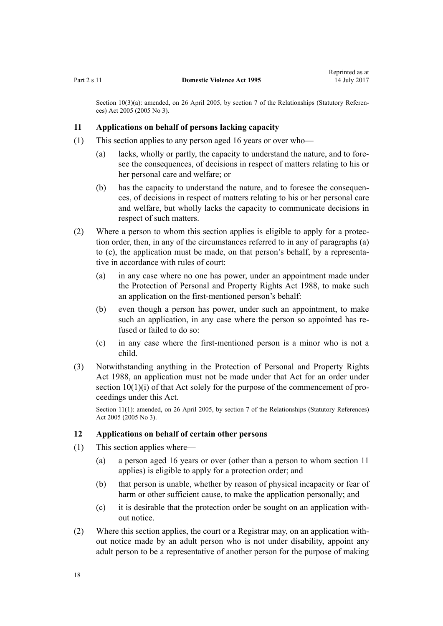<span id="page-17-0"></span>Section 10(3)(a): amended, on 26 April 2005, by [section 7](http://prd-lgnz-nlb.prd.pco.net.nz/pdflink.aspx?id=DLM333795) of the Relationships (Statutory References) Act 2005 (2005 No 3).

# **11 Applications on behalf of persons lacking capacity**

- (1) This section applies to any person aged 16 years or over who—
	- (a) lacks, wholly or partly, the capacity to understand the nature, and to foresee the consequences, of decisions in respect of matters relating to his or her personal care and welfare; or
	- (b) has the capacity to understand the nature, and to foresee the consequences, of decisions in respect of matters relating to his or her personal care and welfare, but wholly lacks the capacity to communicate decisions in respect of such matters.
- (2) Where a person to whom this section applies is eligible to apply for a protection order, then, in any of the circumstances referred to in any of paragraphs (a) to (c), the application must be made, on that person's behalf, by a representative in accordance with rules of court:
	- (a) in any case where no one has power, under an appointment made under the [Protection of Personal and Property Rights Act 1988,](http://prd-lgnz-nlb.prd.pco.net.nz/pdflink.aspx?id=DLM126527) to make such an application on the first-mentioned person's behalf:
	- (b) even though a person has power, under such an appointment, to make such an application, in any case where the person so appointed has refused or failed to do so:
	- (c) in any case where the first-mentioned person is a minor who is not a child.
- (3) Notwithstanding anything in the [Protection of Personal and Property Rights](http://prd-lgnz-nlb.prd.pco.net.nz/pdflink.aspx?id=DLM126527) [Act 1988,](http://prd-lgnz-nlb.prd.pco.net.nz/pdflink.aspx?id=DLM126527) an application must not be made under that Act for an order under [section 10\(1\)\(i\)](http://prd-lgnz-nlb.prd.pco.net.nz/pdflink.aspx?id=DLM126583) of that Act solely for the purpose of the commencement of proceedings under this Act.

Section 11(1): amended, on 26 April 2005, by [section 7](http://prd-lgnz-nlb.prd.pco.net.nz/pdflink.aspx?id=DLM333795) of the Relationships (Statutory References) Act 2005 (2005 No 3).

# **12 Applications on behalf of certain other persons**

- (1) This section applies where—
	- (a) a person aged 16 years or over (other than a person to whom section 11 applies) is eligible to apply for a protection order; and
	- (b) that person is unable, whether by reason of physical incapacity or fear of harm or other sufficient cause, to make the application personally; and
	- (c) it is desirable that the protection order be sought on an application without notice.
- (2) Where this section applies, the court or a Registrar may, on an application without notice made by an adult person who is not under disability, appoint any adult person to be a representative of another person for the purpose of making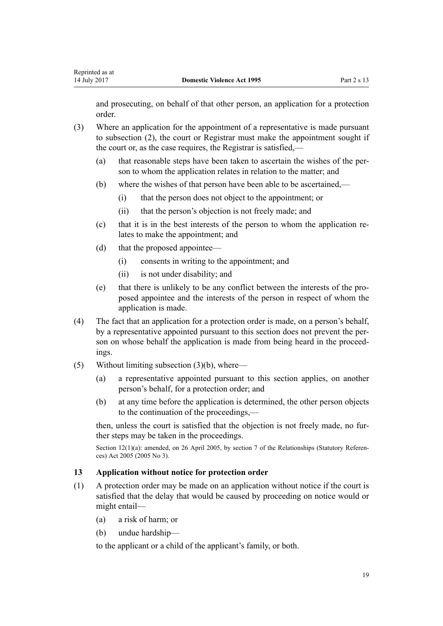<span id="page-18-0"></span>and prosecuting, on behalf of that other person, an application for a protection order.

- (3) Where an application for the appointment of a representative is made pursuant to subsection (2), the court or Registrar must make the appointment sought if the court or, as the case requires, the Registrar is satisfied,—
	- (a) that reasonable steps have been taken to ascertain the wishes of the person to whom the application relates in relation to the matter; and
	- (b) where the wishes of that person have been able to be ascertained,—
		- (i) that the person does not object to the appointment; or
		- (ii) that the person's objection is not freely made; and
	- (c) that it is in the best interests of the person to whom the application relates to make the appointment; and
	- (d) that the proposed appointee—
		- (i) consents in writing to the appointment; and
		- (ii) is not under disability; and
	- (e) that there is unlikely to be any conflict between the interests of the proposed appointee and the interests of the person in respect of whom the application is made.
- (4) The fact that an application for a protection order is made, on a person's behalf, by a representative appointed pursuant to this section does not prevent the person on whose behalf the application is made from being heard in the proceedings.
- (5) Without limiting subsection (3)(b), where—
	- (a) a representative appointed pursuant to this section applies, on another person's behalf, for a protection order; and
	- (b) at any time before the application is determined, the other person objects to the continuation of the proceedings,—

then, unless the court is satisfied that the objection is not freely made, no further steps may be taken in the proceedings.

Section 12(1)(a): amended, on 26 April 2005, by [section 7](http://prd-lgnz-nlb.prd.pco.net.nz/pdflink.aspx?id=DLM333795) of the Relationships (Statutory References) Act 2005 (2005 No 3).

# **13 Application without notice for protection order**

- (1) A protection order may be made on an application without notice if the court is satisfied that the delay that would be caused by proceeding on notice would or might entail—
	- (a) a risk of harm; or
	- (b) undue hardship—

to the applicant or a child of the applicant's family, or both.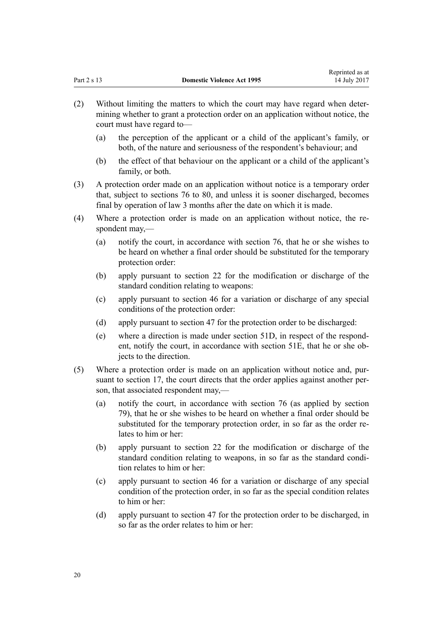Reprinted as at

- (2) Without limiting the matters to which the court may have regard when determining whether to grant a protection order on an application without notice, the court must have regard to—
	- (a) the perception of the applicant or a child of the applicant's family, or both, of the nature and seriousness of the respondent's behaviour; and
	- (b) the effect of that behaviour on the applicant or a child of the applicant's family, or both.
- (3) A protection order made on an application without notice is a temporary order that, subject to [sections 76 to 80](#page-61-0), and unless it is sooner discharged, becomes final by operation of law 3 months after the date on which it is made.
- (4) Where a protection order is made on an application without notice, the respondent may,—
	- (a) notify the court, in accordance with [section 76](#page-61-0), that he or she wishes to be heard on whether a final order should be substituted for the temporary protection order:
	- (b) apply pursuant to [section 22](#page-26-0) for the modification or discharge of the standard condition relating to weapons:
	- (c) apply pursuant to [section 46](#page-36-0) for a variation or discharge of any special conditions of the protection order:
	- (d) apply pursuant to [section 47](#page-37-0) for the protection order to be discharged:
	- (e) where a direction is made under [section 51D,](#page-42-0) in respect of the respondent, notify the court, in accordance with [section 51E](#page-42-0), that he or she objects to the direction.
- (5) Where a protection order is made on an application without notice and, pursuant to [section 17,](#page-22-0) the court directs that the order applies against another person, that associated respondent may,—
	- (a) notify the court, in accordance with [section 76](#page-61-0) (as applied by [section](#page-63-0) [79\)](#page-63-0), that he or she wishes to be heard on whether a final order should be substituted for the temporary protection order, in so far as the order relates to him or her:
	- (b) apply pursuant to [section 22](#page-26-0) for the modification or discharge of the standard condition relating to weapons, in so far as the standard condition relates to him or her:
	- (c) apply pursuant to [section 46](#page-36-0) for a variation or discharge of any special condition of the protection order, in so far as the special condition relates to him or her:
	- (d) apply pursuant to [section 47](#page-37-0) for the protection order to be discharged, in so far as the order relates to him or her: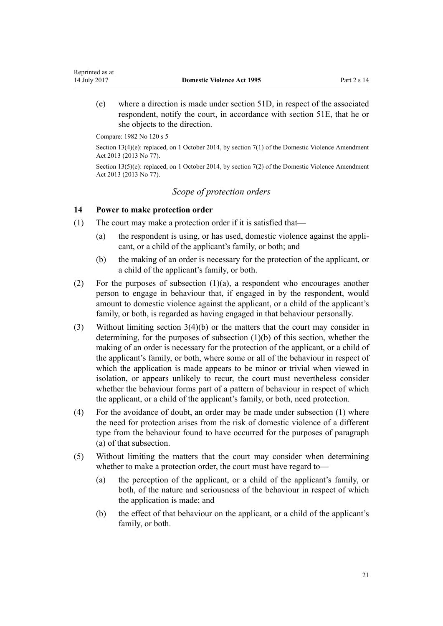(e) where a direction is made under [section 51D,](#page-42-0) in respect of the associated respondent, notify the court, in accordance with [section 51E,](#page-42-0) that he or she objects to the direction.

Compare: 1982 No 120 s 5

<span id="page-20-0"></span>Reprinted as at

Section 13(4)(e): replaced, on 1 October 2014, by [section 7\(1\)](http://prd-lgnz-nlb.prd.pco.net.nz/pdflink.aspx?id=DLM5615653) of the Domestic Violence Amendment Act 2013 (2013 No 77).

Section 13(5)(e): replaced, on 1 October 2014, by [section 7\(2\)](http://prd-lgnz-nlb.prd.pco.net.nz/pdflink.aspx?id=DLM5615653) of the Domestic Violence Amendment Act 2013 (2013 No 77).

# *Scope of protection orders*

# **14 Power to make protection order**

- (1) The court may make a protection order if it is satisfied that—
	- (a) the respondent is using, or has used, domestic violence against the applicant, or a child of the applicant's family, or both; and
	- (b) the making of an order is necessary for the protection of the applicant, or a child of the applicant's family, or both.
- (2) For the purposes of subsection  $(1)(a)$ , a respondent who encourages another person to engage in behaviour that, if engaged in by the respondent, would amount to domestic violence against the applicant, or a child of the applicant's family, or both, is regarded as having engaged in that behaviour personally.
- (3) Without limiting [section 3\(4\)\(b\)](#page-12-0) or the matters that the court may consider in determining, for the purposes of subsection (1)(b) of this section, whether the making of an order is necessary for the protection of the applicant, or a child of the applicant's family, or both, where some or all of the behaviour in respect of which the application is made appears to be minor or trivial when viewed in isolation, or appears unlikely to recur, the court must nevertheless consider whether the behaviour forms part of a pattern of behaviour in respect of which the applicant, or a child of the applicant's family, or both, need protection.
- (4) For the avoidance of doubt, an order may be made under subsection (1) where the need for protection arises from the risk of domestic violence of a different type from the behaviour found to have occurred for the purposes of paragraph (a) of that subsection.
- (5) Without limiting the matters that the court may consider when determining whether to make a protection order, the court must have regard to—
	- (a) the perception of the applicant, or a child of the applicant's family, or both, of the nature and seriousness of the behaviour in respect of which the application is made; and
	- (b) the effect of that behaviour on the applicant, or a child of the applicant's family, or both.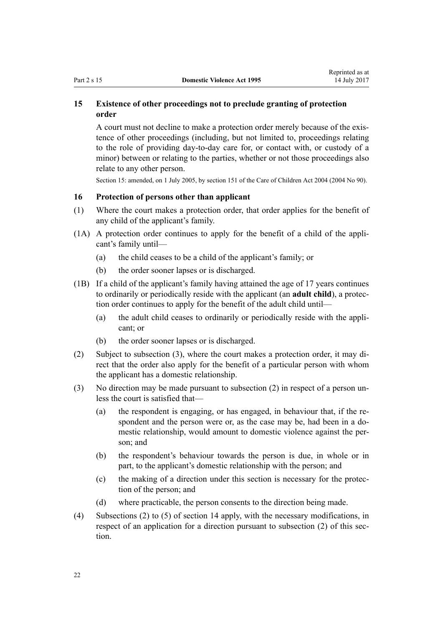# <span id="page-21-0"></span>**15 Existence of other proceedings not to preclude granting of protection order**

A court must not decline to make a protection order merely because of the existence of other proceedings (including, but not limited to, proceedings relating to the role of providing day-to-day care for, or contact with, or custody of a minor) between or relating to the parties, whether or not those proceedings also relate to any other person.

Section 15: amended, on 1 July 2005, by [section 151](http://prd-lgnz-nlb.prd.pco.net.nz/pdflink.aspx?id=DLM317988) of the Care of Children Act 2004 (2004 No 90).

# **16 Protection of persons other than applicant**

- (1) Where the court makes a protection order, that order applies for the benefit of any child of the applicant's family.
- (1A) A protection order continues to apply for the benefit of a child of the applicant's family until—
	- (a) the child ceases to be a child of the applicant's family; or
	- (b) the order sooner lapses or is discharged.
- (1B) If a child of the applicant's family having attained the age of 17 years continues to ordinarily or periodically reside with the applicant (an **adult child**), a protection order continues to apply for the benefit of the adult child until—
	- (a) the adult child ceases to ordinarily or periodically reside with the applicant; or
	- (b) the order sooner lapses or is discharged.
- (2) Subject to subsection (3), where the court makes a protection order, it may direct that the order also apply for the benefit of a particular person with whom the applicant has a domestic relationship.
- (3) No direction may be made pursuant to subsection (2) in respect of a person unless the court is satisfied that—
	- (a) the respondent is engaging, or has engaged, in behaviour that, if the respondent and the person were or, as the case may be, had been in a domestic relationship, would amount to domestic violence against the person; and
	- (b) the respondent's behaviour towards the person is due, in whole or in part, to the applicant's domestic relationship with the person; and
	- (c) the making of a direction under this section is necessary for the protection of the person; and
	- (d) where practicable, the person consents to the direction being made.
- (4) Subsections (2) to (5) of [section 14](#page-20-0) apply, with the necessary modifications, in respect of an application for a direction pursuant to subsection (2) of this section.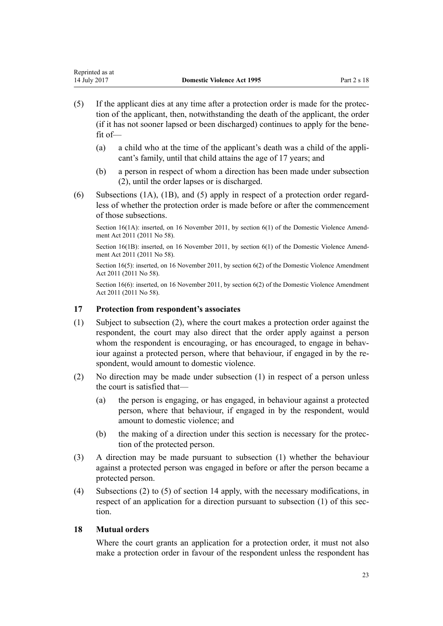- <span id="page-22-0"></span>(5) If the applicant dies at any time after a protection order is made for the protection of the applicant, then, notwithstanding the death of the applicant, the order (if it has not sooner lapsed or been discharged) continues to apply for the benefit of—
	- (a) a child who at the time of the applicant's death was a child of the applicant's family, until that child attains the age of 17 years; and
	- (b) a person in respect of whom a direction has been made under subsection (2), until the order lapses or is discharged.
- (6) Subsections (1A), (1B), and (5) apply in respect of a protection order regardless of whether the protection order is made before or after the commencement of those subsections.

Section 16(1A): inserted, on 16 November 2011, by [section 6\(1\)](http://prd-lgnz-nlb.prd.pco.net.nz/pdflink.aspx?id=DLM1955515) of the Domestic Violence Amendment Act 2011 (2011 No 58).

Section 16(1B): inserted, on 16 November 2011, by [section 6\(1\)](http://prd-lgnz-nlb.prd.pco.net.nz/pdflink.aspx?id=DLM1955515) of the Domestic Violence Amendment Act 2011 (2011 No 58).

Section 16(5): inserted, on 16 November 2011, by [section 6\(2\)](http://prd-lgnz-nlb.prd.pco.net.nz/pdflink.aspx?id=DLM1955515) of the Domestic Violence Amendment Act 2011 (2011 No 58).

Section 16(6): inserted, on 16 November 2011, by [section 6\(2\)](http://prd-lgnz-nlb.prd.pco.net.nz/pdflink.aspx?id=DLM1955515) of the Domestic Violence Amendment Act 2011 (2011 No 58).

# **17 Protection from respondent's associates**

- (1) Subject to subsection (2), where the court makes a protection order against the respondent, the court may also direct that the order apply against a person whom the respondent is encouraging, or has encouraged, to engage in behaviour against a protected person, where that behaviour, if engaged in by the respondent, would amount to domestic violence.
- (2) No direction may be made under subsection (1) in respect of a person unless the court is satisfied that—
	- (a) the person is engaging, or has engaged, in behaviour against a protected person, where that behaviour, if engaged in by the respondent, would amount to domestic violence; and
	- (b) the making of a direction under this section is necessary for the protection of the protected person.
- (3) A direction may be made pursuant to subsection (1) whether the behaviour against a protected person was engaged in before or after the person became a protected person.
- (4) Subsections (2) to (5) of [section 14](#page-20-0) apply, with the necessary modifications, in respect of an application for a direction pursuant to subsection (1) of this section.

# **18 Mutual orders**

Where the court grants an application for a protection order, it must not also make a protection order in favour of the respondent unless the respondent has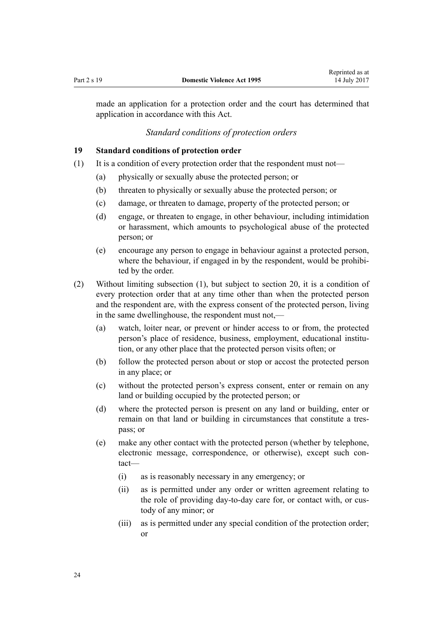<span id="page-23-0"></span>made an application for a protection order and the court has determined that application in accordance with this Act.

# *Standard conditions of protection orders*

#### **19 Standard conditions of protection order**

- (1) It is a condition of every protection order that the respondent must not—
	- (a) physically or sexually abuse the protected person; or
	- (b) threaten to physically or sexually abuse the protected person; or
	- (c) damage, or threaten to damage, property of the protected person; or
	- (d) engage, or threaten to engage, in other behaviour, including intimidation or harassment, which amounts to psychological abuse of the protected person; or
	- (e) encourage any person to engage in behaviour against a protected person, where the behaviour, if engaged in by the respondent, would be prohibited by the order.
- (2) Without limiting subsection (1), but subject to [section 20,](#page-24-0) it is a condition of every protection order that at any time other than when the protected person and the respondent are, with the express consent of the protected person, living in the same dwellinghouse, the respondent must not,—
	- (a) watch, loiter near, or prevent or hinder access to or from, the protected person's place of residence, business, employment, educational institution, or any other place that the protected person visits often; or
	- (b) follow the protected person about or stop or accost the protected person in any place; or
	- (c) without the protected person's express consent, enter or remain on any land or building occupied by the protected person; or
	- (d) where the protected person is present on any land or building, enter or remain on that land or building in circumstances that constitute a trespass; or
	- (e) make any other contact with the protected person (whether by telephone, electronic message, correspondence, or otherwise), except such contact—
		- (i) as is reasonably necessary in any emergency; or
		- (ii) as is permitted under any order or written agreement relating to the role of providing day-to-day care for, or contact with, or custody of any minor; or
		- (iii) as is permitted under any special condition of the protection order; or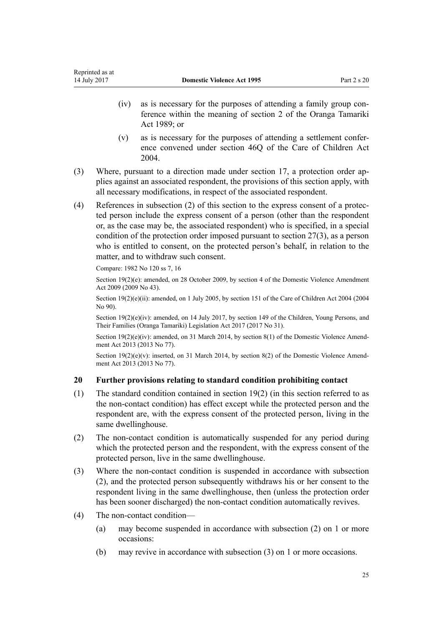- <span id="page-24-0"></span>(iv) as is necessary for the purposes of attending a family group conference within the meaning of [section 2](http://prd-lgnz-nlb.prd.pco.net.nz/pdflink.aspx?id=DLM147094) of the Oranga Tamariki Act 1989; or
- (v) as is necessary for the purposes of attending a settlement conference convened under [section 46Q](http://prd-lgnz-nlb.prd.pco.net.nz/pdflink.aspx?id=DLM6027393) of the Care of Children Act 2004.
- (3) Where, pursuant to a direction made under [section 17,](#page-22-0) a protection order applies against an associated respondent, the provisions of this section apply, with all necessary modifications, in respect of the associated respondent.
- (4) References in subsection (2) of this section to the express consent of a protected person include the express consent of a person (other than the respondent or, as the case may be, the associated respondent) who is specified, in a special condition of the protection order imposed pursuant to [section 27\(3\),](#page-32-0) as a person who is entitled to consent, on the protected person's behalf, in relation to the matter, and to withdraw such consent.

Compare: 1982 No 120 ss 7, 16

Section 19(2)(e): amended, on 28 October 2009, by [section 4](http://prd-lgnz-nlb.prd.pco.net.nz/pdflink.aspx?id=DLM2181002) of the Domestic Violence Amendment Act 2009 (2009 No 43).

Section 19(2)(e)(ii): amended, on 1 July 2005, by [section 151](http://prd-lgnz-nlb.prd.pco.net.nz/pdflink.aspx?id=DLM317988) of the Care of Children Act 2004 (2004) No 90).

Section 19(2)(e)(iv): amended, on 14 July 2017, by [section 149](http://prd-lgnz-nlb.prd.pco.net.nz/pdflink.aspx?id=DLM7287401) of the Children, Young Persons, and Their Families (Oranga Tamariki) Legislation Act 2017 (2017 No 31).

Section 19(2)(e)(iv): amended, on 31 March 2014, by [section 8\(1\)](http://prd-lgnz-nlb.prd.pco.net.nz/pdflink.aspx?id=DLM5615654) of the Domestic Violence Amendment Act 2013 (2013 No 77).

Section  $19(2)(e)(v)$ : inserted, on 31 March 2014, by [section 8\(2\)](http://prd-lgnz-nlb.prd.pco.net.nz/pdflink.aspx?id=DLM5615654) of the Domestic Violence Amendment Act 2013 (2013 No 77).

# **20 Further provisions relating to standard condition prohibiting contact**

- (1) The standard condition contained in [section 19\(2\)](#page-23-0) (in this section referred to as the non-contact condition) has effect except while the protected person and the respondent are, with the express consent of the protected person, living in the same dwellinghouse.
- (2) The non-contact condition is automatically suspended for any period during which the protected person and the respondent, with the express consent of the protected person, live in the same dwellinghouse.
- (3) Where the non-contact condition is suspended in accordance with subsection (2), and the protected person subsequently withdraws his or her consent to the respondent living in the same dwellinghouse, then (unless the protection order has been sooner discharged) the non-contact condition automatically revives.
- (4) The non-contact condition—
	- (a) may become suspended in accordance with subsection (2) on 1 or more occasions:
	- (b) may revive in accordance with subsection (3) on 1 or more occasions.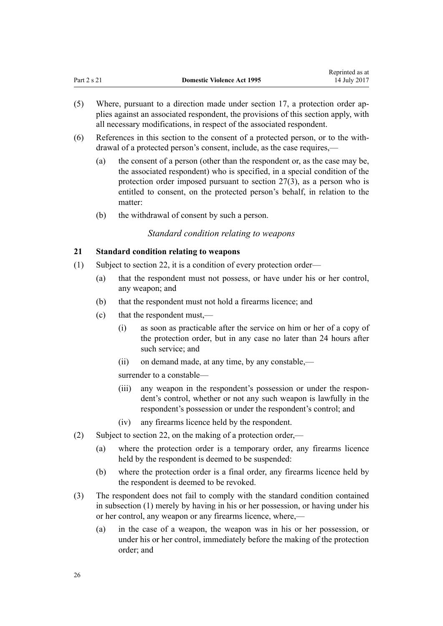- <span id="page-25-0"></span>(5) Where, pursuant to a direction made under [section 17,](#page-22-0) a protection order applies against an associated respondent, the provisions of this section apply, with all necessary modifications, in respect of the associated respondent.
- (6) References in this section to the consent of a protected person, or to the withdrawal of a protected person's consent, include, as the case requires,—
	- (a) the consent of a person (other than the respondent or, as the case may be, the associated respondent) who is specified, in a special condition of the protection order imposed pursuant to [section 27\(3\),](#page-32-0) as a person who is entitled to consent, on the protected person's behalf, in relation to the matter:
	- (b) the withdrawal of consent by such a person.

# *Standard condition relating to weapons*

# **21 Standard condition relating to weapons**

- (1) Subject to [section 22](#page-26-0), it is a condition of every protection order—
	- (a) that the respondent must not possess, or have under his or her control, any weapon; and
	- (b) that the respondent must not hold a firearms licence; and
	- (c) that the respondent must,—
		- (i) as soon as practicable after the service on him or her of a copy of the protection order, but in any case no later than 24 hours after such service; and
		- (ii) on demand made, at any time, by any constable,—

surrender to a constable—

- (iii) any weapon in the respondent's possession or under the respondent's control, whether or not any such weapon is lawfully in the respondent's possession or under the respondent's control; and
- (iv) any firearms licence held by the respondent.
- (2) Subject to [section 22](#page-26-0), on the making of a protection order,—
	- (a) where the protection order is a temporary order, any firearms licence held by the respondent is deemed to be suspended:
	- (b) where the protection order is a final order, any firearms licence held by the respondent is deemed to be revoked.
- (3) The respondent does not fail to comply with the standard condition contained in subsection (1) merely by having in his or her possession, or having under his or her control, any weapon or any firearms licence, where,—
	- (a) in the case of a weapon, the weapon was in his or her possession, or under his or her control, immediately before the making of the protection order; and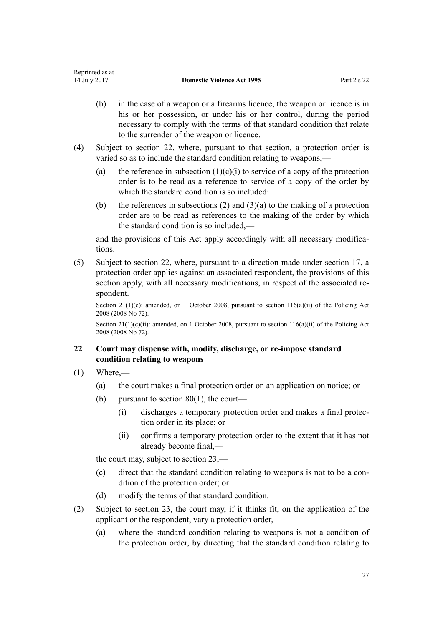- <span id="page-26-0"></span>(b) in the case of a weapon or a firearms licence, the weapon or licence is in his or her possession, or under his or her control, during the period necessary to comply with the terms of that standard condition that relate to the surrender of the weapon or licence.
- (4) Subject to section 22, where, pursuant to that section, a protection order is varied so as to include the standard condition relating to weapons,—
	- (a) the reference in subsection  $(1)(c)(i)$  to service of a copy of the protection order is to be read as a reference to service of a copy of the order by which the standard condition is so included:
	- (b) the references in subsections (2) and  $(3)(a)$  to the making of a protection order are to be read as references to the making of the order by which the standard condition is so included,—

and the provisions of this Act apply accordingly with all necessary modifications.

(5) Subject to section 22, where, pursuant to a direction made under [section 17](#page-22-0), a protection order applies against an associated respondent, the provisions of this section apply, with all necessary modifications, in respect of the associated respondent.

Section 21(1)(c): amended, on 1 October 2008, pursuant to [section 116\(a\)\(ii\)](http://prd-lgnz-nlb.prd.pco.net.nz/pdflink.aspx?id=DLM1102349) of the Policing Act 2008 (2008 No 72).

Section 21(1)(c)(ii): amended, on 1 October 2008, pursuant to [section 116\(a\)\(ii\)](http://prd-lgnz-nlb.prd.pco.net.nz/pdflink.aspx?id=DLM1102349) of the Policing Act 2008 (2008 No 72).

# **22 Court may dispense with, modify, discharge, or re-impose standard condition relating to weapons**

- $(1)$  Where,—
	- (a) the court makes a final protection order on an application on notice; or
	- (b) pursuant to section  $80(1)$ , the court—
		- (i) discharges a temporary protection order and makes a final protection order in its place; or
		- (ii) confirms a temporary protection order to the extent that it has not already become final,—

the court may, subject to [section 23,](#page-28-0)—

- (c) direct that the standard condition relating to weapons is not to be a condition of the protection order; or
- (d) modify the terms of that standard condition.
- (2) Subject to [section 23](#page-28-0), the court may, if it thinks fit, on the application of the applicant or the respondent, vary a protection order,—
	- (a) where the standard condition relating to weapons is not a condition of the protection order, by directing that the standard condition relating to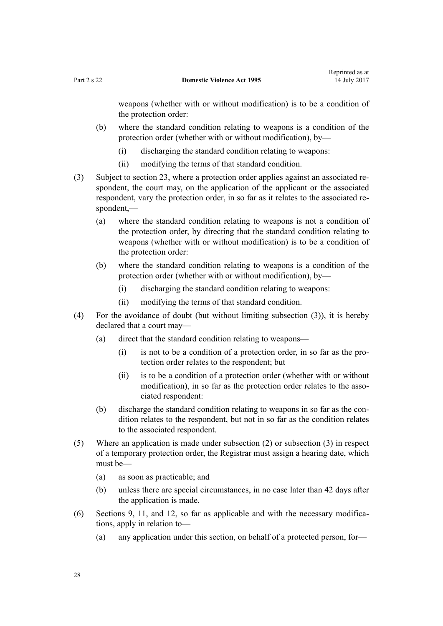weapons (whether with or without modification) is to be a condition of the protection order:

- (b) where the standard condition relating to weapons is a condition of the protection order (whether with or without modification), by—
	- (i) discharging the standard condition relating to weapons:
	- (ii) modifying the terms of that standard condition.
- (3) Subject to [section 23,](#page-28-0) where a protection order applies against an associated respondent, the court may, on the application of the applicant or the associated respondent, vary the protection order, in so far as it relates to the associated respondent,—
	- (a) where the standard condition relating to weapons is not a condition of the protection order, by directing that the standard condition relating to weapons (whether with or without modification) is to be a condition of the protection order:
	- (b) where the standard condition relating to weapons is a condition of the protection order (whether with or without modification), by—
		- (i) discharging the standard condition relating to weapons:
		- (ii) modifying the terms of that standard condition.
- (4) For the avoidance of doubt (but without limiting subsection (3)), it is hereby declared that a court may—
	- (a) direct that the standard condition relating to weapons—
		- (i) is not to be a condition of a protection order, in so far as the protection order relates to the respondent; but
		- (ii) is to be a condition of a protection order (whether with or without modification), in so far as the protection order relates to the associated respondent:
	- (b) discharge the standard condition relating to weapons in so far as the condition relates to the respondent, but not in so far as the condition relates to the associated respondent.
- (5) Where an application is made under subsection (2) or subsection (3) in respect of a temporary protection order, the Registrar must assign a hearing date, which must be—
	- (a) as soon as practicable; and
	- (b) unless there are special circumstances, in no case later than 42 days after the application is made.
- (6) [Sections 9](#page-15-0), [11](#page-17-0), and [12](#page-17-0), so far as applicable and with the necessary modifications, apply in relation to—
	- (a) any application under this section, on behalf of a protected person, for—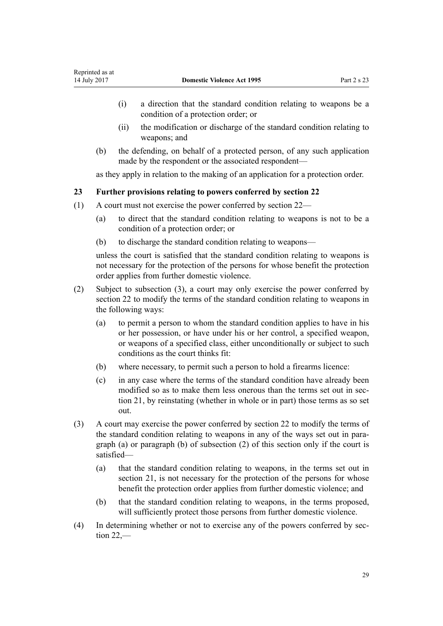- <span id="page-28-0"></span>(i) a direction that the standard condition relating to weapons be a condition of a protection order; or
- (ii) the modification or discharge of the standard condition relating to weapons; and
- (b) the defending, on behalf of a protected person, of any such application made by the respondent or the associated respondent—

as they apply in relation to the making of an application for a protection order.

# **23 Further provisions relating to powers conferred by section 22**

- (1) A court must not exercise the power conferred by [section 22](#page-26-0)
	- (a) to direct that the standard condition relating to weapons is not to be a condition of a protection order; or
	- (b) to discharge the standard condition relating to weapons—

unless the court is satisfied that the standard condition relating to weapons is not necessary for the protection of the persons for whose benefit the protection order applies from further domestic violence.

- (2) Subject to subsection (3), a court may only exercise the power conferred by [section 22](#page-26-0) to modify the terms of the standard condition relating to weapons in the following ways:
	- (a) to permit a person to whom the standard condition applies to have in his or her possession, or have under his or her control, a specified weapon, or weapons of a specified class, either unconditionally or subject to such conditions as the court thinks fit:
	- (b) where necessary, to permit such a person to hold a firearms licence:
	- (c) in any case where the terms of the standard condition have already been modified so as to make them less onerous than the terms set out in [sec](#page-25-0)[tion 21,](#page-25-0) by reinstating (whether in whole or in part) those terms as so set out.
- (3) A court may exercise the power conferred by [section 22](#page-26-0) to modify the terms of the standard condition relating to weapons in any of the ways set out in paragraph (a) or paragraph (b) of subsection (2) of this section only if the court is satisfied—
	- (a) that the standard condition relating to weapons, in the terms set out in [section 21](#page-25-0), is not necessary for the protection of the persons for whose benefit the protection order applies from further domestic violence; and
	- (b) that the standard condition relating to weapons, in the terms proposed, will sufficiently protect those persons from further domestic violence.
- (4) In determining whether or not to exercise any of the powers conferred by [sec](#page-26-0)[tion 22](#page-26-0),—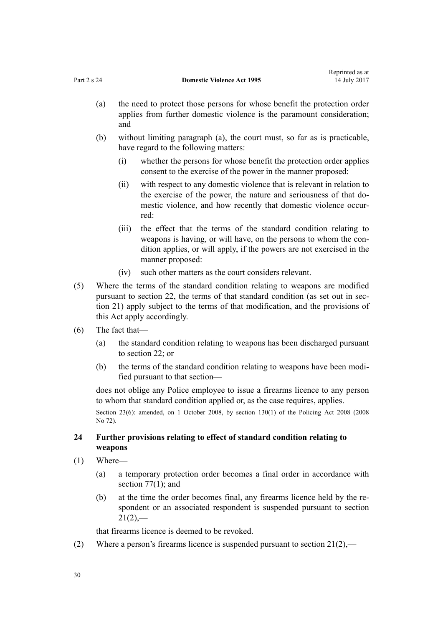| (a) | the need to protect those persons for whose benefit the protection order<br>applies from further domestic violence is the paramount consideration;<br>and |
|-----|-----------------------------------------------------------------------------------------------------------------------------------------------------------|
| (b) | without limiting paragraph (a), the court must, so far as is practicable,                                                                                 |

<span id="page-29-0"></span>Part 2 s 24 **Domestic Violence Act 1995**

- have regard to the following matters:
	- (i) whether the persons for whose benefit the protection order applies consent to the exercise of the power in the manner proposed:

Reprinted as at 14 July 2017

- (ii) with respect to any domestic violence that is relevant in relation to the exercise of the power, the nature and seriousness of that domestic violence, and how recently that domestic violence occurred:
- (iii) the effect that the terms of the standard condition relating to weapons is having, or will have, on the persons to whom the condition applies, or will apply, if the powers are not exercised in the manner proposed:
- (iv) such other matters as the court considers relevant.
- (5) Where the terms of the standard condition relating to weapons are modified pursuant to [section 22](#page-26-0), the terms of that standard condition (as set out in [sec](#page-25-0)[tion 21](#page-25-0)) apply subject to the terms of that modification, and the provisions of this Act apply accordingly.
- (6) The fact that—
	- (a) the standard condition relating to weapons has been discharged pursuant to [section 22;](#page-26-0) or
	- (b) the terms of the standard condition relating to weapons have been modified pursuant to that section—

does not oblige any Police employee to issue a firearms licence to any person to whom that standard condition applied or, as the case requires, applies.

Section 23(6): amended, on 1 October 2008, by [section 130\(1\)](http://prd-lgnz-nlb.prd.pco.net.nz/pdflink.aspx?id=DLM1102383) of the Policing Act 2008 (2008) No 72).

# **24 Further provisions relating to effect of standard condition relating to weapons**

- (1) Where—
	- (a) a temporary protection order becomes a final order in accordance with section  $77(1)$ ; and
	- (b) at the time the order becomes final, any firearms licence held by the respondent or an associated respondent is suspended pursuant to [section](#page-25-0)  $21(2)$ ,—

that firearms licence is deemed to be revoked.

(2) Where a person's firearms licence is suspended pursuant to section  $21(2)$ ,—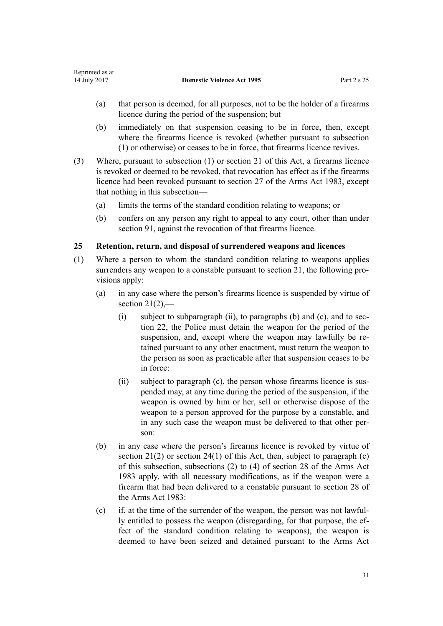- <span id="page-30-0"></span>(a) that person is deemed, for all purposes, not to be the holder of a firearms licence during the period of the suspension; but
- (b) immediately on that suspension ceasing to be in force, then, except where the firearms licence is revoked (whether pursuant to subsection (1) or otherwise) or ceases to be in force, that firearms licence revives.
- (3) Where, pursuant to subsection (1) or [section 21](#page-25-0) of this Act, a firearms licence is revoked or deemed to be revoked, that revocation has effect as if the firearms licence had been revoked pursuant to [section 27](http://prd-lgnz-nlb.prd.pco.net.nz/pdflink.aspx?id=DLM72928) of the Arms Act 1983, except that nothing in this subsection—
	- (a) limits the terms of the standard condition relating to weapons; or
	- (b) confers on any person any right to appeal to any court, other than under [section 91](#page-71-0), against the revocation of that firearms licence.

# **25 Retention, return, and disposal of surrendered weapons and licences**

- (1) Where a person to whom the standard condition relating to weapons applies surrenders any weapon to a constable pursuant to [section 21](#page-25-0), the following provisions apply:
	- (a) in any case where the person's firearms licence is suspended by virtue of section  $21(2)$ ,
		- (i) subject to subparagraph (ii), to paragraphs (b) and (c), and to [sec](#page-26-0)[tion 22,](#page-26-0) the Police must detain the weapon for the period of the suspension, and, except where the weapon may lawfully be retained pursuant to any other enactment, must return the weapon to the person as soon as practicable after that suspension ceases to be in force:
		- (ii) subject to paragraph (c), the person whose firearms licence is suspended may, at any time during the period of the suspension, if the weapon is owned by him or her, sell or otherwise dispose of the weapon to a person approved for the purpose by a constable, and in any such case the weapon must be delivered to that other person:
	- (b) in any case where the person's firearms licence is revoked by virtue of section  $21(2)$  or section  $24(1)$  of this Act, then, subject to paragraph (c) of this subsection, subsections (2) to (4) of [section 28](http://prd-lgnz-nlb.prd.pco.net.nz/pdflink.aspx?id=DLM72932) of the Arms Act 1983 apply, with all necessary modifications, as if the weapon were a firearm that had been delivered to a constable pursuant to section 28 of the Arms Act 1983:
	- (c) if, at the time of the surrender of the weapon, the person was not lawfully entitled to possess the weapon (disregarding, for that purpose, the effect of the standard condition relating to weapons), the weapon is deemed to have been seized and detained pursuant to the [Arms Act](http://prd-lgnz-nlb.prd.pco.net.nz/pdflink.aspx?id=DLM72621)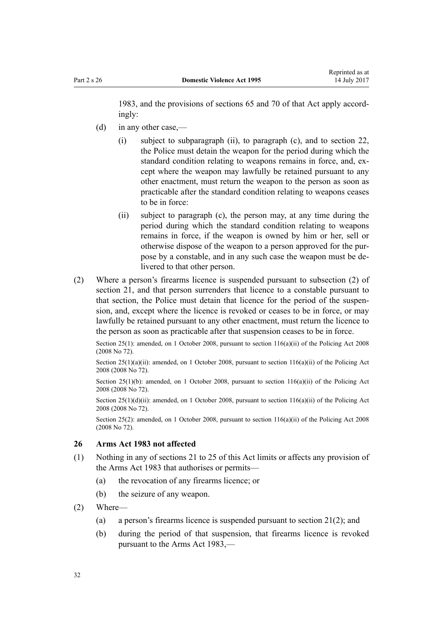<span id="page-31-0"></span>[1983](http://prd-lgnz-nlb.prd.pco.net.nz/pdflink.aspx?id=DLM72621), and the provisions of [sections 65](http://prd-lgnz-nlb.prd.pco.net.nz/pdflink.aspx?id=DLM73326) and [70](http://prd-lgnz-nlb.prd.pco.net.nz/pdflink.aspx?id=DLM73358) of that Act apply accordingly:

- (d) in any other case,—
	- (i) subject to subparagraph (ii), to paragraph (c), and to [section 22](#page-26-0), the Police must detain the weapon for the period during which the standard condition relating to weapons remains in force, and, except where the weapon may lawfully be retained pursuant to any other enactment, must return the weapon to the person as soon as practicable after the standard condition relating to weapons ceases to be in force:
	- (ii) subject to paragraph (c), the person may, at any time during the period during which the standard condition relating to weapons remains in force, if the weapon is owned by him or her, sell or otherwise dispose of the weapon to a person approved for the purpose by a constable, and in any such case the weapon must be delivered to that other person.
- (2) Where a person's firearms licence is suspended pursuant to subsection (2) of [section 21,](#page-25-0) and that person surrenders that licence to a constable pursuant to that section, the Police must detain that licence for the period of the suspension, and, except where the licence is revoked or ceases to be in force, or may lawfully be retained pursuant to any other enactment, must return the licence to the person as soon as practicable after that suspension ceases to be in force.

Section 25(1): amended, on 1 October 2008, pursuant to section  $116(a)(ii)$  of the Policing Act 2008 (2008 No 72).

Section  $25(1)(a)(ii)$ : amended, on 1 October 2008, pursuant to section  $116(a)(ii)$  of the Policing Act 2008 (2008 No 72).

Section 25(1)(b): amended, on 1 October 2008, pursuant to section  $116(a)(ii)$  of the Policing Act 2008 (2008 No 72).

Section  $25(1)(d)(ii)$ : amended, on 1 October 2008, pursuant to section  $116(a)(ii)$  of the Policing Act 2008 (2008 No 72).

Section 25(2): amended, on 1 October 2008, pursuant to [section 116\(a\)\(ii\)](http://prd-lgnz-nlb.prd.pco.net.nz/pdflink.aspx?id=DLM1102349) of the Policing Act 2008 (2008 No 72).

# **26 Arms Act 1983 not affected**

- (1) Nothing in any of [sections 21 to 25](#page-25-0) of this Act limits or affects any provision of the [Arms Act 1983](http://prd-lgnz-nlb.prd.pco.net.nz/pdflink.aspx?id=DLM72621) that authorises or permits—
	- (a) the revocation of any firearms licence; or
	- (b) the seizure of any weapon.
- (2) Where—
	- (a) a person's firearms licence is suspended pursuant to [section 21\(2\);](#page-25-0) and
	- (b) during the period of that suspension, that firearms licence is revoked pursuant to the [Arms Act 1983](http://prd-lgnz-nlb.prd.pco.net.nz/pdflink.aspx?id=DLM72621),—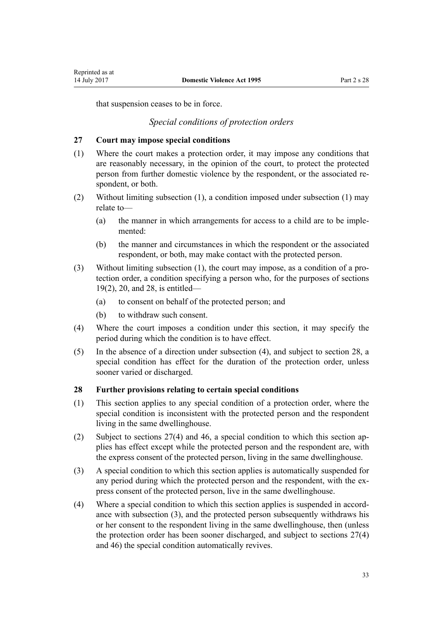<span id="page-32-0"></span>Reprinted as at

that suspension ceases to be in force.

# *Special conditions of protection orders*

#### **27 Court may impose special conditions**

- (1) Where the court makes a protection order, it may impose any conditions that are reasonably necessary, in the opinion of the court, to protect the protected person from further domestic violence by the respondent, or the associated respondent, or both.
- (2) Without limiting subsection (1), a condition imposed under subsection (1) may relate to—
	- (a) the manner in which arrangements for access to a child are to be implemented:
	- (b) the manner and circumstances in which the respondent or the associated respondent, or both, may make contact with the protected person.
- (3) Without limiting subsection (1), the court may impose, as a condition of a protection order, a condition specifying a person who, for the purposes of [sections](#page-23-0) [19\(2\)](#page-23-0), [20](#page-24-0), and 28, is entitled—
	- (a) to consent on behalf of the protected person; and
	- (b) to withdraw such consent.
- (4) Where the court imposes a condition under this section, it may specify the period during which the condition is to have effect.
- (5) In the absence of a direction under subsection (4), and subject to section 28, a special condition has effect for the duration of the protection order, unless sooner varied or discharged.

#### **28 Further provisions relating to certain special conditions**

- (1) This section applies to any special condition of a protection order, where the special condition is inconsistent with the protected person and the respondent living in the same dwellinghouse.
- (2) Subject to sections 27(4) and [46,](#page-36-0) a special condition to which this section applies has effect except while the protected person and the respondent are, with the express consent of the protected person, living in the same dwellinghouse.
- (3) A special condition to which this section applies is automatically suspended for any period during which the protected person and the respondent, with the express consent of the protected person, live in the same dwellinghouse.
- (4) Where a special condition to which this section applies is suspended in accordance with subsection (3), and the protected person subsequently withdraws his or her consent to the respondent living in the same dwellinghouse, then (unless the protection order has been sooner discharged, and subject to sections 27(4) and [46](#page-36-0)) the special condition automatically revives.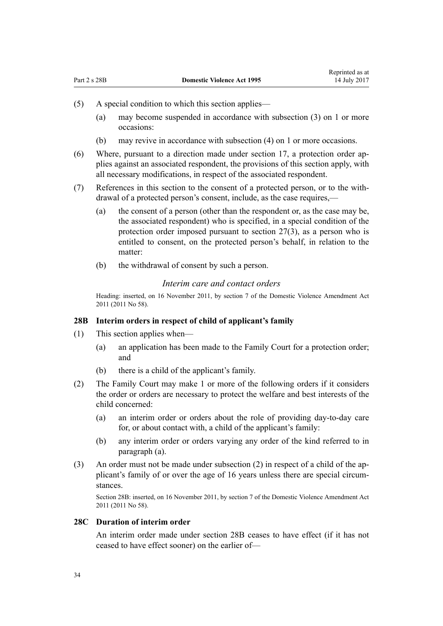- <span id="page-33-0"></span>(5) A special condition to which this section applies—
	- (a) may become suspended in accordance with subsection (3) on 1 or more occasions:
	- (b) may revive in accordance with subsection (4) on 1 or more occasions.
- (6) Where, pursuant to a direction made under [section 17,](#page-22-0) a protection order applies against an associated respondent, the provisions of this section apply, with all necessary modifications, in respect of the associated respondent.
- (7) References in this section to the consent of a protected person, or to the withdrawal of a protected person's consent, include, as the case requires,—
	- (a) the consent of a person (other than the respondent or, as the case may be, the associated respondent) who is specified, in a special condition of the protection order imposed pursuant to [section 27\(3\),](#page-32-0) as a person who is entitled to consent, on the protected person's behalf, in relation to the matter:
	- (b) the withdrawal of consent by such a person.

# *Interim care and contact orders*

Heading: inserted, on 16 November 2011, by [section 7](http://prd-lgnz-nlb.prd.pco.net.nz/pdflink.aspx?id=DLM1955516) of the Domestic Violence Amendment Act 2011 (2011 No 58).

# **28B Interim orders in respect of child of applicant's family**

- (1) This section applies when—
	- (a) an application has been made to the Family Court for a protection order; and
	- (b) there is a child of the applicant's family.
- (2) The Family Court may make 1 or more of the following orders if it considers the order or orders are necessary to protect the welfare and best interests of the child concerned:
	- (a) an interim order or orders about the role of providing day-to-day care for, or about contact with, a child of the applicant's family:
	- (b) any interim order or orders varying any order of the kind referred to in paragraph (a).
- (3) An order must not be made under subsection (2) in respect of a child of the applicant's family of or over the age of 16 years unless there are special circumstances.

Section 28B: inserted, on 16 November 2011, by [section 7](http://prd-lgnz-nlb.prd.pco.net.nz/pdflink.aspx?id=DLM1955516) of the Domestic Violence Amendment Act 2011 (2011 No 58).

## **28C Duration of interim order**

An interim order made under section 28B ceases to have effect (if it has not ceased to have effect sooner) on the earlier of—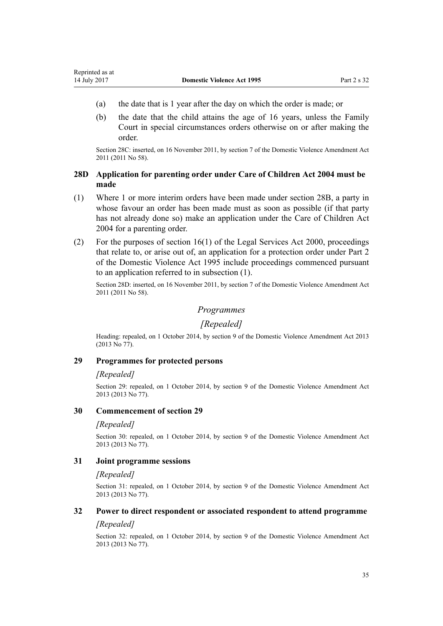- <span id="page-34-0"></span>(a) the date that is 1 year after the day on which the order is made; or
- (b) the date that the child attains the age of 16 years, unless the Family Court in special circumstances orders otherwise on or after making the order.

Section 28C: inserted, on 16 November 2011, by [section 7](http://prd-lgnz-nlb.prd.pco.net.nz/pdflink.aspx?id=DLM1955516) of the Domestic Violence Amendment Act 2011 (2011 No 58).

# **28D Application for parenting order under Care of Children Act 2004 must be made**

- (1) Where 1 or more interim orders have been made under [section 28B](#page-33-0), a party in whose favour an order has been made must as soon as possible (if that party has not already done so) make an application under the [Care of Children Act](http://prd-lgnz-nlb.prd.pco.net.nz/pdflink.aspx?id=DLM317232) [2004](http://prd-lgnz-nlb.prd.pco.net.nz/pdflink.aspx?id=DLM317232) for a parenting order.
- (2) For the purposes of section  $16(1)$  of the Legal Services Act 2000, proceedings that relate to, or arise out of, an application for a protection order under [Part 2](#page-15-0) of the Domestic Violence Act 1995 include proceedings commenced pursuant to an application referred to in subsection (1).

Section 28D: inserted, on 16 November 2011, by [section 7](http://prd-lgnz-nlb.prd.pco.net.nz/pdflink.aspx?id=DLM1955516) of the Domestic Violence Amendment Act 2011 (2011 No 58).

# *Programmes*

# *[Repealed]*

Heading: repealed, on 1 October 2014, by [section 9](http://prd-lgnz-nlb.prd.pco.net.nz/pdflink.aspx?id=DLM5615655) of the Domestic Violence Amendment Act 2013 (2013 No 77).

# **29 Programmes for protected persons**

#### *[Repealed]*

Section 29: repealed, on 1 October 2014, by [section 9](http://prd-lgnz-nlb.prd.pco.net.nz/pdflink.aspx?id=DLM5615655) of the Domestic Violence Amendment Act 2013 (2013 No 77).

#### **30 Commencement of section 29**

#### *[Repealed]*

Section 30: repealed, on 1 October 2014, by [section 9](http://prd-lgnz-nlb.prd.pco.net.nz/pdflink.aspx?id=DLM5615655) of the Domestic Violence Amendment Act 2013 (2013 No 77).

#### **31 Joint programme sessions**

#### *[Repealed]*

Section 31: repealed, on 1 October 2014, by [section 9](http://prd-lgnz-nlb.prd.pco.net.nz/pdflink.aspx?id=DLM5615655) of the Domestic Violence Amendment Act 2013 (2013 No 77).

# **32 Power to direct respondent or associated respondent to attend programme**

# *[Repealed]*

Section 32: repealed, on 1 October 2014, by [section 9](http://prd-lgnz-nlb.prd.pco.net.nz/pdflink.aspx?id=DLM5615655) of the Domestic Violence Amendment Act 2013 (2013 No 77).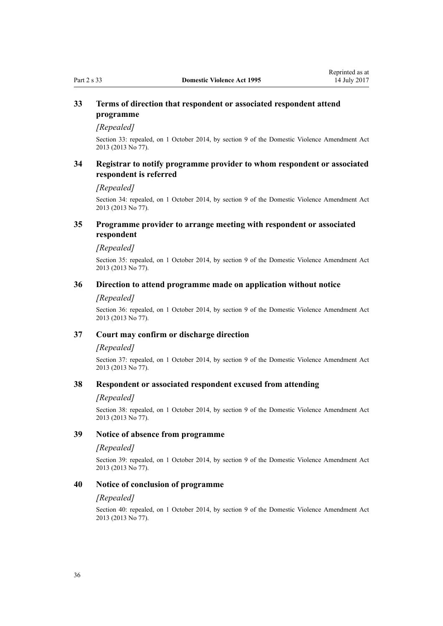# <span id="page-35-0"></span>**33 Terms of direction that respondent or associated respondent attend programme**

# *[Repealed]*

Section 33: repealed, on 1 October 2014, by [section 9](http://prd-lgnz-nlb.prd.pco.net.nz/pdflink.aspx?id=DLM5615655) of the Domestic Violence Amendment Act 2013 (2013 No 77).

# **34 Registrar to notify programme provider to whom respondent or associated respondent is referred**

#### *[Repealed]*

Section 34: repealed, on 1 October 2014, by [section 9](http://prd-lgnz-nlb.prd.pco.net.nz/pdflink.aspx?id=DLM5615655) of the Domestic Violence Amendment Act 2013 (2013 No 77).

# **35 Programme provider to arrange meeting with respondent or associated respondent**

#### *[Repealed]*

Section 35: repealed, on 1 October 2014, by [section 9](http://prd-lgnz-nlb.prd.pco.net.nz/pdflink.aspx?id=DLM5615655) of the Domestic Violence Amendment Act 2013 (2013 No 77).

# **36 Direction to attend programme made on application without notice**

#### *[Repealed]*

Section 36: repealed, on 1 October 2014, by [section 9](http://prd-lgnz-nlb.prd.pco.net.nz/pdflink.aspx?id=DLM5615655) of the Domestic Violence Amendment Act 2013 (2013 No 77).

#### **37 Court may confirm or discharge direction**

#### *[Repealed]*

Section 37: repealed, on 1 October 2014, by [section 9](http://prd-lgnz-nlb.prd.pco.net.nz/pdflink.aspx?id=DLM5615655) of the Domestic Violence Amendment Act 2013 (2013 No 77).

#### **38 Respondent or associated respondent excused from attending**

#### *[Repealed]*

Section 38: repealed, on 1 October 2014, by [section 9](http://prd-lgnz-nlb.prd.pco.net.nz/pdflink.aspx?id=DLM5615655) of the Domestic Violence Amendment Act 2013 (2013 No 77).

#### **39 Notice of absence from programme**

#### *[Repealed]*

Section 39: repealed, on 1 October 2014, by [section 9](http://prd-lgnz-nlb.prd.pco.net.nz/pdflink.aspx?id=DLM5615655) of the Domestic Violence Amendment Act 2013 (2013 No 77).

#### **40 Notice of conclusion of programme**

#### *[Repealed]*

Section 40: repealed, on 1 October 2014, by [section 9](http://prd-lgnz-nlb.prd.pco.net.nz/pdflink.aspx?id=DLM5615655) of the Domestic Violence Amendment Act 2013 (2013 No 77).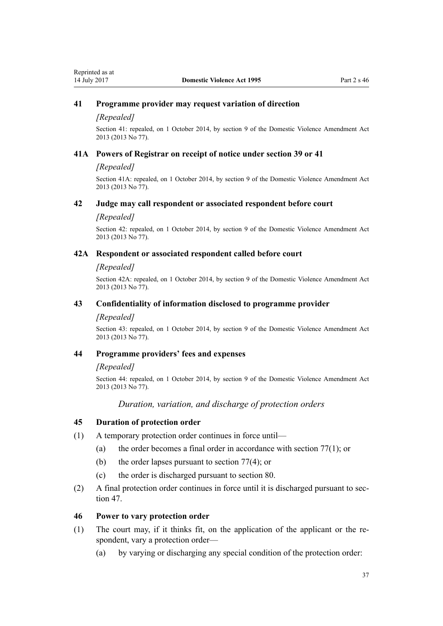## **41 Programme provider may request variation of direction**

#### *[Repealed]*

Section 41: repealed, on 1 October 2014, by [section 9](http://prd-lgnz-nlb.prd.pco.net.nz/pdflink.aspx?id=DLM5615655) of the Domestic Violence Amendment Act 2013 (2013 No 77).

#### **41A Powers of Registrar on receipt of notice under section 39 or 41**

#### *[Repealed]*

Section 41A: repealed, on 1 October 2014, by [section 9](http://prd-lgnz-nlb.prd.pco.net.nz/pdflink.aspx?id=DLM5615655) of the Domestic Violence Amendment Act 2013 (2013 No 77).

## **42 Judge may call respondent or associated respondent before court**

#### *[Repealed]*

Section 42: repealed, on 1 October 2014, by [section 9](http://prd-lgnz-nlb.prd.pco.net.nz/pdflink.aspx?id=DLM5615655) of the Domestic Violence Amendment Act 2013 (2013 No 77).

#### **42A Respondent or associated respondent called before court**

#### *[Repealed]*

Section 42A: repealed, on 1 October 2014, by [section 9](http://prd-lgnz-nlb.prd.pco.net.nz/pdflink.aspx?id=DLM5615655) of the Domestic Violence Amendment Act 2013 (2013 No 77).

#### **43 Confidentiality of information disclosed to programme provider**

#### *[Repealed]*

Section 43: repealed, on 1 October 2014, by [section 9](http://prd-lgnz-nlb.prd.pco.net.nz/pdflink.aspx?id=DLM5615655) of the Domestic Violence Amendment Act 2013 (2013 No 77).

#### **44 Programme providers' fees and expenses**

#### *[Repealed]*

Section 44: repealed, on 1 October 2014, by [section 9](http://prd-lgnz-nlb.prd.pco.net.nz/pdflink.aspx?id=DLM5615655) of the Domestic Violence Amendment Act 2013 (2013 No 77).

## *Duration, variation, and discharge of protection orders*

#### **45 Duration of protection order**

- (1) A temporary protection order continues in force until—
	- (a) the order becomes a final order in accordance with [section 77\(1\);](#page-62-0) or
	- (b) the order lapses pursuant to [section 77\(4\);](#page-62-0) or
	- (c) the order is discharged pursuant to [section 80.](#page-64-0)
- (2) A final protection order continues in force until it is discharged pursuant to [sec](#page-37-0)[tion 47](#page-37-0).

#### **46 Power to vary protection order**

- (1) The court may, if it thinks fit, on the application of the applicant or the respondent, vary a protection order—
	- (a) by varying or discharging any special condition of the protection order: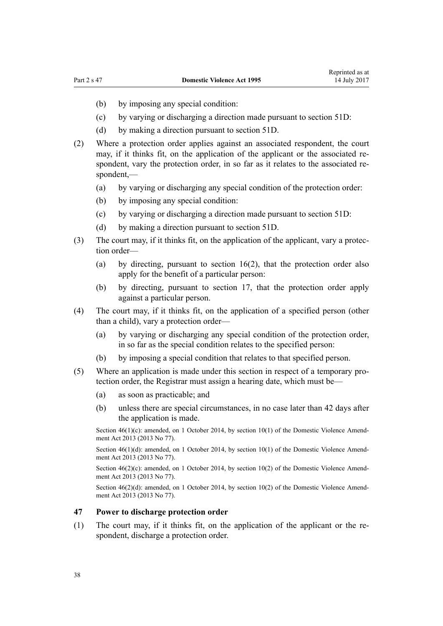- <span id="page-37-0"></span>(b) by imposing any special condition:
- (c) by varying or discharging a direction made pursuant to [section 51D](#page-42-0):
- (d) by making a direction pursuant to [section 51D](#page-42-0).
- (2) Where a protection order applies against an associated respondent, the court may, if it thinks fit, on the application of the applicant or the associated respondent, vary the protection order, in so far as it relates to the associated respondent,—
	- (a) by varying or discharging any special condition of the protection order:
	- (b) by imposing any special condition:
	- (c) by varying or discharging a direction made pursuant to [section 51D](#page-42-0):
	- (d) by making a direction pursuant to [section 51D](#page-42-0).
- (3) The court may, if it thinks fit, on the application of the applicant, vary a protection order—
	- (a) by directing, pursuant to [section 16\(2\)](#page-21-0), that the protection order also apply for the benefit of a particular person:
	- (b) by directing, pursuant to [section 17](#page-22-0), that the protection order apply against a particular person.
- (4) The court may, if it thinks fit, on the application of a specified person (other than a child), vary a protection order—
	- (a) by varying or discharging any special condition of the protection order, in so far as the special condition relates to the specified person:
	- (b) by imposing a special condition that relates to that specified person.
- (5) Where an application is made under this section in respect of a temporary protection order, the Registrar must assign a hearing date, which must be—
	- (a) as soon as practicable; and
	- (b) unless there are special circumstances, in no case later than 42 days after the application is made.

Section  $46(1)(c)$ : amended, on 1 October 2014, by [section 10\(1\)](http://prd-lgnz-nlb.prd.pco.net.nz/pdflink.aspx?id=DLM5615656) of the Domestic Violence Amendment Act 2013 (2013 No 77).

Section 46(1)(d): amended, on 1 October 2014, by [section 10\(1\)](http://prd-lgnz-nlb.prd.pco.net.nz/pdflink.aspx?id=DLM5615656) of the Domestic Violence Amendment Act 2013 (2013 No 77).

Section  $46(2)(c)$ : amended, on 1 October 2014, by [section 10\(2\)](http://prd-lgnz-nlb.prd.pco.net.nz/pdflink.aspx?id=DLM5615656) of the Domestic Violence Amendment Act 2013 (2013 No 77).

Section  $46(2)(d)$ : amended, on 1 October 2014, by [section 10\(2\)](http://prd-lgnz-nlb.prd.pco.net.nz/pdflink.aspx?id=DLM5615656) of the Domestic Violence Amendment Act 2013 (2013 No 77).

#### **47 Power to discharge protection order**

(1) The court may, if it thinks fit, on the application of the applicant or the respondent, discharge a protection order.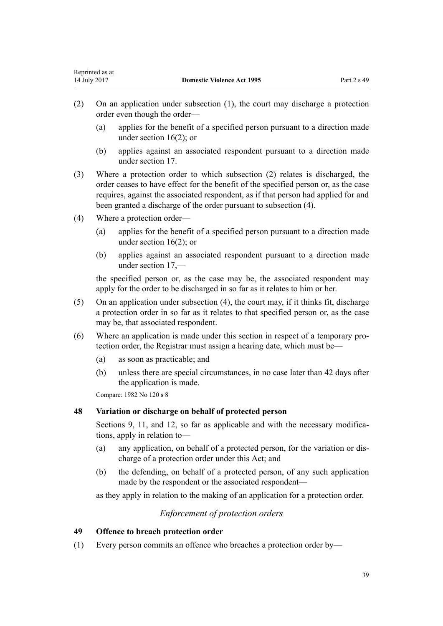- (2) On an application under subsection (1), the court may discharge a protection order even though the order—
	- (a) applies for the benefit of a specified person pursuant to a direction made under [section 16\(2\);](#page-21-0) or
	- (b) applies against an associated respondent pursuant to a direction made under [section 17](#page-22-0).
- (3) Where a protection order to which subsection (2) relates is discharged, the order ceases to have effect for the benefit of the specified person or, as the case requires, against the associated respondent, as if that person had applied for and been granted a discharge of the order pursuant to subsection (4).
- (4) Where a protection order—
	- (a) applies for the benefit of a specified person pursuant to a direction made under [section 16\(2\);](#page-21-0) or
	- (b) applies against an associated respondent pursuant to a direction made under [section 17](#page-22-0),—

the specified person or, as the case may be, the associated respondent may apply for the order to be discharged in so far as it relates to him or her.

- (5) On an application under subsection (4), the court may, if it thinks fit, discharge a protection order in so far as it relates to that specified person or, as the case may be, that associated respondent.
- (6) Where an application is made under this section in respect of a temporary protection order, the Registrar must assign a hearing date, which must be—
	- (a) as soon as practicable; and
	- (b) unless there are special circumstances, in no case later than 42 days after the application is made.

Compare: 1982 No 120 s 8

## **48 Variation or discharge on behalf of protected person**

[Sections 9](#page-15-0), [11](#page-17-0), and [12](#page-17-0), so far as applicable and with the necessary modifications, apply in relation to—

- (a) any application, on behalf of a protected person, for the variation or discharge of a protection order under this Act; and
- (b) the defending, on behalf of a protected person, of any such application made by the respondent or the associated respondent—

as they apply in relation to the making of an application for a protection order.

## *Enforcement of protection orders*

## **49 Offence to breach protection order**

(1) Every person commits an offence who breaches a protection order by—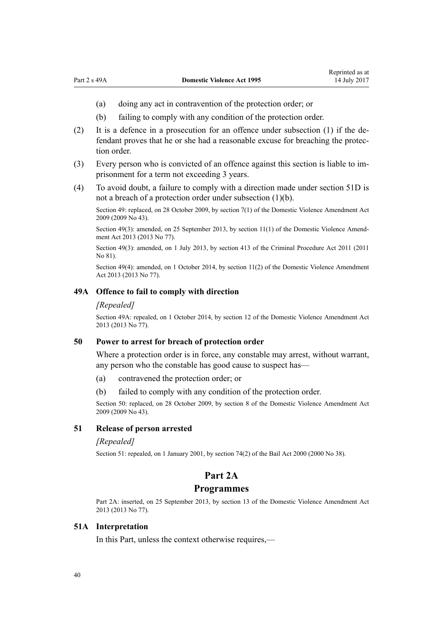- (a) doing any act in contravention of the protection order; or
- (b) failing to comply with any condition of the protection order.
- (2) It is a defence in a prosecution for an offence under subsection (1) if the defendant proves that he or she had a reasonable excuse for breaching the protection order.
- (3) Every person who is convicted of an offence against this section is liable to imprisonment for a term not exceeding 3 years.
- (4) To avoid doubt, a failure to comply with a direction made under [section 51D](#page-42-0) is not a breach of a protection order under subsection (1)(b).

Section 49: replaced, on 28 October 2009, by [section 7\(1\)](http://prd-lgnz-nlb.prd.pco.net.nz/pdflink.aspx?id=DLM1774213) of the Domestic Violence Amendment Act 2009 (2009 No 43).

Section 49(3): amended, on 25 September 2013, by [section 11\(1\)](http://prd-lgnz-nlb.prd.pco.net.nz/pdflink.aspx?id=DLM5615657) of the Domestic Violence Amendment Act 2013 (2013 No 77).

Section 49(3): amended, on 1 July 2013, by [section 413](http://prd-lgnz-nlb.prd.pco.net.nz/pdflink.aspx?id=DLM3360714) of the Criminal Procedure Act 2011 (2011 No 81).

Section 49(4): amended, on 1 October 2014, by [section 11\(2\)](http://prd-lgnz-nlb.prd.pco.net.nz/pdflink.aspx?id=DLM5615657) of the Domestic Violence Amendment Act 2013 (2013 No 77).

#### **49A Offence to fail to comply with direction**

#### *[Repealed]*

Section 49A: repealed, on 1 October 2014, by [section 12](http://prd-lgnz-nlb.prd.pco.net.nz/pdflink.aspx?id=DLM5615658) of the Domestic Violence Amendment Act 2013 (2013 No 77).

## **50 Power to arrest for breach of protection order**

Where a protection order is in force, any constable may arrest, without warrant, any person who the constable has good cause to suspect has—

- (a) contravened the protection order; or
- (b) failed to comply with any condition of the protection order.

Section 50: replaced, on 28 October 2009, by [section 8](http://prd-lgnz-nlb.prd.pco.net.nz/pdflink.aspx?id=DLM1774216) of the Domestic Violence Amendment Act 2009 (2009 No 43).

## **51 Release of person arrested**

#### *[Repealed]*

Section 51: repealed, on 1 January 2001, by [section 74\(2\)](http://prd-lgnz-nlb.prd.pco.net.nz/pdflink.aspx?id=DLM69643) of the Bail Act 2000 (2000 No 38).

## **Part 2A**

#### **Programmes**

Part 2A: inserted, on 25 September 2013, by [section 13](http://prd-lgnz-nlb.prd.pco.net.nz/pdflink.aspx?id=DLM5615659) of the Domestic Violence Amendment Act 2013 (2013 No 77).

## **51A Interpretation**

In this Part, unless the context otherwise requires,—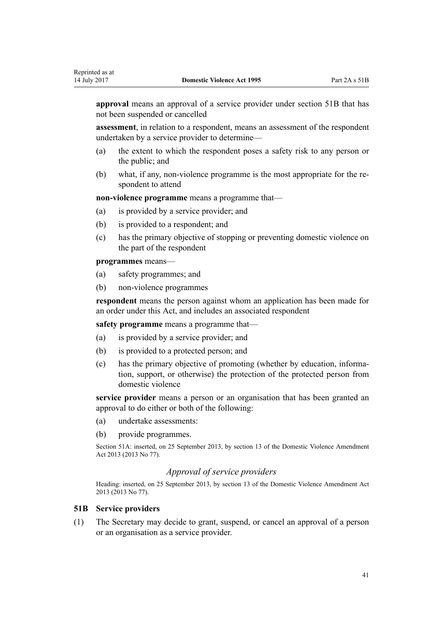**approval** means an approval of a service provider under section 51B that has not been suspended or cancelled

**assessment**, in relation to a respondent, means an assessment of the respondent undertaken by a service provider to determine—

- (a) the extent to which the respondent poses a safety risk to any person or the public; and
- (b) what, if any, non-violence programme is the most appropriate for the respondent to attend

**non-violence programme** means a programme that—

- (a) is provided by a service provider; and
- (b) is provided to a respondent; and
- (c) has the primary objective of stopping or preventing domestic violence on the part of the respondent

**programmes** means—

- (a) safety programmes; and
- (b) non-violence programmes

**respondent** means the person against whom an application has been made for an order under this Act, and includes an associated respondent

**safety programme** means a programme that—

- (a) is provided by a service provider; and
- (b) is provided to a protected person; and
- (c) has the primary objective of promoting (whether by education, information, support, or otherwise) the protection of the protected person from domestic violence

**service provider** means a person or an organisation that has been granted an approval to do either or both of the following:

- (a) undertake assessments:
- (b) provide programmes.

Section 51A: inserted, on 25 September 2013, by [section 13](http://prd-lgnz-nlb.prd.pco.net.nz/pdflink.aspx?id=DLM5615659) of the Domestic Violence Amendment Act 2013 (2013 No 77).

## *Approval of service providers*

Heading: inserted, on 25 September 2013, by [section 13](http://prd-lgnz-nlb.prd.pco.net.nz/pdflink.aspx?id=DLM5615659) of the Domestic Violence Amendment Act 2013 (2013 No 77).

#### **51B Service providers**

(1) The Secretary may decide to grant, suspend, or cancel an approval of a person or an organisation as a service provider.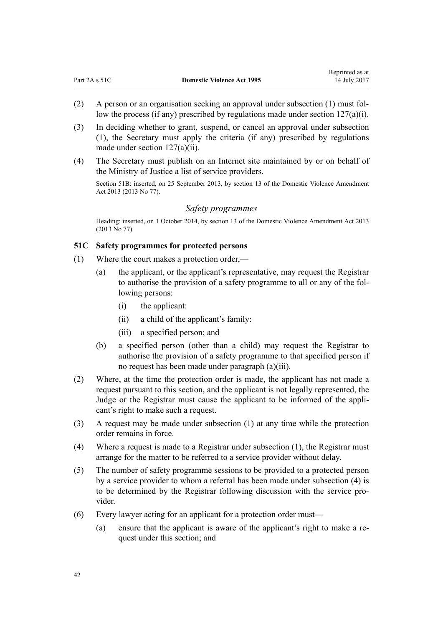- (2) A person or an organisation seeking an approval under subsection (1) must follow the process (if any) prescribed by regulations made under section  $127(a)(i)$ .
- (3) In deciding whether to grant, suspend, or cancel an approval under subsection (1), the Secretary must apply the criteria (if any) prescribed by regulations made under [section 127\(a\)\(ii\).](#page-96-0)
- (4) The Secretary must publish on an Internet site maintained by or on behalf of the Ministry of Justice a list of service providers.

Section 51B: inserted, on 25 September 2013, by [section 13](http://prd-lgnz-nlb.prd.pco.net.nz/pdflink.aspx?id=DLM5615659) of the Domestic Violence Amendment Act 2013 (2013 No 77).

#### *Safety programmes*

Heading: inserted, on 1 October 2014, by [section 13](http://prd-lgnz-nlb.prd.pco.net.nz/pdflink.aspx?id=DLM5615659) of the Domestic Violence Amendment Act 2013 (2013 No 77).

#### **51C Safety programmes for protected persons**

- (1) Where the court makes a protection order,—
	- (a) the applicant, or the applicant's representative, may request the Registrar to authorise the provision of a safety programme to all or any of the following persons:
		- (i) the applicant:
		- (ii) a child of the applicant's family:
		- (iii) a specified person; and
	- (b) a specified person (other than a child) may request the Registrar to authorise the provision of a safety programme to that specified person if no request has been made under paragraph (a)(iii).
- (2) Where, at the time the protection order is made, the applicant has not made a request pursuant to this section, and the applicant is not legally represented, the Judge or the Registrar must cause the applicant to be informed of the applicant's right to make such a request.
- (3) A request may be made under subsection (1) at any time while the protection order remains in force.
- (4) Where a request is made to a Registrar under subsection (1), the Registrar must arrange for the matter to be referred to a service provider without delay.
- (5) The number of safety programme sessions to be provided to a protected person by a service provider to whom a referral has been made under subsection (4) is to be determined by the Registrar following discussion with the service provider.
- (6) Every lawyer acting for an applicant for a protection order must—
	- (a) ensure that the applicant is aware of the applicant's right to make a request under this section; and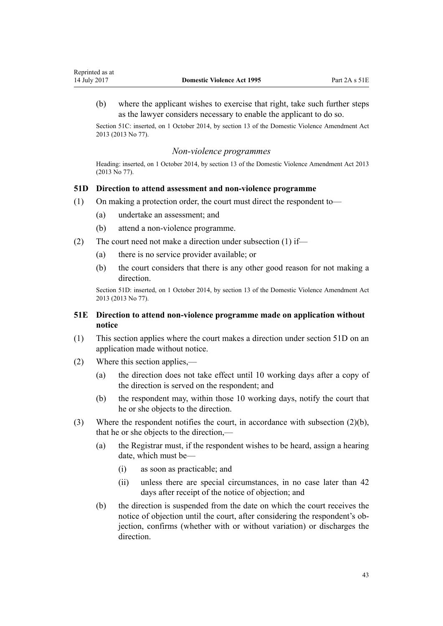<span id="page-42-0"></span>(b) where the applicant wishes to exercise that right, take such further steps as the lawyer considers necessary to enable the applicant to do so.

Section 51C: inserted, on 1 October 2014, by [section 13](http://prd-lgnz-nlb.prd.pco.net.nz/pdflink.aspx?id=DLM5615659) of the Domestic Violence Amendment Act 2013 (2013 No 77).

#### *Non-violence programmes*

Heading: inserted, on 1 October 2014, by [section 13](http://prd-lgnz-nlb.prd.pco.net.nz/pdflink.aspx?id=DLM5615659) of the Domestic Violence Amendment Act 2013 (2013 No 77).

#### **51D Direction to attend assessment and non-violence programme**

- (1) On making a protection order, the court must direct the respondent to—
	- (a) undertake an assessment; and
	- (b) attend a non-violence programme.
- (2) The court need not make a direction under subsection (1) if—
	- (a) there is no service provider available; or
	- (b) the court considers that there is any other good reason for not making a direction.

Section 51D: inserted, on 1 October 2014, by [section 13](http://prd-lgnz-nlb.prd.pco.net.nz/pdflink.aspx?id=DLM5615659) of the Domestic Violence Amendment Act 2013 (2013 No 77).

## **51E Direction to attend non-violence programme made on application without notice**

- (1) This section applies where the court makes a direction under section 51D on an application made without notice.
- (2) Where this section applies,—
	- (a) the direction does not take effect until 10 working days after a copy of the direction is served on the respondent; and
	- (b) the respondent may, within those 10 working days, notify the court that he or she objects to the direction.
- (3) Where the respondent notifies the court, in accordance with subsection (2)(b), that he or she objects to the direction,—
	- (a) the Registrar must, if the respondent wishes to be heard, assign a hearing date, which must be—
		- (i) as soon as practicable; and
		- (ii) unless there are special circumstances, in no case later than 42 days after receipt of the notice of objection; and
	- (b) the direction is suspended from the date on which the court receives the notice of objection until the court, after considering the respondent's objection, confirms (whether with or without variation) or discharges the direction.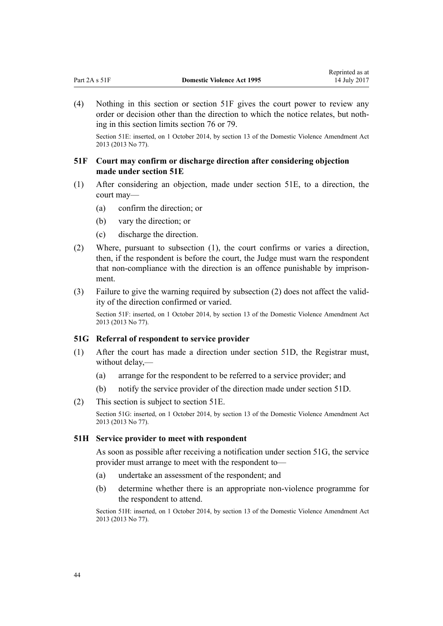<span id="page-43-0"></span>(4) Nothing in this section or section 51F gives the court power to review any order or decision other than the direction to which the notice relates, but nothing in this section limits [section 76](#page-61-0) or [79](#page-63-0).

Section 51E: inserted, on 1 October 2014, by [section 13](http://prd-lgnz-nlb.prd.pco.net.nz/pdflink.aspx?id=DLM5615659) of the Domestic Violence Amendment Act 2013 (2013 No 77).

## **51F Court may confirm or discharge direction after considering objection made under section 51E**

- (1) After considering an objection, made under [section 51E](#page-42-0), to a direction, the court may—
	- (a) confirm the direction; or
	- (b) vary the direction; or
	- (c) discharge the direction.
- (2) Where, pursuant to subsection (1), the court confirms or varies a direction, then, if the respondent is before the court, the Judge must warn the respondent that non-compliance with the direction is an offence punishable by imprisonment.
- (3) Failure to give the warning required by subsection (2) does not affect the validity of the direction confirmed or varied.

Section 51F: inserted, on 1 October 2014, by [section 13](http://prd-lgnz-nlb.prd.pco.net.nz/pdflink.aspx?id=DLM5615659) of the Domestic Violence Amendment Act 2013 (2013 No 77).

#### **51G Referral of respondent to service provider**

- (1) After the court has made a direction under [section 51D,](#page-42-0) the Registrar must, without delay,—
	- (a) arrange for the respondent to be referred to a service provider; and
	- (b) notify the service provider of the direction made under [section 51D.](#page-42-0)
- (2) This section is subject to [section 51E.](#page-42-0)

Section 51G: inserted, on 1 October 2014, by [section 13](http://prd-lgnz-nlb.prd.pco.net.nz/pdflink.aspx?id=DLM5615659) of the Domestic Violence Amendment Act 2013 (2013 No 77).

#### **51H Service provider to meet with respondent**

As soon as possible after receiving a notification under section 51G, the service provider must arrange to meet with the respondent to—

- (a) undertake an assessment of the respondent; and
- (b) determine whether there is an appropriate non-violence programme for the respondent to attend.

Section 51H: inserted, on 1 October 2014, by [section 13](http://prd-lgnz-nlb.prd.pco.net.nz/pdflink.aspx?id=DLM5615659) of the Domestic Violence Amendment Act 2013 (2013 No 77).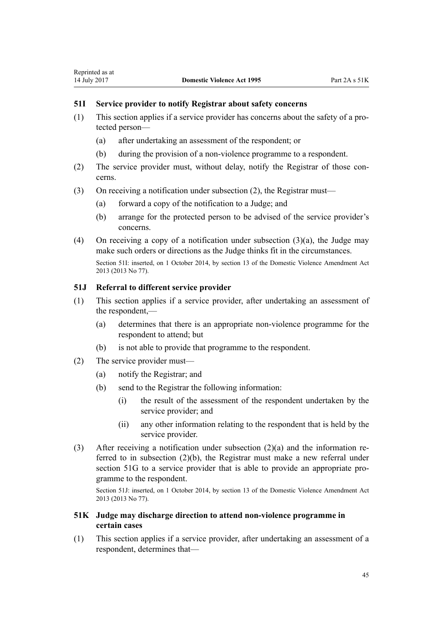## <span id="page-44-0"></span>**51I Service provider to notify Registrar about safety concerns**

- (1) This section applies if a service provider has concerns about the safety of a protected person—
	- (a) after undertaking an assessment of the respondent; or
	- (b) during the provision of a non-violence programme to a respondent.
- (2) The service provider must, without delay, notify the Registrar of those concerns.
- (3) On receiving a notification under subsection (2), the Registrar must—
	- (a) forward a copy of the notification to a Judge; and
	- (b) arrange for the protected person to be advised of the service provider's concerns.
- (4) On receiving a copy of a notification under subsection (3)(a), the Judge may make such orders or directions as the Judge thinks fit in the circumstances. Section 51I: inserted, on 1 October 2014, by [section 13](http://prd-lgnz-nlb.prd.pco.net.nz/pdflink.aspx?id=DLM5615659) of the Domestic Violence Amendment Act 2013 (2013 No 77).

## **51J Referral to different service provider**

- (1) This section applies if a service provider, after undertaking an assessment of the respondent,—
	- (a) determines that there is an appropriate non-violence programme for the respondent to attend; but
	- (b) is not able to provide that programme to the respondent.
- (2) The service provider must—
	- (a) notify the Registrar; and
	- (b) send to the Registrar the following information:
		- (i) the result of the assessment of the respondent undertaken by the service provider; and
		- (ii) any other information relating to the respondent that is held by the service provider.
- (3) After receiving a notification under subsection (2)(a) and the information referred to in subsection (2)(b), the Registrar must make a new referral under [section 51G](#page-43-0) to a service provider that is able to provide an appropriate programme to the respondent.

Section 51J: inserted, on 1 October 2014, by [section 13](http://prd-lgnz-nlb.prd.pco.net.nz/pdflink.aspx?id=DLM5615659) of the Domestic Violence Amendment Act 2013 (2013 No 77).

## **51K Judge may discharge direction to attend non-violence programme in certain cases**

(1) This section applies if a service provider, after undertaking an assessment of a respondent, determines that—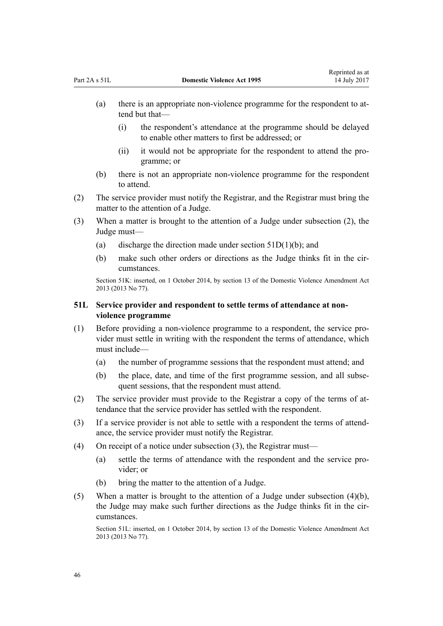- <span id="page-45-0"></span>(a) there is an appropriate non-violence programme for the respondent to attend but that—
	- (i) the respondent's attendance at the programme should be delayed to enable other matters to first be addressed; or
	- (ii) it would not be appropriate for the respondent to attend the programme; or
- (b) there is not an appropriate non-violence programme for the respondent to attend.
- (2) The service provider must notify the Registrar, and the Registrar must bring the matter to the attention of a Judge.
- (3) When a matter is brought to the attention of a Judge under subsection (2), the Judge must—
	- (a) discharge the direction made under section  $51D(1)(b)$ ; and
	- (b) make such other orders or directions as the Judge thinks fit in the circumstances.

Section 51K: inserted, on 1 October 2014, by [section 13](http://prd-lgnz-nlb.prd.pco.net.nz/pdflink.aspx?id=DLM5615659) of the Domestic Violence Amendment Act 2013 (2013 No 77).

## **51L Service provider and respondent to settle terms of attendance at nonviolence programme**

- (1) Before providing a non-violence programme to a respondent, the service provider must settle in writing with the respondent the terms of attendance, which must include—
	- (a) the number of programme sessions that the respondent must attend; and
	- (b) the place, date, and time of the first programme session, and all subsequent sessions, that the respondent must attend.
- (2) The service provider must provide to the Registrar a copy of the terms of attendance that the service provider has settled with the respondent.
- (3) If a service provider is not able to settle with a respondent the terms of attendance, the service provider must notify the Registrar.
- (4) On receipt of a notice under subsection (3), the Registrar must—
	- (a) settle the terms of attendance with the respondent and the service provider; or
	- (b) bring the matter to the attention of a Judge.
- (5) When a matter is brought to the attention of a Judge under subsection (4)(b), the Judge may make such further directions as the Judge thinks fit in the circumstances.

Section 51L: inserted, on 1 October 2014, by [section 13](http://prd-lgnz-nlb.prd.pco.net.nz/pdflink.aspx?id=DLM5615659) of the Domestic Violence Amendment Act 2013 (2013 No 77).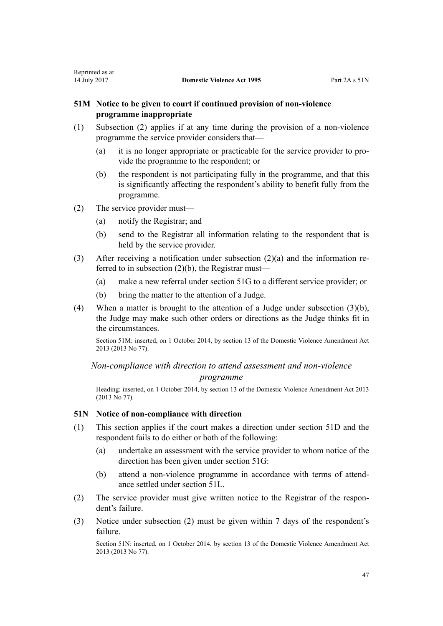## <span id="page-46-0"></span>**51M Notice to be given to court if continued provision of non-violence programme inappropriate**

- (1) Subsection (2) applies if at any time during the provision of a non-violence programme the service provider considers that—
	- (a) it is no longer appropriate or practicable for the service provider to provide the programme to the respondent; or
	- (b) the respondent is not participating fully in the programme, and that this is significantly affecting the respondent's ability to benefit fully from the programme.
- (2) The service provider must—
	- (a) notify the Registrar; and
	- (b) send to the Registrar all information relating to the respondent that is held by the service provider.
- (3) After receiving a notification under subsection (2)(a) and the information referred to in subsection (2)(b), the Registrar must—
	- (a) make a new referral under [section 51G](#page-43-0) to a different service provider; or
	- (b) bring the matter to the attention of a Judge.
- (4) When a matter is brought to the attention of a Judge under subsection (3)(b), the Judge may make such other orders or directions as the Judge thinks fit in the circumstances.

Section 51M: inserted, on 1 October 2014, by [section 13](http://prd-lgnz-nlb.prd.pco.net.nz/pdflink.aspx?id=DLM5615659) of the Domestic Violence Amendment Act 2013 (2013 No 77).

*Non-compliance with direction to attend assessment and non-violence programme*

Heading: inserted, on 1 October 2014, by [section 13](http://prd-lgnz-nlb.prd.pco.net.nz/pdflink.aspx?id=DLM5615659) of the Domestic Violence Amendment Act 2013 (2013 No 77).

## **51N Notice of non-compliance with direction**

- (1) This section applies if the court makes a direction under [section 51D](#page-42-0) and the respondent fails to do either or both of the following:
	- (a) undertake an assessment with the service provider to whom notice of the direction has been given under [section 51G](#page-43-0):
	- (b) attend a non-violence programme in accordance with terms of attendance settled under [section 51L](#page-45-0).
- (2) The service provider must give written notice to the Registrar of the respondent's failure.
- (3) Notice under subsection (2) must be given within 7 days of the respondent's failure.

Section 51N: inserted, on 1 October 2014, by [section 13](http://prd-lgnz-nlb.prd.pco.net.nz/pdflink.aspx?id=DLM5615659) of the Domestic Violence Amendment Act 2013 (2013 No 77).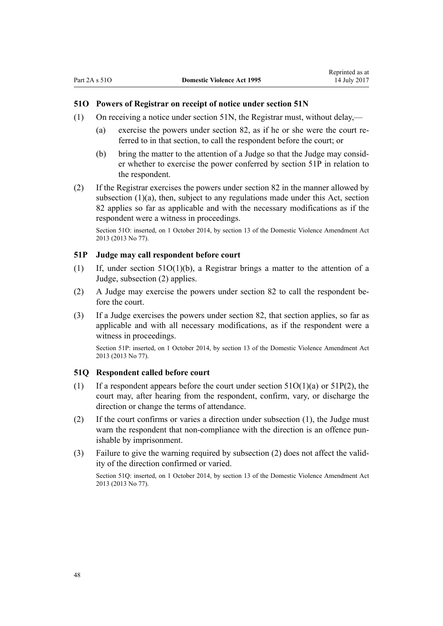## <span id="page-47-0"></span>**51O Powers of Registrar on receipt of notice under section 51N**

- (1) On receiving a notice under [section 51N](#page-46-0), the Registrar must, without delay,—
	- (a) exercise the powers under [section 82,](#page-67-0) as if he or she were the court referred to in that section, to call the respondent before the court; or
	- (b) bring the matter to the attention of a Judge so that the Judge may consider whether to exercise the power conferred by section 51P in relation to the respondent.
- (2) If the Registrar exercises the powers under [section 82](#page-67-0) in the manner allowed by subsection (1)(a), then, subject to any regulations made under this Act, section 82 applies so far as applicable and with the necessary modifications as if the respondent were a witness in proceedings.

Section 51O: inserted, on 1 October 2014, by [section 13](http://prd-lgnz-nlb.prd.pco.net.nz/pdflink.aspx?id=DLM5615659) of the Domestic Violence Amendment Act 2013 (2013 No 77).

#### **51P Judge may call respondent before court**

- (1) If, under section 51O(1)(b), a Registrar brings a matter to the attention of a Judge, subsection (2) applies.
- (2) A Judge may exercise the powers under [section 82](#page-67-0) to call the respondent before the court.
- (3) If a Judge exercises the powers under [section 82](#page-67-0), that section applies, so far as applicable and with all necessary modifications, as if the respondent were a witness in proceedings.

Section 51P: inserted, on 1 October 2014, by [section 13](http://prd-lgnz-nlb.prd.pco.net.nz/pdflink.aspx?id=DLM5615659) of the Domestic Violence Amendment Act 2013 (2013 No 77).

#### **51Q Respondent called before court**

- (1) If a respondent appears before the court under section  $51O(1)(a)$  or  $51P(2)$ , the court may, after hearing from the respondent, confirm, vary, or discharge the direction or change the terms of attendance.
- (2) If the court confirms or varies a direction under subsection (1), the Judge must warn the respondent that non-compliance with the direction is an offence punishable by imprisonment.
- (3) Failure to give the warning required by subsection (2) does not affect the validity of the direction confirmed or varied.

Section 51Q: inserted, on 1 October 2014, by [section 13](http://prd-lgnz-nlb.prd.pco.net.nz/pdflink.aspx?id=DLM5615659) of the Domestic Violence Amendment Act 2013 (2013 No 77).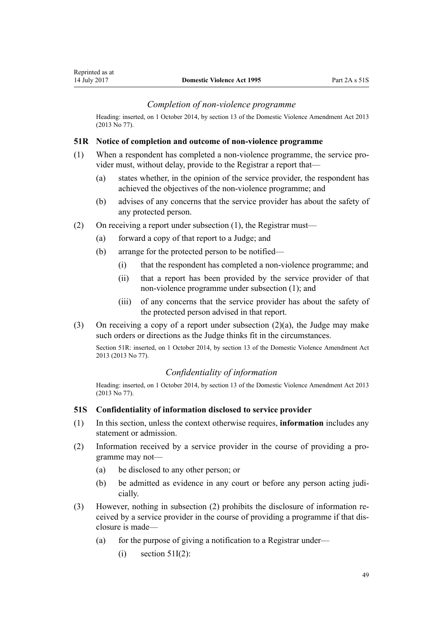## *Completion of non-violence programme*

Heading: inserted, on 1 October 2014, by [section 13](http://prd-lgnz-nlb.prd.pco.net.nz/pdflink.aspx?id=DLM5615659) of the Domestic Violence Amendment Act 2013 (2013 No 77).

#### **51R Notice of completion and outcome of non-violence programme**

- (1) When a respondent has completed a non-violence programme, the service provider must, without delay, provide to the Registrar a report that—
	- (a) states whether, in the opinion of the service provider, the respondent has achieved the objectives of the non-violence programme; and
	- (b) advises of any concerns that the service provider has about the safety of any protected person.
- (2) On receiving a report under subsection (1), the Registrar must—
	- (a) forward a copy of that report to a Judge; and
	- (b) arrange for the protected person to be notified—
		- (i) that the respondent has completed a non-violence programme; and
		- (ii) that a report has been provided by the service provider of that non-violence programme under subsection (1); and
		- (iii) of any concerns that the service provider has about the safety of the protected person advised in that report.
- (3) On receiving a copy of a report under subsection (2)(a), the Judge may make such orders or directions as the Judge thinks fit in the circumstances.

Section 51R: inserted, on 1 October 2014, by [section 13](http://prd-lgnz-nlb.prd.pco.net.nz/pdflink.aspx?id=DLM5615659) of the Domestic Violence Amendment Act 2013 (2013 No 77).

## *Confidentiality of information*

Heading: inserted, on 1 October 2014, by [section 13](http://prd-lgnz-nlb.prd.pco.net.nz/pdflink.aspx?id=DLM5615659) of the Domestic Violence Amendment Act 2013 (2013 No 77).

#### **51S Confidentiality of information disclosed to service provider**

- (1) In this section, unless the context otherwise requires, **information** includes any statement or admission.
- (2) Information received by a service provider in the course of providing a programme may not—
	- (a) be disclosed to any other person; or
	- (b) be admitted as evidence in any court or before any person acting judicially.
- (3) However, nothing in subsection (2) prohibits the disclosure of information received by a service provider in the course of providing a programme if that disclosure is made—
	- (a) for the purpose of giving a notification to a Registrar under—
		- $(i)$  [section 51I\(2\)](#page-44-0):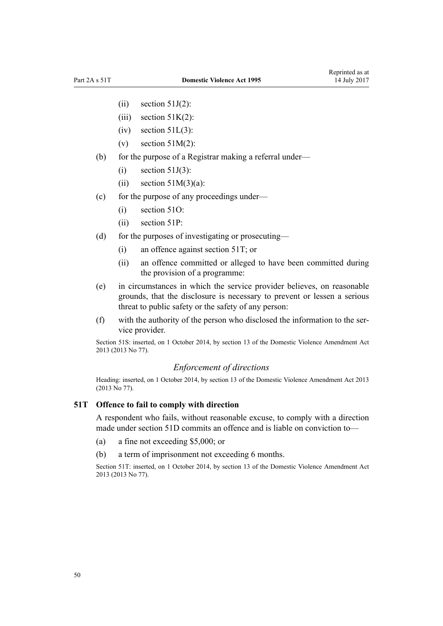- $(ii)$  [section 51J\(2\)](#page-44-0):
- (iii) section  $51K(2)$ :
- $(iv)$  section  $51L(3)$ :
- (v) section  $51M(2)$ :
- (b) for the purpose of a Registrar making a referral under—
	- $(i)$  [section 51J\(3\)](#page-44-0):
	- (ii) section  $51M(3)(a)$ :
- (c) for the purpose of any proceedings under—
	- (i) [section 51O](#page-47-0):
	- (ii) [section 51P:](#page-47-0)
- (d) for the purposes of investigating or prosecuting—
	- (i) an offence against section 51T; or
	- (ii) an offence committed or alleged to have been committed during the provision of a programme:
- (e) in circumstances in which the service provider believes, on reasonable grounds, that the disclosure is necessary to prevent or lessen a serious threat to public safety or the safety of any person:
- (f) with the authority of the person who disclosed the information to the service provider.

Section 51S: inserted, on 1 October 2014, by [section 13](http://prd-lgnz-nlb.prd.pco.net.nz/pdflink.aspx?id=DLM5615659) of the Domestic Violence Amendment Act 2013 (2013 No 77).

## *Enforcement of directions*

Heading: inserted, on 1 October 2014, by [section 13](http://prd-lgnz-nlb.prd.pco.net.nz/pdflink.aspx?id=DLM5615659) of the Domestic Violence Amendment Act 2013 (2013 No 77).

#### **51T Offence to fail to comply with direction**

A respondent who fails, without reasonable excuse, to comply with a direction made under [section 51D](#page-42-0) commits an offence and is liable on conviction to—

- (a) a fine not exceeding \$5,000; or
- (b) a term of imprisonment not exceeding 6 months.

Section 51T: inserted, on 1 October 2014, by [section 13](http://prd-lgnz-nlb.prd.pco.net.nz/pdflink.aspx?id=DLM5615659) of the Domestic Violence Amendment Act 2013 (2013 No 77).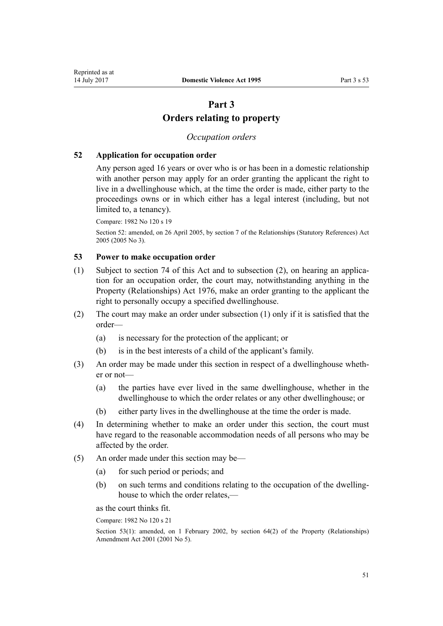# **Part 3 Orders relating to property**

## *Occupation orders*

#### <span id="page-50-0"></span>**52 Application for occupation order**

Any person aged 16 years or over who is or has been in a domestic relationship with another person may apply for an order granting the applicant the right to live in a dwellinghouse which, at the time the order is made, either party to the proceedings owns or in which either has a legal interest (including, but not limited to, a tenancy).

Compare: 1982 No 120 s 19

Section 52: amended, on 26 April 2005, by [section 7](http://prd-lgnz-nlb.prd.pco.net.nz/pdflink.aspx?id=DLM333795) of the Relationships (Statutory References) Act 2005 (2005 No 3).

## **53 Power to make occupation order**

- (1) Subject to [section 74](#page-61-0) of this Act and to subsection (2), on hearing an application for an occupation order, the court may, notwithstanding anything in the [Property \(Relationships\) Act 1976,](http://prd-lgnz-nlb.prd.pco.net.nz/pdflink.aspx?id=DLM440944) make an order granting to the applicant the right to personally occupy a specified dwellinghouse.
- (2) The court may make an order under subsection (1) only if it is satisfied that the order—
	- (a) is necessary for the protection of the applicant; or
	- (b) is in the best interests of a child of the applicant's family.
- (3) An order may be made under this section in respect of a dwellinghouse whether or not—
	- (a) the parties have ever lived in the same dwellinghouse, whether in the dwellinghouse to which the order relates or any other dwellinghouse; or
	- (b) either party lives in the dwellinghouse at the time the order is made.
- (4) In determining whether to make an order under this section, the court must have regard to the reasonable accommodation needs of all persons who may be affected by the order.
- (5) An order made under this section may be—
	- (a) for such period or periods; and
	- (b) on such terms and conditions relating to the occupation of the dwellinghouse to which the order relates,—

as the court thinks fit.

Compare: 1982 No 120 s 21

Section 53(1): amended, on 1 February 2002, by [section 64\(2\)](http://prd-lgnz-nlb.prd.pco.net.nz/pdflink.aspx?id=DLM87570) of the Property (Relationships) Amendment Act 2001 (2001 No 5).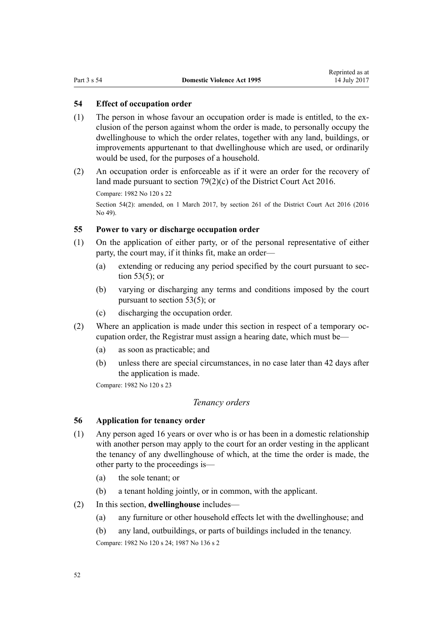## <span id="page-51-0"></span>**54 Effect of occupation order**

- (1) The person in whose favour an occupation order is made is entitled, to the exclusion of the person against whom the order is made, to personally occupy the dwellinghouse to which the order relates, together with any land, buildings, or improvements appurtenant to that dwellinghouse which are used, or ordinarily would be used, for the purposes of a household.
- (2) An occupation order is enforceable as if it were an order for the recovery of land made pursuant to [section 79\(2\)\(c\)](http://prd-lgnz-nlb.prd.pco.net.nz/pdflink.aspx?id=DLM6942376) of the District Court Act 2016.

Compare: 1982 No 120 s 22

Section 54(2): amended, on 1 March 2017, by [section 261](http://prd-lgnz-nlb.prd.pco.net.nz/pdflink.aspx?id=DLM6942680) of the District Court Act 2016 (2016) No 49).

## **55 Power to vary or discharge occupation order**

- (1) On the application of either party, or of the personal representative of either party, the court may, if it thinks fit, make an order—
	- (a) extending or reducing any period specified by the court pursuant to [sec](#page-50-0)[tion 53\(5\);](#page-50-0) or
	- (b) varying or discharging any terms and conditions imposed by the court pursuant to [section 53\(5\);](#page-50-0) or
	- (c) discharging the occupation order.
- (2) Where an application is made under this section in respect of a temporary occupation order, the Registrar must assign a hearing date, which must be—
	- (a) as soon as practicable; and
	- (b) unless there are special circumstances, in no case later than 42 days after the application is made.

Compare: 1982 No 120 s 23

## *Tenancy orders*

## **56 Application for tenancy order**

- (1) Any person aged 16 years or over who is or has been in a domestic relationship with another person may apply to the court for an order vesting in the applicant the tenancy of any dwellinghouse of which, at the time the order is made, the other party to the proceedings is—
	- (a) the sole tenant; or
	- (b) a tenant holding jointly, or in common, with the applicant.
- (2) In this section, **dwellinghouse** includes—
	- (a) any furniture or other household effects let with the dwellinghouse; and
	- (b) any land, outbuildings, or parts of buildings included in the tenancy.

Compare: 1982 No 120 s 24; 1987 No 136 s 2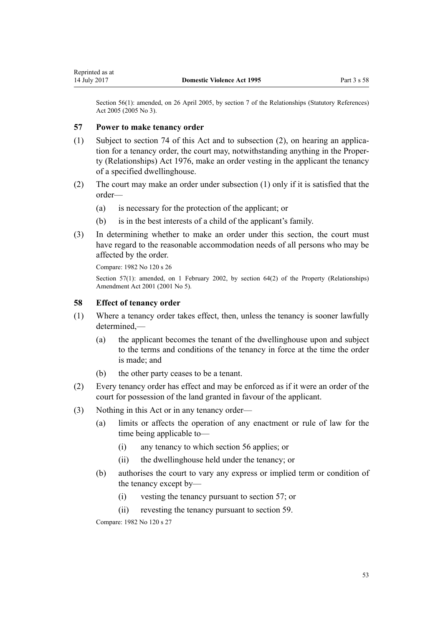Section 56(1): amended, on 26 April 2005, by [section 7](http://prd-lgnz-nlb.prd.pco.net.nz/pdflink.aspx?id=DLM333795) of the Relationships (Statutory References) Act 2005 (2005 No 3).

#### **57 Power to make tenancy order**

- (1) Subject to [section 74](#page-61-0) of this Act and to subsection (2), on hearing an application for a tenancy order, the court may, notwithstanding anything in the [Proper](http://prd-lgnz-nlb.prd.pco.net.nz/pdflink.aspx?id=DLM440944)[ty \(Relationships\) Act 1976](http://prd-lgnz-nlb.prd.pco.net.nz/pdflink.aspx?id=DLM440944), make an order vesting in the applicant the tenancy of a specified dwellinghouse.
- (2) The court may make an order under subsection (1) only if it is satisfied that the order—
	- (a) is necessary for the protection of the applicant; or
	- (b) is in the best interests of a child of the applicant's family.
- (3) In determining whether to make an order under this section, the court must have regard to the reasonable accommodation needs of all persons who may be affected by the order.

Compare: 1982 No 120 s 26

Section 57(1): amended, on 1 February 2002, by [section 64\(2\)](http://prd-lgnz-nlb.prd.pco.net.nz/pdflink.aspx?id=DLM87570) of the Property (Relationships) Amendment Act 2001 (2001 No 5).

#### **58 Effect of tenancy order**

- (1) Where a tenancy order takes effect, then, unless the tenancy is sooner lawfully determined —
	- (a) the applicant becomes the tenant of the dwellinghouse upon and subject to the terms and conditions of the tenancy in force at the time the order is made; and
	- (b) the other party ceases to be a tenant.
- (2) Every tenancy order has effect and may be enforced as if it were an order of the court for possession of the land granted in favour of the applicant.
- (3) Nothing in this Act or in any tenancy order—
	- (a) limits or affects the operation of any enactment or rule of law for the time being applicable to—
		- (i) any tenancy to which [section 56](#page-51-0) applies; or
		- (ii) the dwellinghouse held under the tenancy; or
	- (b) authorises the court to vary any express or implied term or condition of the tenancy except by—
		- (i) vesting the tenancy pursuant to section 57; or
		- (ii) revesting the tenancy pursuant to [section 59](#page-53-0).

Compare: 1982 No 120 s 27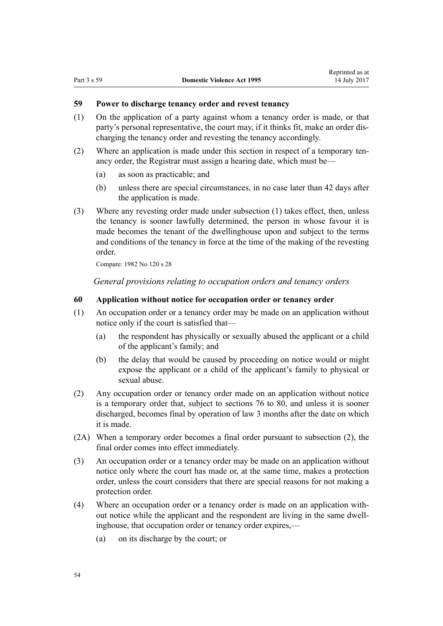## <span id="page-53-0"></span>**59 Power to discharge tenancy order and revest tenancy**

- (1) On the application of a party against whom a tenancy order is made, or that party's personal representative, the court may, if it thinks fit, make an order discharging the tenancy order and revesting the tenancy accordingly.
- (2) Where an application is made under this section in respect of a temporary tenancy order, the Registrar must assign a hearing date, which must be—
	- (a) as soon as practicable; and
	- (b) unless there are special circumstances, in no case later than 42 days after the application is made.
- (3) Where any revesting order made under subsection (1) takes effect, then, unless the tenancy is sooner lawfully determined, the person in whose favour it is made becomes the tenant of the dwellinghouse upon and subject to the terms and conditions of the tenancy in force at the time of the making of the revesting order.

Compare: 1982 No 120 s 28

*General provisions relating to occupation orders and tenancy orders*

#### **60 Application without notice for occupation order or tenancy order**

- (1) An occupation order or a tenancy order may be made on an application without notice only if the court is satisfied that—
	- (a) the respondent has physically or sexually abused the applicant or a child of the applicant's family; and
	- (b) the delay that would be caused by proceeding on notice would or might expose the applicant or a child of the applicant's family to physical or sexual abuse.
- (2) Any occupation order or tenancy order made on an application without notice is a temporary order that, subject to [sections 76 to 80](#page-61-0), and unless it is sooner discharged, becomes final by operation of law 3 months after the date on which it is made.
- (2A) When a temporary order becomes a final order pursuant to subsection (2), the final order comes into effect immediately.
- (3) An occupation order or a tenancy order may be made on an application without notice only where the court has made or, at the same time, makes a protection order, unless the court considers that there are special reasons for not making a protection order.
- (4) Where an occupation order or a tenancy order is made on an application without notice while the applicant and the respondent are living in the same dwellinghouse, that occupation order or tenancy order expires,—
	- (a) on its discharge by the court; or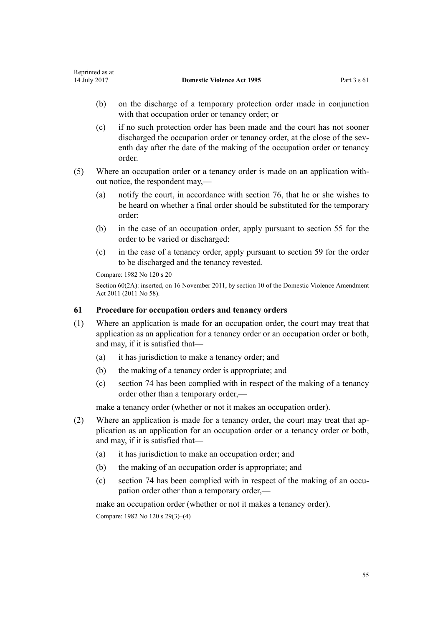- (b) on the discharge of a temporary protection order made in conjunction with that occupation order or tenancy order; or
- (c) if no such protection order has been made and the court has not sooner discharged the occupation order or tenancy order, at the close of the seventh day after the date of the making of the occupation order or tenancy order.
- (5) Where an occupation order or a tenancy order is made on an application without notice, the respondent may,—
	- (a) notify the court, in accordance with [section 76](#page-61-0), that he or she wishes to be heard on whether a final order should be substituted for the temporary order:
	- (b) in the case of an occupation order, apply pursuant to [section 55](#page-51-0) for the order to be varied or discharged:
	- (c) in the case of a tenancy order, apply pursuant to [section 59](#page-53-0) for the order to be discharged and the tenancy revested.

Compare: 1982 No 120 s 20

Section 60(2A): inserted, on 16 November 2011, by [section 10](http://prd-lgnz-nlb.prd.pco.net.nz/pdflink.aspx?id=DLM1955523) of the Domestic Violence Amendment Act 2011 (2011 No 58).

## **61 Procedure for occupation orders and tenancy orders**

- (1) Where an application is made for an occupation order, the court may treat that application as an application for a tenancy order or an occupation order or both, and may, if it is satisfied that—
	- (a) it has jurisdiction to make a tenancy order; and
	- (b) the making of a tenancy order is appropriate; and
	- (c) [section 74](#page-61-0) has been complied with in respect of the making of a tenancy order other than a temporary order,—

make a tenancy order (whether or not it makes an occupation order).

- (2) Where an application is made for a tenancy order, the court may treat that application as an application for an occupation order or a tenancy order or both, and may, if it is satisfied that—
	- (a) it has jurisdiction to make an occupation order; and
	- (b) the making of an occupation order is appropriate; and
	- (c) [section 74](#page-61-0) has been complied with in respect of the making of an occupation order other than a temporary order,—

make an occupation order (whether or not it makes a tenancy order).

Compare: 1982 No 120 s 29(3)–(4)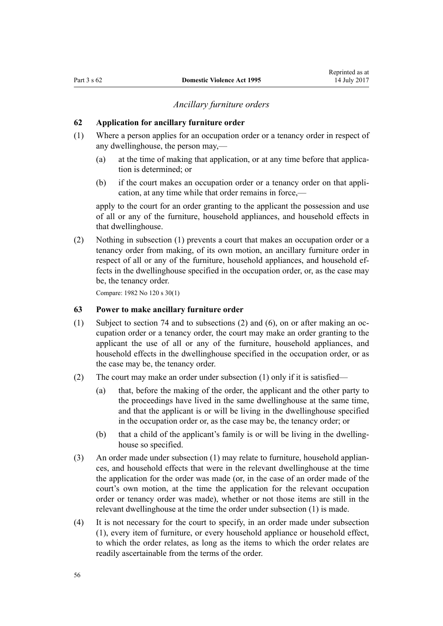#### *Ancillary furniture orders*

#### <span id="page-55-0"></span>**62 Application for ancillary furniture order**

- (1) Where a person applies for an occupation order or a tenancy order in respect of any dwellinghouse, the person may,—
	- (a) at the time of making that application, or at any time before that application is determined; or
	- (b) if the court makes an occupation order or a tenancy order on that application, at any time while that order remains in force,—

apply to the court for an order granting to the applicant the possession and use of all or any of the furniture, household appliances, and household effects in that dwellinghouse.

(2) Nothing in subsection (1) prevents a court that makes an occupation order or a tenancy order from making, of its own motion, an ancillary furniture order in respect of all or any of the furniture, household appliances, and household effects in the dwellinghouse specified in the occupation order, or, as the case may be, the tenancy order.

Compare: 1982 No 120 s 30(1)

## **63 Power to make ancillary furniture order**

- (1) Subject to [section 74](#page-61-0) and to subsections (2) and (6), on or after making an occupation order or a tenancy order, the court may make an order granting to the applicant the use of all or any of the furniture, household appliances, and household effects in the dwellinghouse specified in the occupation order, or as the case may be, the tenancy order.
- (2) The court may make an order under subsection (1) only if it is satisfied—
	- (a) that, before the making of the order, the applicant and the other party to the proceedings have lived in the same dwellinghouse at the same time, and that the applicant is or will be living in the dwellinghouse specified in the occupation order or, as the case may be, the tenancy order; or
	- (b) that a child of the applicant's family is or will be living in the dwellinghouse so specified.
- (3) An order made under subsection (1) may relate to furniture, household appliances, and household effects that were in the relevant dwellinghouse at the time the application for the order was made (or, in the case of an order made of the court's own motion, at the time the application for the relevant occupation order or tenancy order was made), whether or not those items are still in the relevant dwellinghouse at the time the order under subsection (1) is made.
- (4) It is not necessary for the court to specify, in an order made under subsection (1), every item of furniture, or every household appliance or household effect, to which the order relates, as long as the items to which the order relates are readily ascertainable from the terms of the order.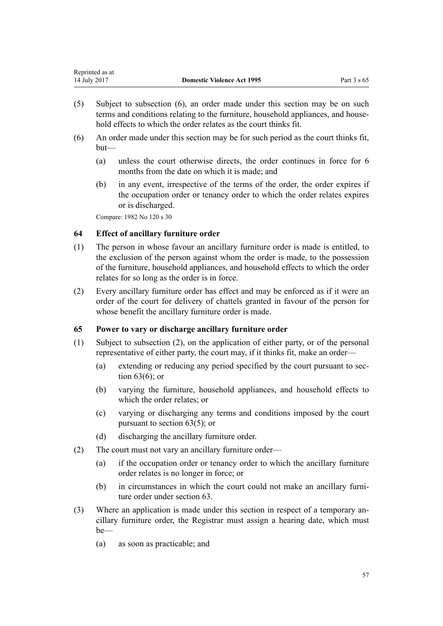<span id="page-56-0"></span>

| Reprinted as at |                                   |             |
|-----------------|-----------------------------------|-------------|
| 14 July 2017    | <b>Domestic Violence Act 1995</b> | Part 3 s 65 |

- (5) Subject to subsection (6), an order made under this section may be on such terms and conditions relating to the furniture, household appliances, and household effects to which the order relates as the court thinks fit.
- (6) An order made under this section may be for such period as the court thinks fit, but—
	- (a) unless the court otherwise directs, the order continues in force for 6 months from the date on which it is made; and
	- (b) in any event, irrespective of the terms of the order, the order expires if the occupation order or tenancy order to which the order relates expires or is discharged.

Compare: 1982 No 120 s 30

## **64 Effect of ancillary furniture order**

- (1) The person in whose favour an ancillary furniture order is made is entitled, to the exclusion of the person against whom the order is made, to the possession of the furniture, household appliances, and household effects to which the order relates for so long as the order is in force.
- (2) Every ancillary furniture order has effect and may be enforced as if it were an order of the court for delivery of chattels granted in favour of the person for whose benefit the ancillary furniture order is made.

## **65 Power to vary or discharge ancillary furniture order**

- (1) Subject to subsection (2), on the application of either party, or of the personal representative of either party, the court may, if it thinks fit, make an order—
	- (a) extending or reducing any period specified by the court pursuant to [sec](#page-55-0)[tion 63\(6\);](#page-55-0) or
	- (b) varying the furniture, household appliances, and household effects to which the order relates; or
	- (c) varying or discharging any terms and conditions imposed by the court pursuant to [section 63\(5\);](#page-55-0) or
	- (d) discharging the ancillary furniture order.
- (2) The court must not vary an ancillary furniture order—
	- (a) if the occupation order or tenancy order to which the ancillary furniture order relates is no longer in force; or
	- (b) in circumstances in which the court could not make an ancillary furniture order under [section 63](#page-55-0).
- (3) Where an application is made under this section in respect of a temporary ancillary furniture order, the Registrar must assign a hearing date, which must be—
	- (a) as soon as practicable; and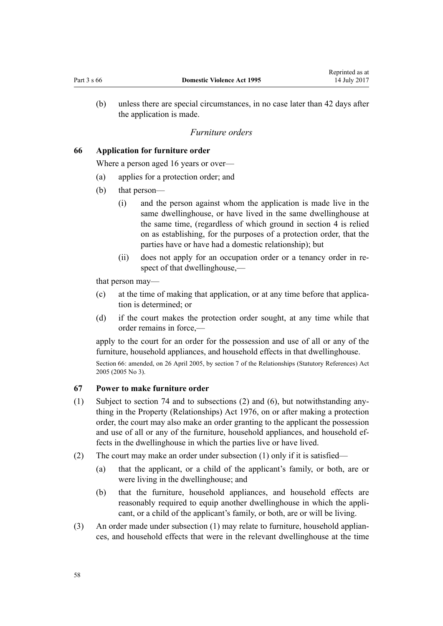<span id="page-57-0"></span>(b) unless there are special circumstances, in no case later than 42 days after the application is made.

#### *Furniture orders*

## **66 Application for furniture order**

Where a person aged 16 years or over—

- (a) applies for a protection order; and
- (b) that person—
	- (i) and the person against whom the application is made live in the same dwellinghouse, or have lived in the same dwellinghouse at the same time, (regardless of which ground in [section 4](#page-13-0) is relied on as establishing, for the purposes of a protection order, that the parties have or have had a domestic relationship); but
	- (ii) does not apply for an occupation order or a tenancy order in respect of that dwellinghouse,—

that person may—

- (c) at the time of making that application, or at any time before that application is determined; or
- (d) if the court makes the protection order sought, at any time while that order remains in force,—

apply to the court for an order for the possession and use of all or any of the furniture, household appliances, and household effects in that dwellinghouse.

Section 66: amended, on 26 April 2005, by [section 7](http://prd-lgnz-nlb.prd.pco.net.nz/pdflink.aspx?id=DLM333795) of the Relationships (Statutory References) Act 2005 (2005 No 3).

#### **67 Power to make furniture order**

- (1) Subject to [section 74](#page-61-0) and to subsections (2) and (6), but notwithstanding anything in the [Property \(Relationships\) Act 1976](http://prd-lgnz-nlb.prd.pco.net.nz/pdflink.aspx?id=DLM440944), on or after making a protection order, the court may also make an order granting to the applicant the possession and use of all or any of the furniture, household appliances, and household effects in the dwellinghouse in which the parties live or have lived.
- (2) The court may make an order under subsection (1) only if it is satisfied—
	- (a) that the applicant, or a child of the applicant's family, or both, are or were living in the dwellinghouse; and
	- (b) that the furniture, household appliances, and household effects are reasonably required to equip another dwellinghouse in which the applicant, or a child of the applicant's family, or both, are or will be living.
- (3) An order made under subsection (1) may relate to furniture, household appliances, and household effects that were in the relevant dwellinghouse at the time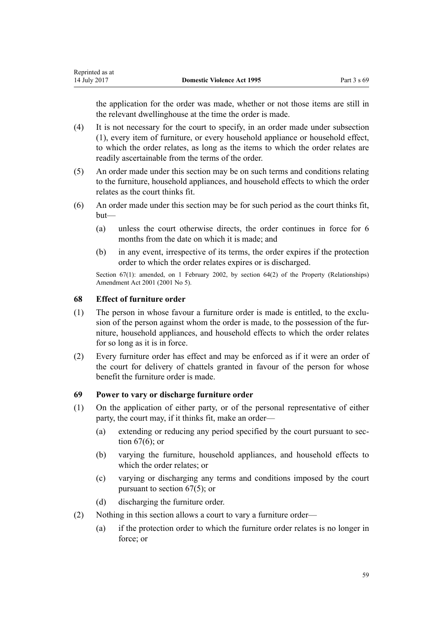<span id="page-58-0"></span>the application for the order was made, whether or not those items are still in the relevant dwellinghouse at the time the order is made.

- (4) It is not necessary for the court to specify, in an order made under subsection (1), every item of furniture, or every household appliance or household effect, to which the order relates, as long as the items to which the order relates are readily ascertainable from the terms of the order.
- (5) An order made under this section may be on such terms and conditions relating to the furniture, household appliances, and household effects to which the order relates as the court thinks fit.
- (6) An order made under this section may be for such period as the court thinks fit, but—
	- (a) unless the court otherwise directs, the order continues in force for 6 months from the date on which it is made; and
	- (b) in any event, irrespective of its terms, the order expires if the protection order to which the order relates expires or is discharged.

Section 67(1): amended, on 1 February 2002, by [section 64\(2\)](http://prd-lgnz-nlb.prd.pco.net.nz/pdflink.aspx?id=DLM87570) of the Property (Relationships) Amendment Act 2001 (2001 No 5).

## **68 Effect of furniture order**

- (1) The person in whose favour a furniture order is made is entitled, to the exclusion of the person against whom the order is made, to the possession of the furniture, household appliances, and household effects to which the order relates for so long as it is in force.
- (2) Every furniture order has effect and may be enforced as if it were an order of the court for delivery of chattels granted in favour of the person for whose benefit the furniture order is made.

## **69 Power to vary or discharge furniture order**

- (1) On the application of either party, or of the personal representative of either party, the court may, if it thinks fit, make an order—
	- (a) extending or reducing any period specified by the court pursuant to [sec](#page-57-0)[tion 67\(6\);](#page-57-0) or
	- (b) varying the furniture, household appliances, and household effects to which the order relates; or
	- (c) varying or discharging any terms and conditions imposed by the court pursuant to [section 67\(5\);](#page-57-0) or
	- (d) discharging the furniture order.
- (2) Nothing in this section allows a court to vary a furniture order—
	- (a) if the protection order to which the furniture order relates is no longer in force; or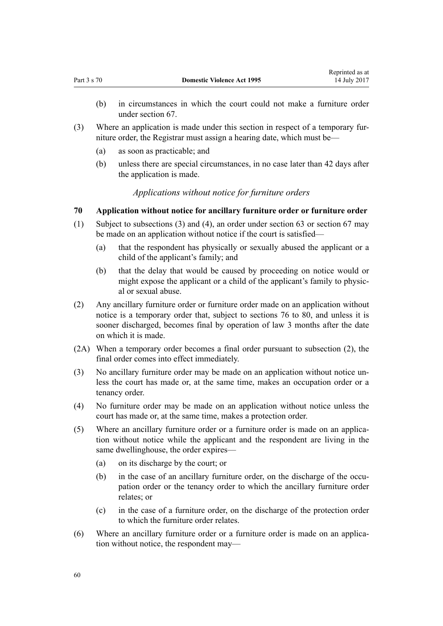- (b) in circumstances in which the court could not make a furniture order under [section 67](#page-57-0).
- (3) Where an application is made under this section in respect of a temporary furniture order, the Registrar must assign a hearing date, which must be—
	- (a) as soon as practicable; and
	- (b) unless there are special circumstances, in no case later than 42 days after the application is made.

## *Applications without notice for furniture orders*

#### **70 Application without notice for ancillary furniture order or furniture order**

- (1) Subject to subsections (3) and (4), an order under [section 63](#page-55-0) or [section 67](#page-57-0) may be made on an application without notice if the court is satisfied—
	- (a) that the respondent has physically or sexually abused the applicant or a child of the applicant's family; and
	- (b) that the delay that would be caused by proceeding on notice would or might expose the applicant or a child of the applicant's family to physical or sexual abuse.
- (2) Any ancillary furniture order or furniture order made on an application without notice is a temporary order that, subject to [sections 76 to 80](#page-61-0), and unless it is sooner discharged, becomes final by operation of law 3 months after the date on which it is made.
- (2A) When a temporary order becomes a final order pursuant to subsection (2), the final order comes into effect immediately.
- (3) No ancillary furniture order may be made on an application without notice unless the court has made or, at the same time, makes an occupation order or a tenancy order.
- (4) No furniture order may be made on an application without notice unless the court has made or, at the same time, makes a protection order.
- (5) Where an ancillary furniture order or a furniture order is made on an application without notice while the applicant and the respondent are living in the same dwellinghouse, the order expires—
	- (a) on its discharge by the court; or
	- (b) in the case of an ancillary furniture order, on the discharge of the occupation order or the tenancy order to which the ancillary furniture order relates; or
	- (c) in the case of a furniture order, on the discharge of the protection order to which the furniture order relates.
- (6) Where an ancillary furniture order or a furniture order is made on an application without notice, the respondent may—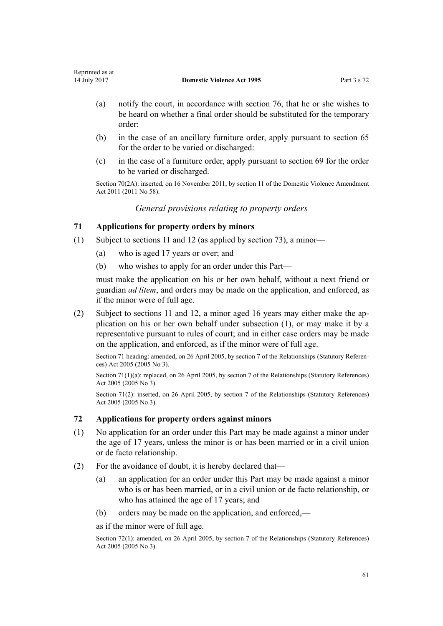- (a) notify the court, in accordance with [section 76](#page-61-0), that he or she wishes to be heard on whether a final order should be substituted for the temporary order:
- (b) in the case of an ancillary furniture order, apply pursuant to [section 65](#page-56-0) for the order to be varied or discharged:
- (c) in the case of a furniture order, apply pursuant to [section 69](#page-58-0) for the order to be varied or discharged.

Section 70(2A): inserted, on 16 November 2011, by [section 11](http://prd-lgnz-nlb.prd.pco.net.nz/pdflink.aspx?id=DLM1955524) of the Domestic Violence Amendment Act 2011 (2011 No 58).

*General provisions relating to property orders*

# **71 Applications for property orders by minors**

- (1) Subject to [sections 11](#page-17-0) and [12](#page-17-0) (as applied by [section 73](#page-61-0)), a minor—
	- (a) who is aged 17 years or over; and
	- (b) who wishes to apply for an order under this Part—

must make the application on his or her own behalf, without a next friend or guardian *ad litem*, and orders may be made on the application, and enforced, as if the minor were of full age.

(2) Subject to [sections 11](#page-17-0) and [12](#page-17-0), a minor aged 16 years may either make the application on his or her own behalf under subsection (1), or may make it by a representative pursuant to rules of court; and in either case orders may be made on the application, and enforced, as if the minor were of full age.

Section 71 heading: amended, on 26 April 2005, by [section 7](http://prd-lgnz-nlb.prd.pco.net.nz/pdflink.aspx?id=DLM333795) of the Relationships (Statutory References) Act 2005 (2005 No 3).

Section 71(1)(a): replaced, on 26 April 2005, by [section 7](http://prd-lgnz-nlb.prd.pco.net.nz/pdflink.aspx?id=DLM333795) of the Relationships (Statutory References) Act 2005 (2005 No 3).

Section 71(2): inserted, on 26 April 2005, by [section 7](http://prd-lgnz-nlb.prd.pco.net.nz/pdflink.aspx?id=DLM333795) of the Relationships (Statutory References) Act 2005 (2005 No 3).

## **72 Applications for property orders against minors**

- (1) No application for an order under this Part may be made against a minor under the age of 17 years, unless the minor is or has been married or in a civil union or de facto relationship.
- (2) For the avoidance of doubt, it is hereby declared that—
	- (a) an application for an order under this Part may be made against a minor who is or has been married, or in a civil union or de facto relationship, or who has attained the age of 17 years; and
	- (b) orders may be made on the application, and enforced,—

as if the minor were of full age.

Section 72(1): amended, on 26 April 2005, by [section 7](http://prd-lgnz-nlb.prd.pco.net.nz/pdflink.aspx?id=DLM333795) of the Relationships (Statutory References) Act 2005 (2005 No 3).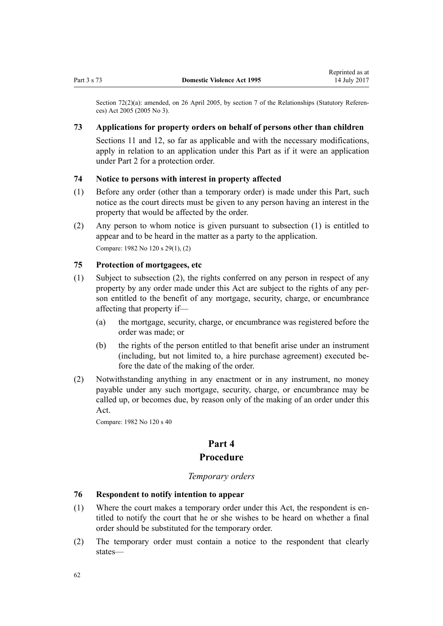<span id="page-61-0"></span>Section 72(2)(a): amended, on 26 April 2005, by [section 7](http://prd-lgnz-nlb.prd.pco.net.nz/pdflink.aspx?id=DLM333795) of the Relationships (Statutory References) Act 2005 (2005 No 3).

## **73 Applications for property orders on behalf of persons other than children**

[Sections 11](#page-17-0) and [12](#page-17-0), so far as applicable and with the necessary modifications, apply in relation to an application under this Part as if it were an application under [Part 2](#page-15-0) for a protection order.

# **74 Notice to persons with interest in property affected**

- (1) Before any order (other than a temporary order) is made under this Part, such notice as the court directs must be given to any person having an interest in the property that would be affected by the order.
- (2) Any person to whom notice is given pursuant to subsection (1) is entitled to appear and to be heard in the matter as a party to the application. Compare: 1982 No 120 s 29(1), (2)

## **75 Protection of mortgagees, etc**

- (1) Subject to subsection (2), the rights conferred on any person in respect of any property by any order made under this Act are subject to the rights of any person entitled to the benefit of any mortgage, security, charge, or encumbrance affecting that property if—
	- (a) the mortgage, security, charge, or encumbrance was registered before the order was made; or
	- (b) the rights of the person entitled to that benefit arise under an instrument (including, but not limited to, a hire purchase agreement) executed before the date of the making of the order.
- (2) Notwithstanding anything in any enactment or in any instrument, no money payable under any such mortgage, security, charge, or encumbrance may be called up, or becomes due, by reason only of the making of an order under this Act.

Compare: 1982 No 120 s 40

# **Part 4**

## **Procedure**

## *Temporary orders*

## **76 Respondent to notify intention to appear**

- (1) Where the court makes a temporary order under this Act, the respondent is entitled to notify the court that he or she wishes to be heard on whether a final order should be substituted for the temporary order.
- (2) The temporary order must contain a notice to the respondent that clearly states—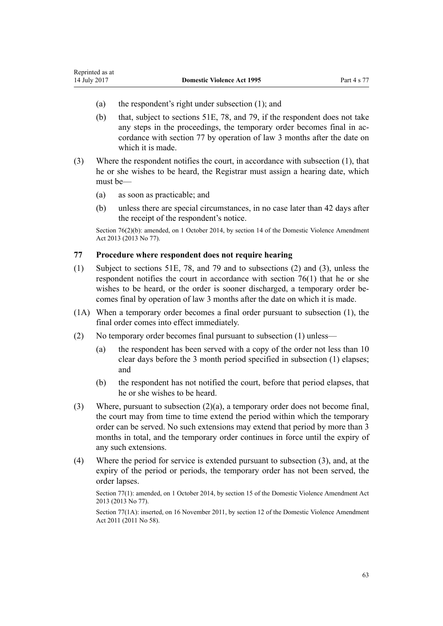- (a) the respondent's right under subsection (1); and
- (b) that, subject to [sections 51E](#page-42-0), [78](#page-63-0), and [79,](#page-63-0) if the respondent does not take any steps in the proceedings, the temporary order becomes final in accordance with section 77 by operation of law 3 months after the date on which it is made.
- (3) Where the respondent notifies the court, in accordance with subsection (1), that he or she wishes to be heard, the Registrar must assign a hearing date, which must be—
	- (a) as soon as practicable; and

<span id="page-62-0"></span>Reprinted as at

(b) unless there are special circumstances, in no case later than 42 days after the receipt of the respondent's notice.

Section 76(2)(b): amended, on 1 October 2014, by [section 14](http://prd-lgnz-nlb.prd.pco.net.nz/pdflink.aspx?id=DLM5616703) of the Domestic Violence Amendment Act 2013 (2013 No 77).

#### **77 Procedure where respondent does not require hearing**

- (1) Subject to [sections 51E,](#page-42-0) [78](#page-63-0), and [79](#page-63-0) and to subsections (2) and (3), unless the respondent notifies the court in accordance with [section 76\(1\)](#page-61-0) that he or she wishes to be heard, or the order is sooner discharged, a temporary order becomes final by operation of law 3 months after the date on which it is made.
- (1A) When a temporary order becomes a final order pursuant to subsection (1), the final order comes into effect immediately.
- (2) No temporary order becomes final pursuant to subsection (1) unless—
	- (a) the respondent has been served with a copy of the order not less than 10 clear days before the 3 month period specified in subsection (1) elapses; and
	- (b) the respondent has not notified the court, before that period elapses, that he or she wishes to be heard.
- (3) Where, pursuant to subsection (2)(a), a temporary order does not become final, the court may from time to time extend the period within which the temporary order can be served. No such extensions may extend that period by more than 3 months in total, and the temporary order continues in force until the expiry of any such extensions.
- (4) Where the period for service is extended pursuant to subsection (3), and, at the expiry of the period or periods, the temporary order has not been served, the order lapses.

Section 77(1): amended, on 1 October 2014, by [section 15](http://prd-lgnz-nlb.prd.pco.net.nz/pdflink.aspx?id=DLM5616704) of the Domestic Violence Amendment Act 2013 (2013 No 77).

Section 77(1A): inserted, on 16 November 2011, by [section 12](http://prd-lgnz-nlb.prd.pco.net.nz/pdflink.aspx?id=DLM1955525) of the Domestic Violence Amendment Act 2011 (2011 No 58).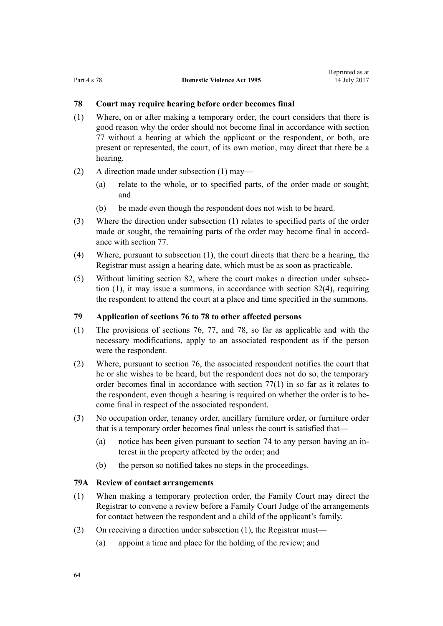## <span id="page-63-0"></span>**78 Court may require hearing before order becomes final**

- (1) Where, on or after making a temporary order, the court considers that there is good reason why the order should not become final in accordance with [section](#page-62-0) [77](#page-62-0) without a hearing at which the applicant or the respondent, or both, are present or represented, the court, of its own motion, may direct that there be a hearing.
- (2) A direction made under subsection (1) may—
	- (a) relate to the whole, or to specified parts, of the order made or sought; and
	- (b) be made even though the respondent does not wish to be heard.
- (3) Where the direction under subsection (1) relates to specified parts of the order made or sought, the remaining parts of the order may become final in accordance with [section 77](#page-62-0).
- (4) Where, pursuant to subsection (1), the court directs that there be a hearing, the Registrar must assign a hearing date, which must be as soon as practicable.
- (5) Without limiting [section 82](#page-67-0), where the court makes a direction under subsection (1), it may issue a summons, in accordance with [section 82\(4\),](#page-67-0) requiring the respondent to attend the court at a place and time specified in the summons.

## **79 Application of sections 76 to 78 to other affected persons**

- (1) The provisions of [sections 76](#page-61-0), [77](#page-62-0), and 78, so far as applicable and with the necessary modifications, apply to an associated respondent as if the person were the respondent.
- (2) Where, pursuant to [section 76,](#page-61-0) the associated respondent notifies the court that he or she wishes to be heard, but the respondent does not do so, the temporary order becomes final in accordance with [section 77\(1\)](#page-62-0) in so far as it relates to the respondent, even though a hearing is required on whether the order is to become final in respect of the associated respondent.
- (3) No occupation order, tenancy order, ancillary furniture order, or furniture order that is a temporary order becomes final unless the court is satisfied that—
	- (a) notice has been given pursuant to [section 74](#page-61-0) to any person having an interest in the property affected by the order; and
	- (b) the person so notified takes no steps in the proceedings.

## **79A Review of contact arrangements**

- (1) When making a temporary protection order, the Family Court may direct the Registrar to convene a review before a Family Court Judge of the arrangements for contact between the respondent and a child of the applicant's family.
- (2) On receiving a direction under subsection (1), the Registrar must—
	- (a) appoint a time and place for the holding of the review; and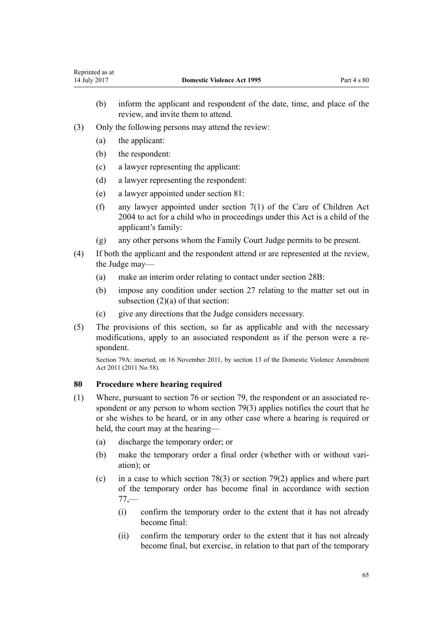- <span id="page-64-0"></span>(b) inform the applicant and respondent of the date, time, and place of the review, and invite them to attend.
- (3) Only the following persons may attend the review:
	- (a) the applicant:
	- (b) the respondent:
	- (c) a lawyer representing the applicant:
	- (d) a lawyer representing the respondent:
	- (e) a lawyer appointed under [section 81:](#page-65-0)
	- (f) any lawyer appointed under [section 7\(1\)](http://prd-lgnz-nlb.prd.pco.net.nz/pdflink.aspx?id=DLM317243) of the Care of Children Act 2004 to act for a child who in proceedings under this Act is a child of the applicant's family:
	- (g) any other persons whom the Family Court Judge permits to be present.
- (4) If both the applicant and the respondent attend or are represented at the review, the Judge may—
	- (a) make an interim order relating to contact under [section 28B:](#page-33-0)
	- (b) impose any condition under [section 27](#page-32-0) relating to the matter set out in subsection (2)(a) of that section:
	- (c) give any directions that the Judge considers necessary.
- (5) The provisions of this section, so far as applicable and with the necessary modifications, apply to an associated respondent as if the person were a respondent.

Section 79A: inserted, on 16 November 2011, by [section 13](http://prd-lgnz-nlb.prd.pco.net.nz/pdflink.aspx?id=DLM1955526) of the Domestic Violence Amendment Act 2011 (2011 No 58).

## **80 Procedure where hearing required**

- (1) Where, pursuant to [section 76](#page-61-0) or section [79](#page-63-0), the respondent or an associated respondent or any person to whom section 79(3) applies notifies the court that he or she wishes to be heard, or in any other case where a hearing is required or held, the court may at the hearing—
	- (a) discharge the temporary order; or
	- (b) make the temporary order a final order (whether with or without variation); or
	- (c) in a case to which [section 78\(3\)](#page-63-0) or [section 79\(2\)](#page-63-0) applies and where part of the temporary order has become final in accordance with [section](#page-62-0) [77,](#page-62-0)—
		- (i) confirm the temporary order to the extent that it has not already become final:
		- (ii) confirm the temporary order to the extent that it has not already become final, but exercise, in relation to that part of the temporary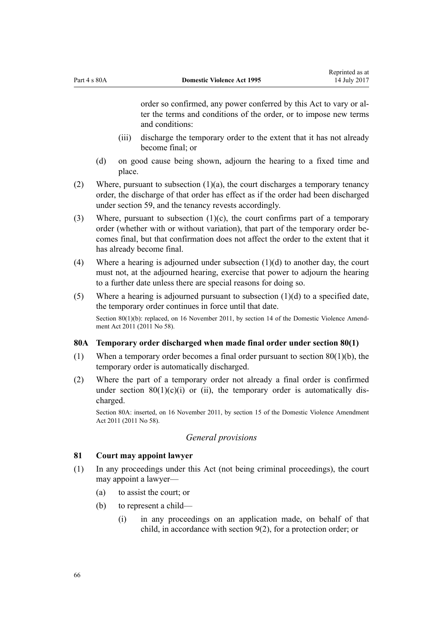<span id="page-65-0"></span>order so confirmed, any power conferred by this Act to vary or alter the terms and conditions of the order, or to impose new terms and conditions:

- (iii) discharge the temporary order to the extent that it has not already become final; or
- (d) on good cause being shown, adjourn the hearing to a fixed time and place.
- (2) Where, pursuant to subsection  $(1)(a)$ , the court discharges a temporary tenancy order, the discharge of that order has effect as if the order had been discharged under [section 59](#page-53-0), and the tenancy revests accordingly.
- (3) Where, pursuant to subsection  $(1)(c)$ , the court confirms part of a temporary order (whether with or without variation), that part of the temporary order becomes final, but that confirmation does not affect the order to the extent that it has already become final.
- (4) Where a hearing is adjourned under subsection  $(1)(d)$  to another day, the court must not, at the adjourned hearing, exercise that power to adjourn the hearing to a further date unless there are special reasons for doing so.
- (5) Where a hearing is adjourned pursuant to subsection (1)(d) to a specified date, the temporary order continues in force until that date. Section 80(1)(b): replaced, on 16 November 2011, by [section 14](http://prd-lgnz-nlb.prd.pco.net.nz/pdflink.aspx?id=DLM1955528) of the Domestic Violence Amendment Act 2011 (2011 No 58).

#### **80A Temporary order discharged when made final order under section 80(1)**

- (1) When a temporary order becomes a final order pursuant to [section 80\(1\)\(b\)](#page-64-0), the temporary order is automatically discharged.
- (2) Where the part of a temporary order not already a final order is confirmed under section  $80(1)(c)(i)$  or (ii), the temporary order is automatically discharged.

Section 80A: inserted, on 16 November 2011, by [section 15](http://prd-lgnz-nlb.prd.pco.net.nz/pdflink.aspx?id=DLM1955529) of the Domestic Violence Amendment Act 2011 (2011 No 58).

## *General provisions*

#### **81 Court may appoint lawyer**

- (1) In any proceedings under this Act (not being criminal proceedings), the court may appoint a lawyer—
	- (a) to assist the court; or
	- (b) to represent a child—
		- (i) in any proceedings on an application made, on behalf of that child, in accordance with [section 9\(2\)](#page-15-0), for a protection order; or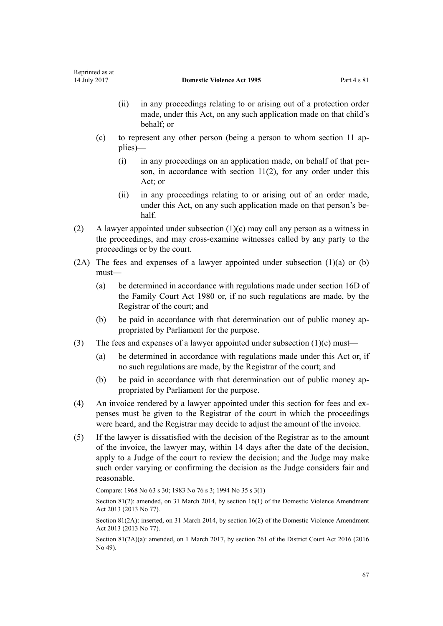- (ii) in any proceedings relating to or arising out of a protection order made, under this Act, on any such application made on that child's behalf; or
- (c) to represent any other person (being a person to whom [section 11](#page-17-0) applies)—
	- (i) in any proceedings on an application made, on behalf of that person, in accordance with [section 11\(2\)](#page-17-0), for any order under this Act; or
	- (ii) in any proceedings relating to or arising out of an order made, under this Act, on any such application made on that person's behalf.
- (2) A lawyer appointed under subsection (1)(c) may call any person as a witness in the proceedings, and may cross-examine witnesses called by any party to the proceedings or by the court.
- $(2A)$  The fees and expenses of a lawyer appointed under subsection  $(1)(a)$  or  $(b)$ must—
	- (a) be determined in accordance with regulations made under [section 16D](http://prd-lgnz-nlb.prd.pco.net.nz/pdflink.aspx?id=DLM6025512) of the Family Court Act 1980 or, if no such regulations are made, by the Registrar of the court; and
	- (b) be paid in accordance with that determination out of public money appropriated by Parliament for the purpose.
- (3) The fees and expenses of a lawyer appointed under subsection  $(1)(c)$  must—
	- (a) be determined in accordance with regulations made under this Act or, if no such regulations are made, by the Registrar of the court; and
	- (b) be paid in accordance with that determination out of public money appropriated by Parliament for the purpose.
- (4) An invoice rendered by a lawyer appointed under this section for fees and expenses must be given to the Registrar of the court in which the proceedings were heard, and the Registrar may decide to adjust the amount of the invoice.
- (5) If the lawyer is dissatisfied with the decision of the Registrar as to the amount of the invoice, the lawyer may, within 14 days after the date of the decision, apply to a Judge of the court to review the decision; and the Judge may make such order varying or confirming the decision as the Judge considers fair and reasonable.

Compare: 1968 No 63 s 30; 1983 No 76 s 3; 1994 No 35 [s 3\(1\)](http://prd-lgnz-nlb.prd.pco.net.nz/pdflink.aspx?id=DLM185488)

Section 81(2): amended, on 31 March 2014, by [section 16\(1\)](http://prd-lgnz-nlb.prd.pco.net.nz/pdflink.aspx?id=DLM5616705) of the Domestic Violence Amendment Act 2013 (2013 No 77).

Section 81(2A): inserted, on 31 March 2014, by [section 16\(2\)](http://prd-lgnz-nlb.prd.pco.net.nz/pdflink.aspx?id=DLM5616705) of the Domestic Violence Amendment Act 2013 (2013 No 77).

Section 81(2A)(a): amended, on 1 March 2017, by [section 261](http://prd-lgnz-nlb.prd.pco.net.nz/pdflink.aspx?id=DLM6942680) of the District Court Act 2016 (2016 No 49).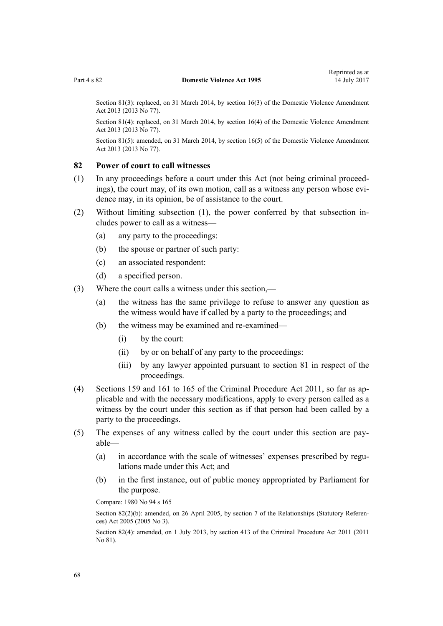<span id="page-67-0"></span>Section 81(3): replaced, on 31 March 2014, by [section 16\(3\)](http://prd-lgnz-nlb.prd.pco.net.nz/pdflink.aspx?id=DLM5616705) of the Domestic Violence Amendment Act 2013 (2013 No 77).

Section 81(4): replaced, on 31 March 2014, by [section 16\(4\)](http://prd-lgnz-nlb.prd.pco.net.nz/pdflink.aspx?id=DLM5616705) of the Domestic Violence Amendment Act 2013 (2013 No 77).

Section 81(5): amended, on 31 March 2014, by [section 16\(5\)](http://prd-lgnz-nlb.prd.pco.net.nz/pdflink.aspx?id=DLM5616705) of the Domestic Violence Amendment Act 2013 (2013 No 77).

#### **82 Power of court to call witnesses**

- (1) In any proceedings before a court under this Act (not being criminal proceedings), the court may, of its own motion, call as a witness any person whose evidence may, in its opinion, be of assistance to the court.
- (2) Without limiting subsection (1), the power conferred by that subsection includes power to call as a witness—
	- (a) any party to the proceedings:
	- (b) the spouse or partner of such party:
	- (c) an associated respondent:
	- (d) a specified person.
- (3) Where the court calls a witness under this section,—
	- (a) the witness has the same privilege to refuse to answer any question as the witness would have if called by a party to the proceedings; and
	- (b) the witness may be examined and re-examined—
		- (i) by the court:
		- (ii) by or on behalf of any party to the proceedings:
		- (iii) by any lawyer appointed pursuant to [section 81](#page-65-0) in respect of the proceedings.
- (4) [Sections 159](http://prd-lgnz-nlb.prd.pco.net.nz/pdflink.aspx?id=DLM3360276) and [161 to 165](http://prd-lgnz-nlb.prd.pco.net.nz/pdflink.aspx?id=DLM3360278) of the Criminal Procedure Act 2011, so far as applicable and with the necessary modifications, apply to every person called as a witness by the court under this section as if that person had been called by a party to the proceedings.
- (5) The expenses of any witness called by the court under this section are payable—
	- (a) in accordance with the scale of witnesses' expenses prescribed by regulations made under this Act; and
	- (b) in the first instance, out of public money appropriated by Parliament for the purpose.

Compare: [1980 No 94](http://prd-lgnz-nlb.prd.pco.net.nz/pdflink.aspx?id=DLM39722) s [165](http://prd-lgnz-nlb.prd.pco.net.nz/pdflink.aspx?id=DLM41848)

Section 82(2)(b): amended, on 26 April 2005, by [section 7](http://prd-lgnz-nlb.prd.pco.net.nz/pdflink.aspx?id=DLM333795) of the Relationships (Statutory References) Act 2005 (2005 No 3).

Section 82(4): amended, on 1 July 2013, by [section 413](http://prd-lgnz-nlb.prd.pco.net.nz/pdflink.aspx?id=DLM3360714) of the Criminal Procedure Act 2011 (2011 No 81).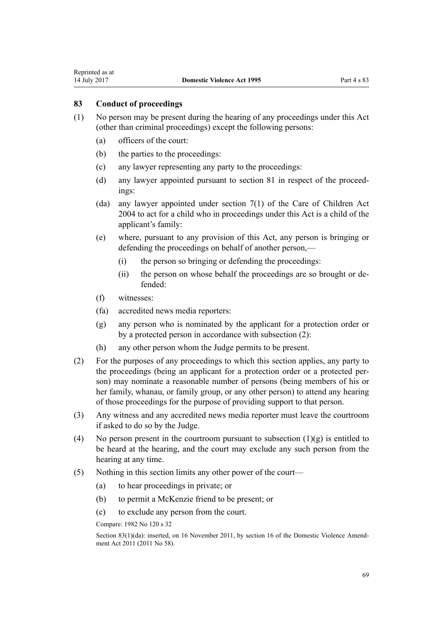Reprinted as at

- (1) No person may be present during the hearing of any proceedings under this Act (other than criminal proceedings) except the following persons:
	- (a) officers of the court:
	- (b) the parties to the proceedings:
	- (c) any lawyer representing any party to the proceedings:
	- (d) any lawyer appointed pursuant to [section 81](#page-65-0) in respect of the proceedings:
	- (da) any lawyer appointed under [section 7\(1\)](http://prd-lgnz-nlb.prd.pco.net.nz/pdflink.aspx?id=DLM317243) of the Care of Children Act 2004 to act for a child who in proceedings under this Act is a child of the applicant's family:
	- (e) where, pursuant to any provision of this Act, any person is bringing or defending the proceedings on behalf of another person,—
		- (i) the person so bringing or defending the proceedings:
		- (ii) the person on whose behalf the proceedings are so brought or defended:
	- (f) witnesses:
	- (fa) accredited news media reporters:
	- (g) any person who is nominated by the applicant for a protection order or by a protected person in accordance with subsection (2):
	- (h) any other person whom the Judge permits to be present.
- (2) For the purposes of any proceedings to which this section applies, any party to the proceedings (being an applicant for a protection order or a protected person) may nominate a reasonable number of persons (being members of his or her family, whanau, or family group, or any other person) to attend any hearing of those proceedings for the purpose of providing support to that person.
- (3) Any witness and any accredited news media reporter must leave the courtroom if asked to do so by the Judge.
- (4) No person present in the courtroom pursuant to subsection  $(1)(g)$  is entitled to be heard at the hearing, and the court may exclude any such person from the hearing at any time.
- (5) Nothing in this section limits any other power of the court—
	- (a) to hear proceedings in private; or
	- (b) to permit a McKenzie friend to be present; or
	- (c) to exclude any person from the court.

Compare: 1982 No 120 s 32

Section 83(1)(da): inserted, on 16 November 2011, by [section 16](http://prd-lgnz-nlb.prd.pco.net.nz/pdflink.aspx?id=DLM1955531) of the Domestic Violence Amendment Act 2011 (2011 No 58).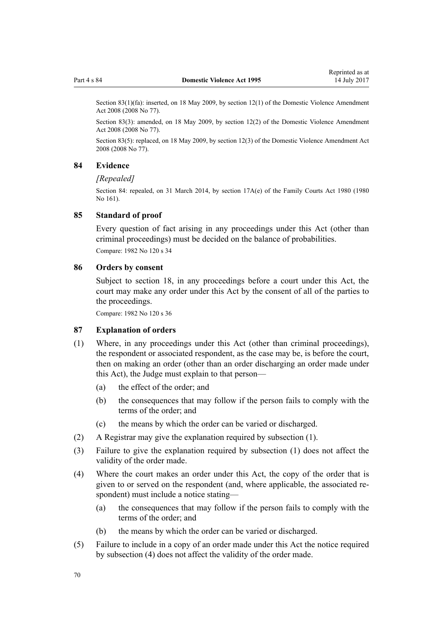Section 83(1)(fa): inserted, on 18 May 2009, by [section 12\(1\)](http://prd-lgnz-nlb.prd.pco.net.nz/pdflink.aspx?id=DLM1302124) of the Domestic Violence Amendment Act 2008 (2008 No 77).

Section 83(3): amended, on 18 May 2009, by [section 12\(2\)](http://prd-lgnz-nlb.prd.pco.net.nz/pdflink.aspx?id=DLM1302124) of the Domestic Violence Amendment Act 2008 (2008 No 77).

Section 83(5): replaced, on 18 May 2009, by [section 12\(3\)](http://prd-lgnz-nlb.prd.pco.net.nz/pdflink.aspx?id=DLM1302124) of the Domestic Violence Amendment Act 2008 (2008 No 77).

#### **84 Evidence**

#### *[Repealed]*

Section 84: repealed, on 31 March 2014, by [section 17A\(e\)](http://prd-lgnz-nlb.prd.pco.net.nz/pdflink.aspx?id=DLM6025517) of the Family Courts Act 1980 (1980 No 161).

#### **85 Standard of proof**

Every question of fact arising in any proceedings under this Act (other than criminal proceedings) must be decided on the balance of probabilities. Compare: 1982 No 120 s 34

## **86 Orders by consent**

Subject to [section 18,](#page-22-0) in any proceedings before a court under this Act, the court may make any order under this Act by the consent of all of the parties to the proceedings.

Compare: 1982 No 120 s 36

#### **87 Explanation of orders**

- (1) Where, in any proceedings under this Act (other than criminal proceedings), the respondent or associated respondent, as the case may be, is before the court, then on making an order (other than an order discharging an order made under this Act), the Judge must explain to that person—
	- (a) the effect of the order; and
	- (b) the consequences that may follow if the person fails to comply with the terms of the order; and
	- (c) the means by which the order can be varied or discharged.
- (2) A Registrar may give the explanation required by subsection (1).
- (3) Failure to give the explanation required by subsection (1) does not affect the validity of the order made.
- (4) Where the court makes an order under this Act, the copy of the order that is given to or served on the respondent (and, where applicable, the associated respondent) must include a notice stating—
	- (a) the consequences that may follow if the person fails to comply with the terms of the order: and
	- (b) the means by which the order can be varied or discharged.
- (5) Failure to include in a copy of an order made under this Act the notice required by subsection (4) does not affect the validity of the order made.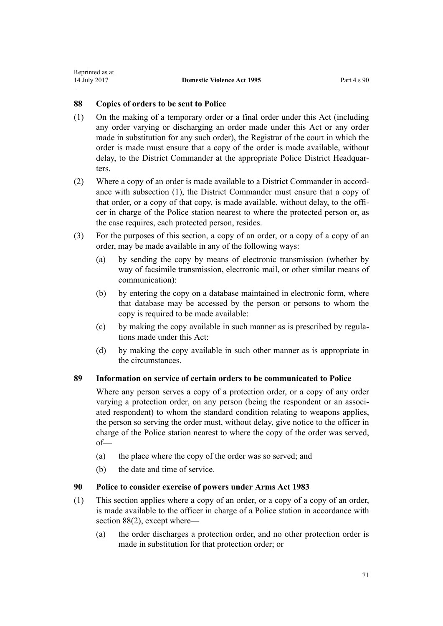## **88 Copies of orders to be sent to Police**

- (1) On the making of a temporary order or a final order under this Act (including any order varying or discharging an order made under this Act or any order made in substitution for any such order), the Registrar of the court in which the order is made must ensure that a copy of the order is made available, without delay, to the District Commander at the appropriate Police District Headquarters.
- (2) Where a copy of an order is made available to a District Commander in accordance with subsection (1), the District Commander must ensure that a copy of that order, or a copy of that copy, is made available, without delay, to the officer in charge of the Police station nearest to where the protected person or, as the case requires, each protected person, resides.
- (3) For the purposes of this section, a copy of an order, or a copy of a copy of an order, may be made available in any of the following ways:
	- (a) by sending the copy by means of electronic transmission (whether by way of facsimile transmission, electronic mail, or other similar means of communication):
	- (b) by entering the copy on a database maintained in electronic form, where that database may be accessed by the person or persons to whom the copy is required to be made available:
	- (c) by making the copy available in such manner as is prescribed by regulations made under this Act:
	- (d) by making the copy available in such other manner as is appropriate in the circumstances.

## **89 Information on service of certain orders to be communicated to Police**

Where any person serves a copy of a protection order, or a copy of any order varying a protection order, on any person (being the respondent or an associated respondent) to whom the standard condition relating to weapons applies, the person so serving the order must, without delay, give notice to the officer in charge of the Police station nearest to where the copy of the order was served, of—

- (a) the place where the copy of the order was so served; and
- (b) the date and time of service.

## **90 Police to consider exercise of powers under Arms Act 1983**

- (1) This section applies where a copy of an order, or a copy of a copy of an order, is made available to the officer in charge of a Police station in accordance with section 88(2), except where—
	- (a) the order discharges a protection order, and no other protection order is made in substitution for that protection order; or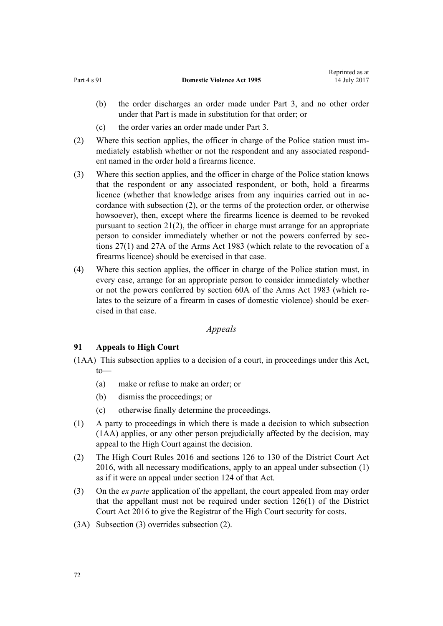- (b) the order discharges an order made under [Part 3,](#page-50-0) and no other order under that Part is made in substitution for that order; or
- (c) the order varies an order made under [Part 3](#page-50-0).
- (2) Where this section applies, the officer in charge of the Police station must immediately establish whether or not the respondent and any associated respondent named in the order hold a firearms licence.
- (3) Where this section applies, and the officer in charge of the Police station knows that the respondent or any associated respondent, or both, hold a firearms licence (whether that knowledge arises from any inquiries carried out in accordance with subsection (2), or the terms of the protection order, or otherwise howsoever), then, except where the firearms licence is deemed to be revoked pursuant to [section 21\(2\)](#page-25-0), the officer in charge must arrange for an appropriate person to consider immediately whether or not the powers conferred by [sec](http://prd-lgnz-nlb.prd.pco.net.nz/pdflink.aspx?id=DLM72928)[tions 27\(1\)](http://prd-lgnz-nlb.prd.pco.net.nz/pdflink.aspx?id=DLM72928) and [27A](http://prd-lgnz-nlb.prd.pco.net.nz/pdflink.aspx?id=DLM72929) of the Arms Act 1983 (which relate to the revocation of a firearms licence) should be exercised in that case.
- (4) Where this section applies, the officer in charge of the Police station must, in every case, arrange for an appropriate person to consider immediately whether or not the powers conferred by [section 60A](http://prd-lgnz-nlb.prd.pco.net.nz/pdflink.aspx?id=DLM73314) of the Arms Act 1983 (which relates to the seizure of a firearm in cases of domestic violence) should be exercised in that case.

# *Appeals*

# **91 Appeals to High Court**

(1AA) This subsection applies to a decision of a court, in proceedings under this Act, to—

- (a) make or refuse to make an order; or
- (b) dismiss the proceedings; or
- (c) otherwise finally determine the proceedings.
- (1) A party to proceedings in which there is made a decision to which subsection (1AA) applies, or any other person prejudicially affected by the decision, may appeal to the High Court against the decision.
- (2) The [High Court Rules 2016](http://prd-lgnz-nlb.prd.pco.net.nz/pdflink.aspx?id=DLM6959800) and [sections 126 to 130](http://prd-lgnz-nlb.prd.pco.net.nz/pdflink.aspx?id=DLM6942449) of the District Court Act 2016, with all necessary modifications, apply to an appeal under subsection (1) as if it were an appeal under [section 124](http://prd-lgnz-nlb.prd.pco.net.nz/pdflink.aspx?id=DLM6942447) of that Act.
- (3) On the *ex parte* application of the appellant, the court appealed from may order that the appellant must not be required under [section 126\(1\)](http://prd-lgnz-nlb.prd.pco.net.nz/pdflink.aspx?id=DLM6942449) of the District Court Act 2016 to give the Registrar of the High Court security for costs.
- (3A) Subsection (3) overrides subsection (2).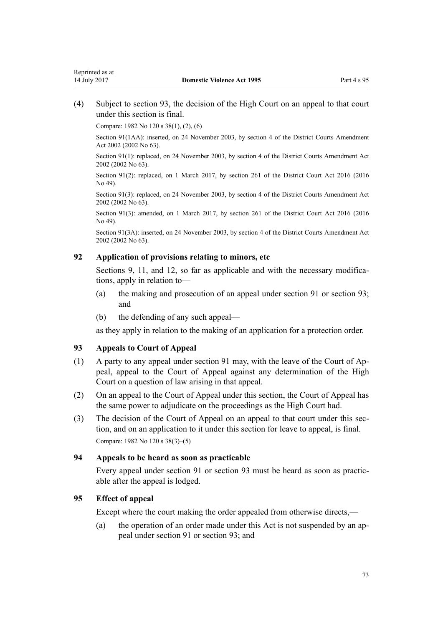(4) Subject to section 93, the decision of the High Court on an appeal to that court under this section is final.

Compare: 1982 No 120 s 38(1), (2), (6)

Section 91(1AA): inserted, on 24 November 2003, by [section 4](http://prd-lgnz-nlb.prd.pco.net.nz/pdflink.aspx?id=DLM168713) of the District Courts Amendment Act 2002 (2002 No 63).

Section 91(1): replaced, on 24 November 2003, by [section 4](http://prd-lgnz-nlb.prd.pco.net.nz/pdflink.aspx?id=DLM168713) of the District Courts Amendment Act 2002 (2002 No 63).

Section 91(2): replaced, on 1 March 2017, by [section 261](http://prd-lgnz-nlb.prd.pco.net.nz/pdflink.aspx?id=DLM6942680) of the District Court Act 2016 (2016) No 49).

Section 91(3): replaced, on 24 November 2003, by [section 4](http://prd-lgnz-nlb.prd.pco.net.nz/pdflink.aspx?id=DLM168713) of the District Courts Amendment Act 2002 (2002 No 63).

Section 91(3): amended, on 1 March 2017, by [section 261](http://prd-lgnz-nlb.prd.pco.net.nz/pdflink.aspx?id=DLM6942680) of the District Court Act 2016 (2016) No 49).

Section 91(3A): inserted, on 24 November 2003, by [section 4](http://prd-lgnz-nlb.prd.pco.net.nz/pdflink.aspx?id=DLM168713) of the District Courts Amendment Act 2002 (2002 No 63).

# **92 Application of provisions relating to minors, etc**

[Sections 9](#page-15-0), [11](#page-17-0), and [12](#page-17-0), so far as applicable and with the necessary modifications, apply in relation to—

- (a) the making and prosecution of an appeal under [section 91](#page-71-0) or section 93; and
- (b) the defending of any such appeal—

as they apply in relation to the making of an application for a protection order.

# **93 Appeals to Court of Appeal**

- (1) A party to any appeal under [section 91](#page-71-0) may, with the leave of the Court of Appeal, appeal to the Court of Appeal against any determination of the High Court on a question of law arising in that appeal.
- (2) On an appeal to the Court of Appeal under this section, the Court of Appeal has the same power to adjudicate on the proceedings as the High Court had.
- (3) The decision of the Court of Appeal on an appeal to that court under this section, and on an application to it under this section for leave to appeal, is final. Compare: 1982 No 120 s 38(3)–(5)

#### **94 Appeals to be heard as soon as practicable**

Every appeal under [section 91](#page-71-0) or section 93 must be heard as soon as practicable after the appeal is lodged.

## **95 Effect of appeal**

Except where the court making the order appealed from otherwise directs,—

(a) the operation of an order made under this Act is not suspended by an appeal under [section 91](#page-71-0) or section 93; and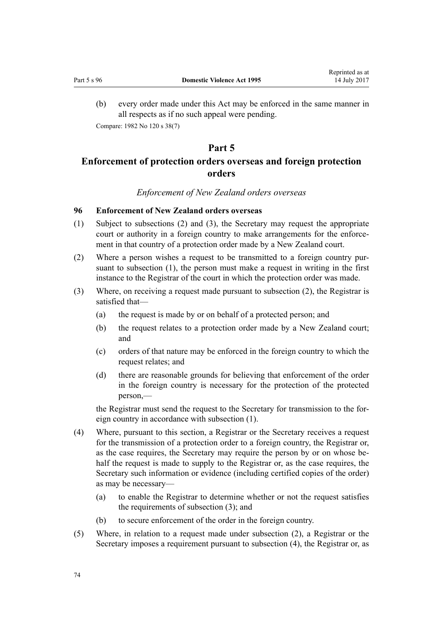<span id="page-73-0"></span>(b) every order made under this Act may be enforced in the same manner in all respects as if no such appeal were pending. Compare: 1982 No 120 s 38(7)

# **Part 5**

# **Enforcement of protection orders overseas and foreign protection orders**

# *Enforcement of New Zealand orders overseas*

# **96 Enforcement of New Zealand orders overseas**

- (1) Subject to subsections (2) and (3), the Secretary may request the appropriate court or authority in a foreign country to make arrangements for the enforcement in that country of a protection order made by a New Zealand court.
- (2) Where a person wishes a request to be transmitted to a foreign country pursuant to subsection (1), the person must make a request in writing in the first instance to the Registrar of the court in which the protection order was made.
- (3) Where, on receiving a request made pursuant to subsection (2), the Registrar is satisfied that—
	- (a) the request is made by or on behalf of a protected person; and
	- (b) the request relates to a protection order made by a New Zealand court; and
	- (c) orders of that nature may be enforced in the foreign country to which the request relates; and
	- (d) there are reasonable grounds for believing that enforcement of the order in the foreign country is necessary for the protection of the protected person,—

the Registrar must send the request to the Secretary for transmission to the foreign country in accordance with subsection (1).

- (4) Where, pursuant to this section, a Registrar or the Secretary receives a request for the transmission of a protection order to a foreign country, the Registrar or, as the case requires, the Secretary may require the person by or on whose behalf the request is made to supply to the Registrar or, as the case requires, the Secretary such information or evidence (including certified copies of the order) as may be necessary—
	- (a) to enable the Registrar to determine whether or not the request satisfies the requirements of subsection (3); and
	- (b) to secure enforcement of the order in the foreign country.
- (5) Where, in relation to a request made under subsection (2), a Registrar or the Secretary imposes a requirement pursuant to subsection (4), the Registrar or, as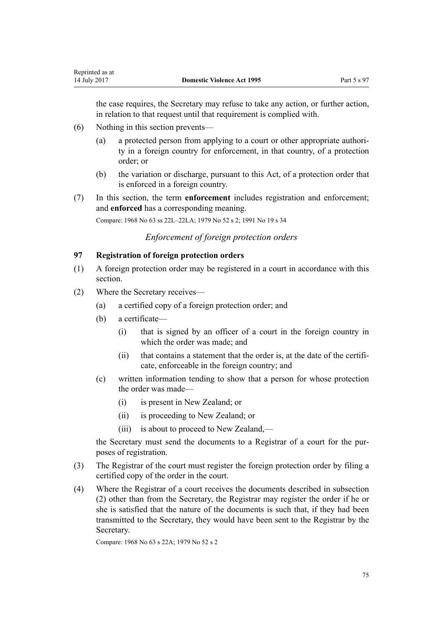<span id="page-74-0"></span>the case requires, the Secretary may refuse to take any action, or further action, in relation to that request until that requirement is complied with.

- (6) Nothing in this section prevents—
	- (a) a protected person from applying to a court or other appropriate authority in a foreign country for enforcement, in that country, of a protection order; or
	- (b) the variation or discharge, pursuant to this Act, of a protection order that is enforced in a foreign country.
- (7) In this section, the term **enforcement** includes registration and enforcement; and **enforced** has a corresponding meaning.

Compare: 1968 No 63 ss 22L–22LA; 1979 No 52 s 2; 1991 No 19 s 34

# *Enforcement of foreign protection orders*

# **97 Registration of foreign protection orders**

- (1) A foreign protection order may be registered in a court in accordance with this section.
- (2) Where the Secretary receives—
	- (a) a certified copy of a foreign protection order; and
	- (b) a certificate—
		- (i) that is signed by an officer of a court in the foreign country in which the order was made; and
		- (ii) that contains a statement that the order is, at the date of the certificate, enforceable in the foreign country; and
	- (c) written information tending to show that a person for whose protection the order was made—
		- (i) is present in New Zealand; or
		- (ii) is proceeding to New Zealand; or
		- (iii) is about to proceed to New Zealand,—

the Secretary must send the documents to a Registrar of a court for the purposes of registration.

- (3) The Registrar of the court must register the foreign protection order by filing a certified copy of the order in the court.
- (4) Where the Registrar of a court receives the documents described in subsection (2) other than from the Secretary, the Registrar may register the order if he or she is satisfied that the nature of the documents is such that, if they had been transmitted to the Secretary, they would have been sent to the Registrar by the Secretary.

Compare: 1968 No 63 s 22A; 1979 No 52 s 2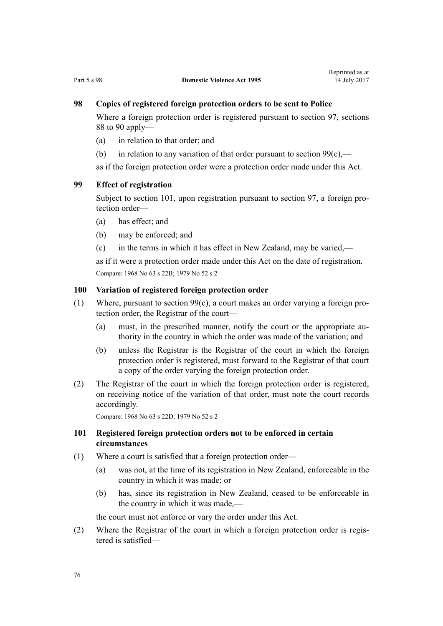# <span id="page-75-0"></span>**98 Copies of registered foreign protection orders to be sent to Police**

Where a foreign protection order is registered pursuant to [section 97](#page-74-0), [sections](#page-70-0) [88 to 90](#page-70-0) apply—

- (a) in relation to that order; and
- (b) in relation to any variation of that order pursuant to section  $99(c)$ ,—

as if the foreign protection order were a protection order made under this Act.

# **99 Effect of registration**

Subject to section 101, upon registration pursuant to [section 97](#page-74-0), a foreign protection order—

- (a) has effect; and
- (b) may be enforced; and
- (c) in the terms in which it has effect in New Zealand, may be varied,—

as if it were a protection order made under this Act on the date of registration. Compare: 1968 No 63 s 22B; 1979 No 52 s 2

#### **100 Variation of registered foreign protection order**

- (1) Where, pursuant to section 99(c), a court makes an order varying a foreign protection order, the Registrar of the court—
	- (a) must, in the prescribed manner, notify the court or the appropriate authority in the country in which the order was made of the variation; and
	- (b) unless the Registrar is the Registrar of the court in which the foreign protection order is registered, must forward to the Registrar of that court a copy of the order varying the foreign protection order.
- (2) The Registrar of the court in which the foreign protection order is registered, on receiving notice of the variation of that order, must note the court records accordingly.

Compare: 1968 No 63 s 22D; 1979 No 52 s 2

## **101 Registered foreign protection orders not to be enforced in certain circumstances**

- (1) Where a court is satisfied that a foreign protection order—
	- (a) was not, at the time of its registration in New Zealand, enforceable in the country in which it was made; or
	- (b) has, since its registration in New Zealand, ceased to be enforceable in the country in which it was made,—

the court must not enforce or vary the order under this Act.

(2) Where the Registrar of the court in which a foreign protection order is registered is satisfied—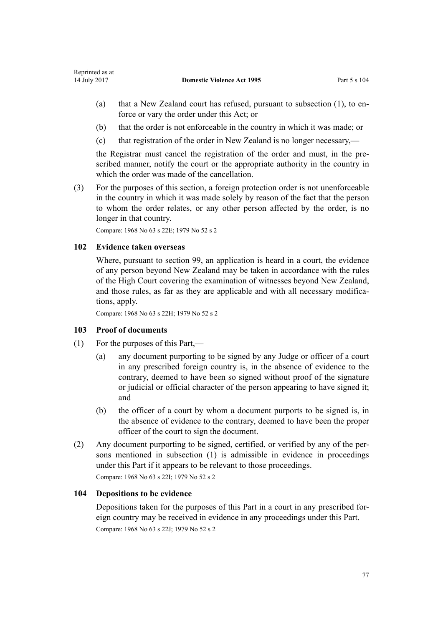- (a) that a New Zealand court has refused, pursuant to subsection (1), to enforce or vary the order under this Act; or
- (b) that the order is not enforceable in the country in which it was made; or
- (c) that registration of the order in New Zealand is no longer necessary,—

the Registrar must cancel the registration of the order and must, in the prescribed manner, notify the court or the appropriate authority in the country in which the order was made of the cancellation.

(3) For the purposes of this section, a foreign protection order is not unenforceable in the country in which it was made solely by reason of the fact that the person to whom the order relates, or any other person affected by the order, is no longer in that country.

Compare: 1968 No 63 s 22E; 1979 No 52 s 2

# **102 Evidence taken overseas**

Where, pursuant to [section 99,](#page-75-0) an application is heard in a court, the evidence of any person beyond New Zealand may be taken in accordance with the rules of the High Court covering the examination of witnesses beyond New Zealand, and those rules, as far as they are applicable and with all necessary modifications, apply.

Compare: 1968 No 63 s 22H; 1979 No 52 s 2

# **103 Proof of documents**

- (1) For the purposes of this Part,—
	- (a) any document purporting to be signed by any Judge or officer of a court in any prescribed foreign country is, in the absence of evidence to the contrary, deemed to have been so signed without proof of the signature or judicial or official character of the person appearing to have signed it; and
	- (b) the officer of a court by whom a document purports to be signed is, in the absence of evidence to the contrary, deemed to have been the proper officer of the court to sign the document.
- (2) Any document purporting to be signed, certified, or verified by any of the persons mentioned in subsection (1) is admissible in evidence in proceedings under this Part if it appears to be relevant to those proceedings.

Compare: 1968 No 63 s 22I; 1979 No 52 s 2

## **104 Depositions to be evidence**

Depositions taken for the purposes of this Part in a court in any prescribed foreign country may be received in evidence in any proceedings under this Part. Compare: 1968 No 63 s 22J; 1979 No 52 s 2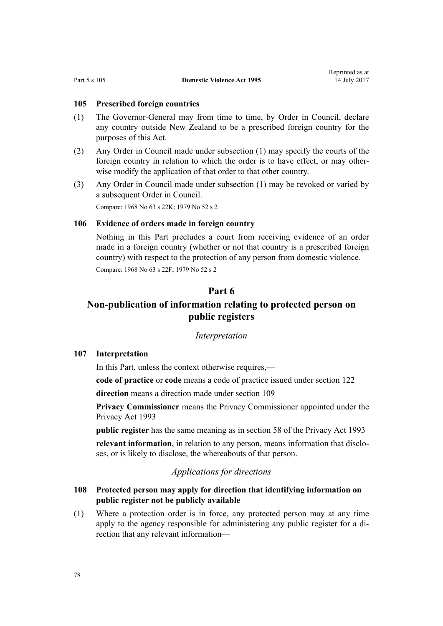### <span id="page-77-0"></span>**105 Prescribed foreign countries**

- (1) The Governor-General may from time to time, by Order in Council, declare any country outside New Zealand to be a prescribed foreign country for the purposes of this Act.
- (2) Any Order in Council made under subsection (1) may specify the courts of the foreign country in relation to which the order is to have effect, or may otherwise modify the application of that order to that other country.
- (3) Any Order in Council made under subsection (1) may be revoked or varied by a subsequent Order in Council. Compare: 1968 No 63 s 22K; 1979 No 52 s 2

# **106 Evidence of orders made in foreign country**

Nothing in this Part precludes a court from receiving evidence of an order made in a foreign country (whether or not that country is a prescribed foreign country) with respect to the protection of any person from domestic violence. Compare: 1968 No 63 s 22F; 1979 No 52 s 2

# **Part 6**

# **Non-publication of information relating to protected person on public registers**

#### *Interpretation*

## **107 Interpretation**

In this Part, unless the context otherwise requires,—

**code of practice** or **code** means a code of practice issued under [section 122](#page-84-0)

**direction** means a direction made under [section 109](#page-78-0)

**Privacy Commissioner** means the Privacy Commissioner appointed under the [Privacy Act 1993](http://prd-lgnz-nlb.prd.pco.net.nz/pdflink.aspx?id=DLM296638)

**public register** has the same meaning as in [section 58](http://prd-lgnz-nlb.prd.pco.net.nz/pdflink.aspx?id=DLM297424) of the Privacy Act 1993 **relevant information**, in relation to any person, means information that discloses, or is likely to disclose, the whereabouts of that person.

# *Applications for directions*

## **108 Protected person may apply for direction that identifying information on public register not be publicly available**

(1) Where a protection order is in force, any protected person may at any time apply to the agency responsible for administering any public register for a direction that any relevant information—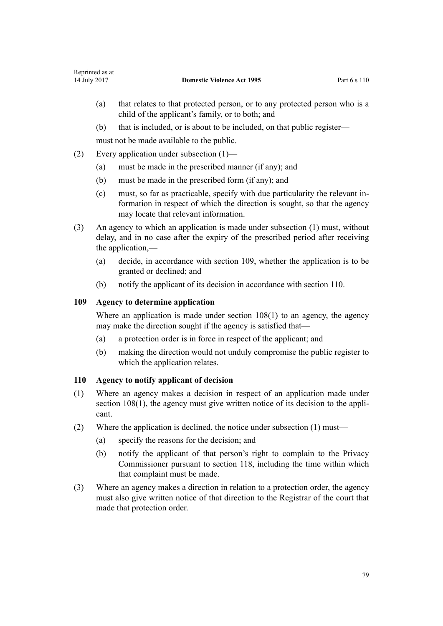- <span id="page-78-0"></span>(a) that relates to that protected person, or to any protected person who is a child of the applicant's family, or to both; and
- (b) that is included, or is about to be included, on that public register—

must not be made available to the public.

- (2) Every application under subsection (1)—
	- (a) must be made in the prescribed manner (if any); and
	- (b) must be made in the prescribed form (if any); and
	- (c) must, so far as practicable, specify with due particularity the relevant information in respect of which the direction is sought, so that the agency may locate that relevant information.
- (3) An agency to which an application is made under subsection (1) must, without delay, and in no case after the expiry of the prescribed period after receiving the application,—
	- (a) decide, in accordance with section 109, whether the application is to be granted or declined; and
	- (b) notify the applicant of its decision in accordance with section 110.

# **109 Agency to determine application**

Where an application is made under [section 108\(1\)](#page-77-0) to an agency, the agency may make the direction sought if the agency is satisfied that—

- (a) a protection order is in force in respect of the applicant; and
- (b) making the direction would not unduly compromise the public register to which the application relates.

## **110 Agency to notify applicant of decision**

- (1) Where an agency makes a decision in respect of an application made under [section 108\(1\),](#page-77-0) the agency must give written notice of its decision to the applicant.
- (2) Where the application is declined, the notice under subsection (1) must—
	- (a) specify the reasons for the decision; and
	- (b) notify the applicant of that person's right to complain to the Privacy Commissioner pursuant to [section 118](#page-82-0), including the time within which that complaint must be made.
- (3) Where an agency makes a direction in relation to a protection order, the agency must also give written notice of that direction to the Registrar of the court that made that protection order.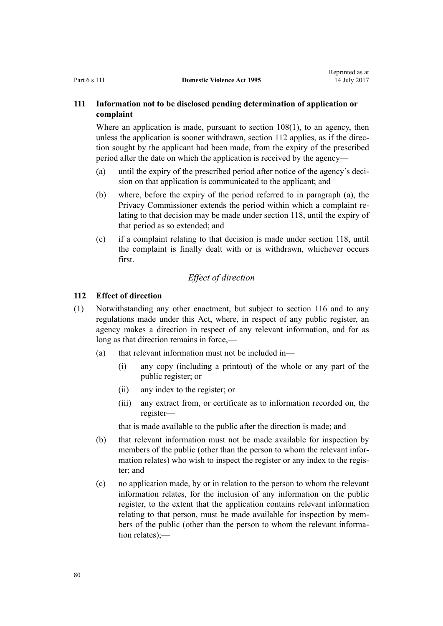# <span id="page-79-0"></span>**111 Information not to be disclosed pending determination of application or complaint**

Where an application is made, pursuant to section  $108(1)$ , to an agency, then unless the application is sooner withdrawn, section 112 applies, as if the direction sought by the applicant had been made, from the expiry of the prescribed period after the date on which the application is received by the agency—

- (a) until the expiry of the prescribed period after notice of the agency's decision on that application is communicated to the applicant; and
- (b) where, before the expiry of the period referred to in paragraph (a), the Privacy Commissioner extends the period within which a complaint relating to that decision may be made under [section 118](#page-82-0), until the expiry of that period as so extended; and
- (c) if a complaint relating to that decision is made under [section 118](#page-82-0), until the complaint is finally dealt with or is withdrawn, whichever occurs first.

# *Effect of direction*

#### **112 Effect of direction**

- (1) Notwithstanding any other enactment, but subject to [section 116](#page-81-0) and to any regulations made under this Act, where, in respect of any public register, an agency makes a direction in respect of any relevant information, and for as long as that direction remains in force,—
	- (a) that relevant information must not be included in—
		- (i) any copy (including a printout) of the whole or any part of the public register; or
		- (ii) any index to the register; or
		- (iii) any extract from, or certificate as to information recorded on, the register—

that is made available to the public after the direction is made; and

- (b) that relevant information must not be made available for inspection by members of the public (other than the person to whom the relevant information relates) who wish to inspect the register or any index to the register; and
- (c) no application made, by or in relation to the person to whom the relevant information relates, for the inclusion of any information on the public register, to the extent that the application contains relevant information relating to that person, must be made available for inspection by members of the public (other than the person to whom the relevant information relates);—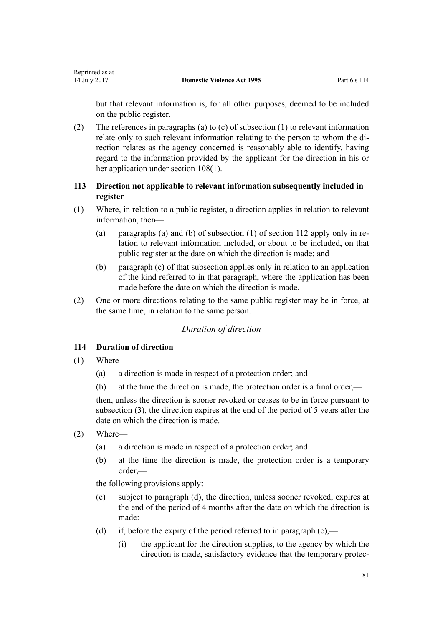<span id="page-80-0"></span>but that relevant information is, for all other purposes, deemed to be included on the public register.

(2) The references in paragraphs (a) to (c) of subsection (1) to relevant information relate only to such relevant information relating to the person to whom the direction relates as the agency concerned is reasonably able to identify, having regard to the information provided by the applicant for the direction in his or her application under [section 108\(1\).](#page-77-0)

# **113 Direction not applicable to relevant information subsequently included in register**

- (1) Where, in relation to a public register, a direction applies in relation to relevant information then-
	- (a) paragraphs (a) and (b) of subsection (1) of [section 112](#page-79-0) apply only in relation to relevant information included, or about to be included, on that public register at the date on which the direction is made; and
	- (b) paragraph (c) of that subsection applies only in relation to an application of the kind referred to in that paragraph, where the application has been made before the date on which the direction is made.
- (2) One or more directions relating to the same public register may be in force, at the same time, in relation to the same person.

# *Duration of direction*

# **114 Duration of direction**

- (1) Where—
	- (a) a direction is made in respect of a protection order; and
	- (b) at the time the direction is made, the protection order is a final order,—

then, unless the direction is sooner revoked or ceases to be in force pursuant to subsection (3), the direction expires at the end of the period of 5 years after the date on which the direction is made.

- (2) Where—
	- (a) a direction is made in respect of a protection order; and
	- (b) at the time the direction is made, the protection order is a temporary order,—

the following provisions apply:

- (c) subject to paragraph (d), the direction, unless sooner revoked, expires at the end of the period of 4 months after the date on which the direction is made:
- (d) if, before the expiry of the period referred to in paragraph  $(c)$ ,—
	- (i) the applicant for the direction supplies, to the agency by which the direction is made, satisfactory evidence that the temporary protec-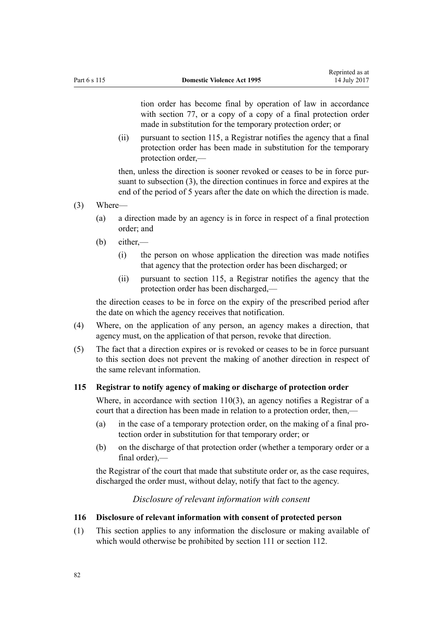<span id="page-81-0"></span>tion order has become final by operation of law in accordance with [section 77,](#page-62-0) or a copy of a copy of a final protection order made in substitution for the temporary protection order; or

(ii) pursuant to section 115, a Registrar notifies the agency that a final protection order has been made in substitution for the temporary protection order,—

then, unless the direction is sooner revoked or ceases to be in force pursuant to subsection (3), the direction continues in force and expires at the end of the period of 5 years after the date on which the direction is made.

- (3) Where—
	- (a) a direction made by an agency is in force in respect of a final protection order; and
	- (b) either,—
		- (i) the person on whose application the direction was made notifies that agency that the protection order has been discharged; or
		- (ii) pursuant to section 115, a Registrar notifies the agency that the protection order has been discharged,—

the direction ceases to be in force on the expiry of the prescribed period after the date on which the agency receives that notification.

- (4) Where, on the application of any person, an agency makes a direction, that agency must, on the application of that person, revoke that direction.
- (5) The fact that a direction expires or is revoked or ceases to be in force pursuant to this section does not prevent the making of another direction in respect of the same relevant information.

# **115 Registrar to notify agency of making or discharge of protection order**

Where, in accordance with [section 110\(3\)](#page-78-0), an agency notifies a Registrar of a court that a direction has been made in relation to a protection order, then,—

- (a) in the case of a temporary protection order, on the making of a final protection order in substitution for that temporary order; or
- (b) on the discharge of that protection order (whether a temporary order or a final order),—

the Registrar of the court that made that substitute order or, as the case requires, discharged the order must, without delay, notify that fact to the agency.

## *Disclosure of relevant information with consent*

# **116 Disclosure of relevant information with consent of protected person**

(1) This section applies to any information the disclosure or making available of which would otherwise be prohibited by [section 111](#page-79-0) or [section 112](#page-79-0).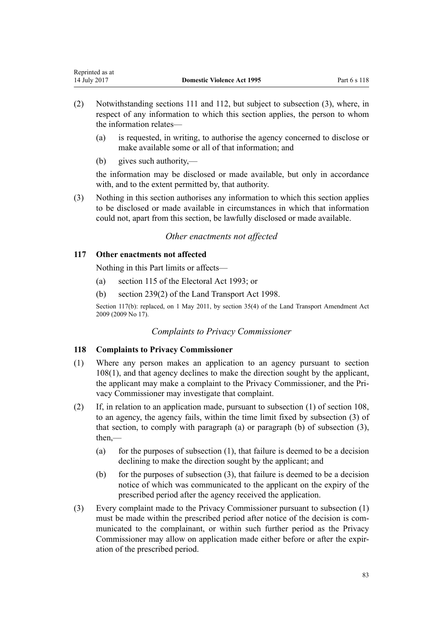- <span id="page-82-0"></span>(2) Notwithstanding [sections 111](#page-79-0) and [112](#page-79-0), but subject to subsection (3), where, in respect of any information to which this section applies, the person to whom the information relates—
	- (a) is requested, in writing, to authorise the agency concerned to disclose or make available some or all of that information; and
	- (b) gives such authority,—

the information may be disclosed or made available, but only in accordance with, and to the extent permitted by, that authority.

(3) Nothing in this section authorises any information to which this section applies to be disclosed or made available in circumstances in which that information could not, apart from this section, be lawfully disclosed or made available.

# *Other enactments not affected*

# **117 Other enactments not affected**

Nothing in this Part limits or affects—

- (a) [section 115](http://prd-lgnz-nlb.prd.pco.net.nz/pdflink.aspx?id=DLM309404) of the Electoral Act 1993; or
- (b) [section 239\(2\)](http://prd-lgnz-nlb.prd.pco.net.nz/pdflink.aspx?id=DLM3701415) of the Land Transport Act 1998.

Section 117(b): replaced, on 1 May 2011, by [section 35\(4\)](http://prd-lgnz-nlb.prd.pco.net.nz/pdflink.aspx?id=DLM2015063) of the Land Transport Amendment Act 2009 (2009 No 17).

# *Complaints to Privacy Commissioner*

# **118 Complaints to Privacy Commissioner**

- (1) Where any person makes an application to an agency pursuant to [section](#page-77-0) [108\(1\),](#page-77-0) and that agency declines to make the direction sought by the applicant, the applicant may make a complaint to the Privacy Commissioner, and the Privacy Commissioner may investigate that complaint.
- (2) If, in relation to an application made, pursuant to subsection (1) of [section 108](#page-77-0), to an agency, the agency fails, within the time limit fixed by subsection (3) of that section, to comply with paragraph (a) or paragraph (b) of subsection (3), then,—
	- (a) for the purposes of subsection  $(1)$ , that failure is deemed to be a decision declining to make the direction sought by the applicant; and
	- (b) for the purposes of subsection  $(3)$ , that failure is deemed to be a decision notice of which was communicated to the applicant on the expiry of the prescribed period after the agency received the application.
- (3) Every complaint made to the Privacy Commissioner pursuant to subsection (1) must be made within the prescribed period after notice of the decision is communicated to the complainant, or within such further period as the Privacy Commissioner may allow on application made either before or after the expiration of the prescribed period.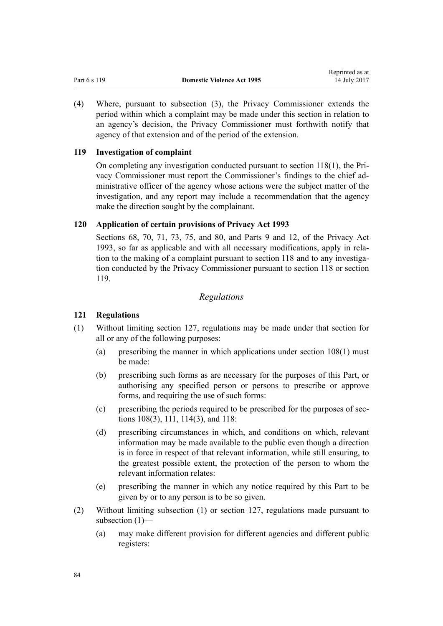<span id="page-83-0"></span>

|              |                                   | wephinted as at |
|--------------|-----------------------------------|-----------------|
| Part 6 s 119 | <b>Domestic Violence Act 1995</b> | 14 July 2017    |

Reprinted as at

(4) Where, pursuant to subsection (3), the Privacy Commissioner extends the period within which a complaint may be made under this section in relation to an agency's decision, the Privacy Commissioner must forthwith notify that agency of that extension and of the period of the extension.

# **119 Investigation of complaint**

On completing any investigation conducted pursuant to [section 118\(1\)](#page-82-0), the Privacy Commissioner must report the Commissioner's findings to the chief administrative officer of the agency whose actions were the subject matter of the investigation, and any report may include a recommendation that the agency make the direction sought by the complainant.

# **120 Application of certain provisions of Privacy Act 1993**

[Sections 68](http://prd-lgnz-nlb.prd.pco.net.nz/pdflink.aspx?id=DLM297444), [70](http://prd-lgnz-nlb.prd.pco.net.nz/pdflink.aspx?id=DLM297447), [71](http://prd-lgnz-nlb.prd.pco.net.nz/pdflink.aspx?id=DLM297448), [73](http://prd-lgnz-nlb.prd.pco.net.nz/pdflink.aspx?id=DLM297455), [75](http://prd-lgnz-nlb.prd.pco.net.nz/pdflink.aspx?id=DLM297457), and [80](http://prd-lgnz-nlb.prd.pco.net.nz/pdflink.aspx?id=DLM297463), and [Parts 9](http://prd-lgnz-nlb.prd.pco.net.nz/pdflink.aspx?id=DLM297902) and [12](http://prd-lgnz-nlb.prd.pco.net.nz/pdflink.aspx?id=DLM298408), of the Privacy Act 1993, so far as applicable and with all necessary modifications, apply in relation to the making of a complaint pursuant to [section 118](#page-82-0) and to any investigation conducted by the Privacy Commissioner pursuant to section 118 or section 119.

# *Regulations*

# **121 Regulations**

- (1) Without limiting [section 127,](#page-96-0) regulations may be made under that section for all or any of the following purposes:
	- (a) prescribing the manner in which applications under [section 108\(1\)](#page-77-0) must be made:
	- (b) prescribing such forms as are necessary for the purposes of this Part, or authorising any specified person or persons to prescribe or approve forms, and requiring the use of such forms:
	- (c) prescribing the periods required to be prescribed for the purposes of [sec](#page-77-0)[tions 108\(3\)](#page-77-0), [111](#page-79-0), [114\(3\)](#page-80-0), and [118](#page-82-0):
	- (d) prescribing circumstances in which, and conditions on which, relevant information may be made available to the public even though a direction is in force in respect of that relevant information, while still ensuring, to the greatest possible extent, the protection of the person to whom the relevant information relates:
	- (e) prescribing the manner in which any notice required by this Part to be given by or to any person is to be so given.
- (2) Without limiting subsection (1) or [section 127,](#page-96-0) regulations made pursuant to subsection (1)—
	- (a) may make different provision for different agencies and different public registers: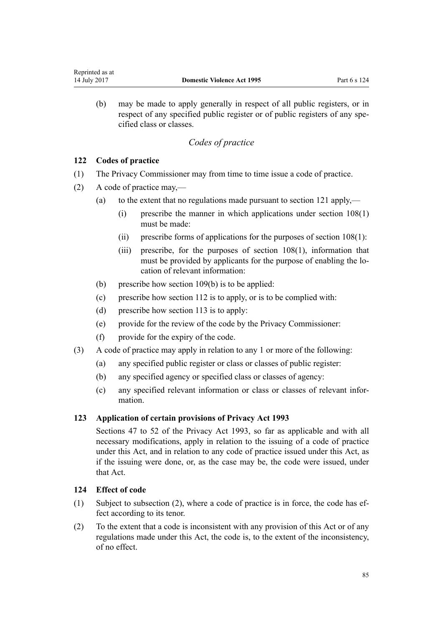<span id="page-84-0"></span>(b) may be made to apply generally in respect of all public registers, or in respect of any specified public register or of public registers of any specified class or classes.

# *Codes of practice*

# **122 Codes of practice**

- (1) The Privacy Commissioner may from time to time issue a code of practice.
- (2) A code of practice may,—
	- (a) to the extent that no regulations made pursuant to [section 121](#page-83-0) apply,—
		- (i) prescribe the manner in which applications under [section 108\(1\)](#page-77-0) must be made:
		- (ii) prescribe forms of applications for the purposes of [section 108\(1\)](#page-77-0):
		- (iii) prescribe, for the purposes of [section 108\(1\)](#page-77-0), information that must be provided by applicants for the purpose of enabling the location of relevant information:
	- (b) prescribe how [section 109\(b\)](#page-78-0) is to be applied:
	- (c) prescribe how [section 112](#page-79-0) is to apply, or is to be complied with:
	- (d) prescribe how [section 113](#page-80-0) is to apply:
	- (e) provide for the review of the code by the Privacy Commissioner:
	- (f) provide for the expiry of the code.
- (3) A code of practice may apply in relation to any 1 or more of the following:
	- (a) any specified public register or class or classes of public register:
	- (b) any specified agency or specified class or classes of agency:
	- (c) any specified relevant information or class or classes of relevant information.

# **123 Application of certain provisions of Privacy Act 1993**

[Sections 47 to 52](http://prd-lgnz-nlb.prd.pco.net.nz/pdflink.aspx?id=DLM297411) of the Privacy Act 1993, so far as applicable and with all necessary modifications, apply in relation to the issuing of a code of practice under this Act, and in relation to any code of practice issued under this Act, as if the issuing were done, or, as the case may be, the code were issued, under that Act.

# **124 Effect of code**

- (1) Subject to subsection (2), where a code of practice is in force, the code has effect according to its tenor.
- (2) To the extent that a code is inconsistent with any provision of this Act or of any regulations made under this Act, the code is, to the extent of the inconsistency, of no effect.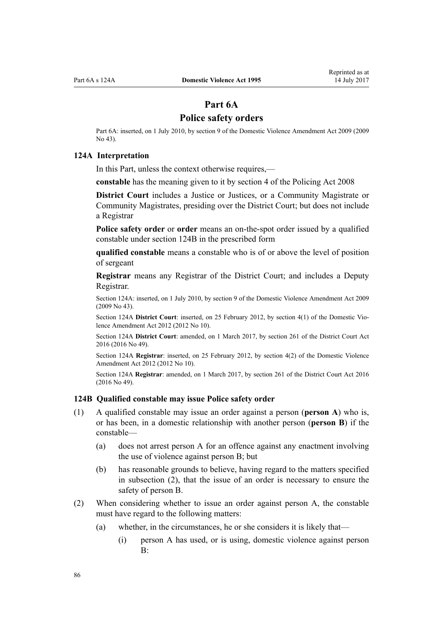# **Part 6A**

# **Police safety orders**

<span id="page-85-0"></span>Part 6A: inserted, on 1 July 2010, by [section 9](http://prd-lgnz-nlb.prd.pco.net.nz/pdflink.aspx?id=DLM1774218) of the Domestic Violence Amendment Act 2009 (2009 No 43).

#### **124A Interpretation**

In this Part, unless the context otherwise requires,—

**constable** has the meaning given to it by [section 4](http://prd-lgnz-nlb.prd.pco.net.nz/pdflink.aspx?id=DLM1102132) of the Policing Act 2008

**District Court** includes a Justice or Justices, or a Community Magistrate or Community Magistrates, presiding over the District Court; but does not include a Registrar

**Police safety order** or **order** means an on-the-spot order issued by a qualified constable under section 124B in the prescribed form

**qualified constable** means a constable who is of or above the level of position of sergeant

**Registrar** means any Registrar of the District Court; and includes a Deputy Registrar.

Section 124A: inserted, on 1 July 2010, by [section 9](http://prd-lgnz-nlb.prd.pco.net.nz/pdflink.aspx?id=DLM1774218) of the Domestic Violence Amendment Act 2009 (2009 No 43).

Section 124A **District Court**: inserted, on 25 February 2012, by [section 4\(1\)](http://prd-lgnz-nlb.prd.pco.net.nz/pdflink.aspx?id=DLM4014207) of the Domestic Violence Amendment Act 2012 (2012 No 10).

Section 124A **District Court**: amended, on 1 March 2017, by [section 261](http://prd-lgnz-nlb.prd.pco.net.nz/pdflink.aspx?id=DLM6942680) of the District Court Act 2016 (2016 No 49).

Section 124A **Registrar**: inserted, on 25 February 2012, by [section 4\(2\)](http://prd-lgnz-nlb.prd.pco.net.nz/pdflink.aspx?id=DLM4014207) of the Domestic Violence Amendment Act 2012 (2012 No 10).

Section 124A **Registrar**: amended, on 1 March 2017, by [section 261](http://prd-lgnz-nlb.prd.pco.net.nz/pdflink.aspx?id=DLM6942680) of the District Court Act 2016 (2016 No 49).

#### **124B Qualified constable may issue Police safety order**

- (1) A qualified constable may issue an order against a person (**person A**) who is, or has been, in a domestic relationship with another person (**person B**) if the constable—
	- (a) does not arrest person A for an offence against any enactment involving the use of violence against person B; but
	- (b) has reasonable grounds to believe, having regard to the matters specified in subsection (2), that the issue of an order is necessary to ensure the safety of person B.
- (2) When considering whether to issue an order against person A, the constable must have regard to the following matters:
	- (a) whether, in the circumstances, he or she considers it is likely that—
		- (i) person A has used, or is using, domestic violence against person  $B^{\cdot}$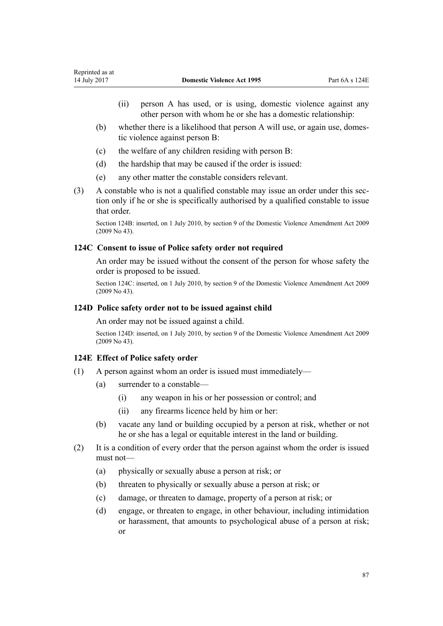- (ii) person A has used, or is using, domestic violence against any other person with whom he or she has a domestic relationship:
- (b) whether there is a likelihood that person A will use, or again use, domestic violence against person B:
- (c) the welfare of any children residing with person B:
- (d) the hardship that may be caused if the order is issued:
- (e) any other matter the constable considers relevant.
- (3) A constable who is not a qualified constable may issue an order under this section only if he or she is specifically authorised by a qualified constable to issue that order.

Section 124B: inserted, on 1 July 2010, by [section 9](http://prd-lgnz-nlb.prd.pco.net.nz/pdflink.aspx?id=DLM1774218) of the Domestic Violence Amendment Act 2009 (2009 No 43).

# **124C Consent to issue of Police safety order not required**

An order may be issued without the consent of the person for whose safety the order is proposed to be issued.

Section 124C: inserted, on 1 July 2010, by [section 9](http://prd-lgnz-nlb.prd.pco.net.nz/pdflink.aspx?id=DLM1774218) of the Domestic Violence Amendment Act 2009 (2009 No 43).

# **124D Police safety order not to be issued against child**

An order may not be issued against a child.

Section 124D: inserted, on 1 July 2010, by [section 9](http://prd-lgnz-nlb.prd.pco.net.nz/pdflink.aspx?id=DLM1774218) of the Domestic Violence Amendment Act 2009 (2009 No 43).

## **124E Effect of Police safety order**

- (1) A person against whom an order is issued must immediately—
	- (a) surrender to a constable—
		- (i) any weapon in his or her possession or control; and
		- (ii) any firearms licence held by him or her:
	- (b) vacate any land or building occupied by a person at risk, whether or not he or she has a legal or equitable interest in the land or building.
- (2) It is a condition of every order that the person against whom the order is issued must not—
	- (a) physically or sexually abuse a person at risk; or
	- (b) threaten to physically or sexually abuse a person at risk; or
	- (c) damage, or threaten to damage, property of a person at risk; or
	- (d) engage, or threaten to engage, in other behaviour, including intimidation or harassment, that amounts to psychological abuse of a person at risk; or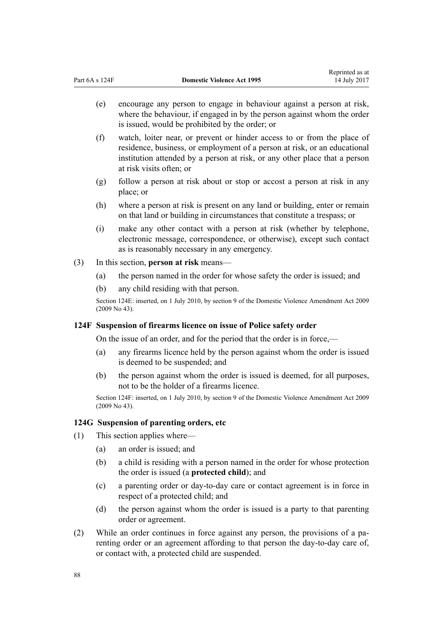- (e) encourage any person to engage in behaviour against a person at risk, where the behaviour, if engaged in by the person against whom the order is issued, would be prohibited by the order; or
- (f) watch, loiter near, or prevent or hinder access to or from the place of residence, business, or employment of a person at risk, or an educational institution attended by a person at risk, or any other place that a person at risk visits often; or
- (g) follow a person at risk about or stop or accost a person at risk in any place; or
- (h) where a person at risk is present on any land or building, enter or remain on that land or building in circumstances that constitute a trespass; or
- (i) make any other contact with a person at risk (whether by telephone, electronic message, correspondence, or otherwise), except such contact as is reasonably necessary in any emergency.
- (3) In this section, **person at risk** means—
	- (a) the person named in the order for whose safety the order is issued; and
	- (b) any child residing with that person.

Section 124E: inserted, on 1 July 2010, by [section 9](http://prd-lgnz-nlb.prd.pco.net.nz/pdflink.aspx?id=DLM1774218) of the Domestic Violence Amendment Act 2009 (2009 No 43).

#### **124F Suspension of firearms licence on issue of Police safety order**

On the issue of an order, and for the period that the order is in force,—

- (a) any firearms licence held by the person against whom the order is issued is deemed to be suspended; and
- (b) the person against whom the order is issued is deemed, for all purposes, not to be the holder of a firearms licence.

Section 124F: inserted, on 1 July 2010, by [section 9](http://prd-lgnz-nlb.prd.pco.net.nz/pdflink.aspx?id=DLM1774218) of the Domestic Violence Amendment Act 2009 (2009 No 43).

# **124G Suspension of parenting orders, etc**

- (1) This section applies where—
	- (a) an order is issued; and
	- (b) a child is residing with a person named in the order for whose protection the order is issued (a **protected child**); and
	- (c) a parenting order or day-to-day care or contact agreement is in force in respect of a protected child; and
	- (d) the person against whom the order is issued is a party to that parenting order or agreement.
- (2) While an order continues in force against any person, the provisions of a parenting order or an agreement affording to that person the day-to-day care of, or contact with, a protected child are suspended.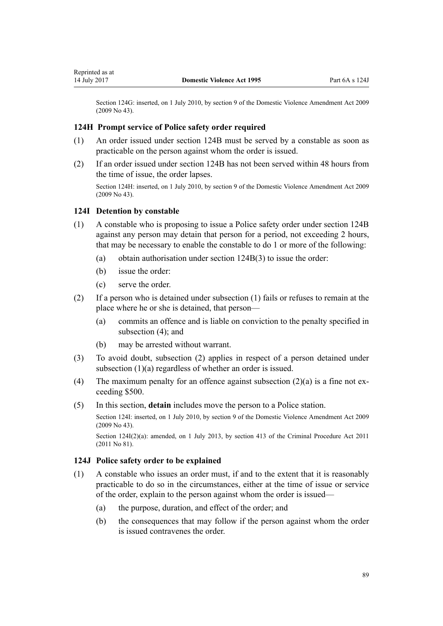Section 124G: inserted, on 1 July 2010, by [section 9](http://prd-lgnz-nlb.prd.pco.net.nz/pdflink.aspx?id=DLM1774218) of the Domestic Violence Amendment Act 2009 (2009 No 43).

# **124H Prompt service of Police safety order required**

- (1) An order issued under [section 124B](#page-85-0) must be served by a constable as soon as practicable on the person against whom the order is issued.
- (2) If an order issued under [section 124B](#page-85-0) has not been served within 48 hours from the time of issue, the order lapses.

Section 124H: inserted, on 1 July 2010, by [section 9](http://prd-lgnz-nlb.prd.pco.net.nz/pdflink.aspx?id=DLM1774218) of the Domestic Violence Amendment Act 2009 (2009 No 43).

# **124I Detention by constable**

- (1) A constable who is proposing to issue a Police safety order under [section 124B](#page-85-0) against any person may detain that person for a period, not exceeding 2 hours, that may be necessary to enable the constable to do 1 or more of the following:
	- (a) obtain authorisation under [section 124B\(3\)](#page-85-0) to issue the order:
	- (b) issue the order:
	- (c) serve the order.
- (2) If a person who is detained under subsection (1) fails or refuses to remain at the place where he or she is detained, that person—
	- (a) commits an offence and is liable on conviction to the penalty specified in subsection (4); and
	- (b) may be arrested without warrant.
- (3) To avoid doubt, subsection (2) applies in respect of a person detained under subsection (1)(a) regardless of whether an order is issued.
- (4) The maximum penalty for an offence against subsection  $(2)(a)$  is a fine not exceeding \$500.
- (5) In this section, **detain** includes move the person to a Police station.

Section 124I: inserted, on 1 July 2010, by [section 9](http://prd-lgnz-nlb.prd.pco.net.nz/pdflink.aspx?id=DLM1774218) of the Domestic Violence Amendment Act 2009 (2009 No 43).

Section 124I(2)(a): amended, on 1 July 2013, by [section 413](http://prd-lgnz-nlb.prd.pco.net.nz/pdflink.aspx?id=DLM3360714) of the Criminal Procedure Act 2011 (2011 No 81).

# **124J Police safety order to be explained**

- (1) A constable who issues an order must, if and to the extent that it is reasonably practicable to do so in the circumstances, either at the time of issue or service of the order, explain to the person against whom the order is issued—
	- (a) the purpose, duration, and effect of the order; and
	- (b) the consequences that may follow if the person against whom the order is issued contravenes the order.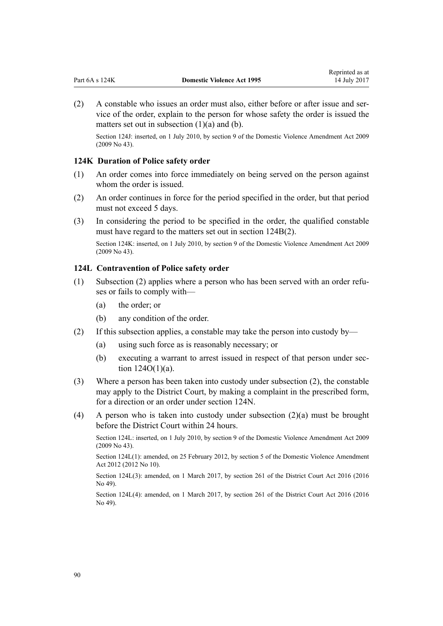<span id="page-89-0"></span>(2) A constable who issues an order must also, either before or after issue and service of the order, explain to the person for whose safety the order is issued the matters set out in subsection  $(1)(a)$  and  $(b)$ .

Section 124J: inserted, on 1 July 2010, by [section 9](http://prd-lgnz-nlb.prd.pco.net.nz/pdflink.aspx?id=DLM1774218) of the Domestic Violence Amendment Act 2009 (2009 No 43).

## **124K Duration of Police safety order**

- (1) An order comes into force immediately on being served on the person against whom the order is issued.
- (2) An order continues in force for the period specified in the order, but that period must not exceed 5 days.
- (3) In considering the period to be specified in the order, the qualified constable must have regard to the matters set out in [section 124B\(2\).](#page-85-0)

Section 124K: inserted, on 1 July 2010, by [section 9](http://prd-lgnz-nlb.prd.pco.net.nz/pdflink.aspx?id=DLM1774218) of the Domestic Violence Amendment Act 2009 (2009 No 43).

## **124L Contravention of Police safety order**

- (1) Subsection (2) applies where a person who has been served with an order refuses or fails to comply with—
	- (a) the order; or
	- (b) any condition of the order.
- (2) If this subsection applies, a constable may take the person into custody by—
	- (a) using such force as is reasonably necessary; or
	- (b) executing a warrant to arrest issued in respect of that person under [sec](#page-92-0)[tion 124O\(1\)\(a\).](#page-92-0)
- (3) Where a person has been taken into custody under subsection (2), the constable may apply to the District Court, by making a complaint in the prescribed form, for a direction or an order under [section 124N.](#page-90-0)
- (4) A person who is taken into custody under subsection (2)(a) must be brought before the District Court within 24 hours.

Section 124L: inserted, on 1 July 2010, by [section 9](http://prd-lgnz-nlb.prd.pco.net.nz/pdflink.aspx?id=DLM1774218) of the Domestic Violence Amendment Act 2009 (2009 No 43).

Section 124L(1): amended, on 25 February 2012, by [section 5](http://prd-lgnz-nlb.prd.pco.net.nz/pdflink.aspx?id=DLM4014212) of the Domestic Violence Amendment Act 2012 (2012 No 10).

Section 124L(3): amended, on 1 March 2017, by [section 261](http://prd-lgnz-nlb.prd.pco.net.nz/pdflink.aspx?id=DLM6942680) of the District Court Act 2016 (2016 No 49).

Section 124L(4): amended, on 1 March 2017, by [section 261](http://prd-lgnz-nlb.prd.pco.net.nz/pdflink.aspx?id=DLM6942680) of the District Court Act 2016 (2016 No 49).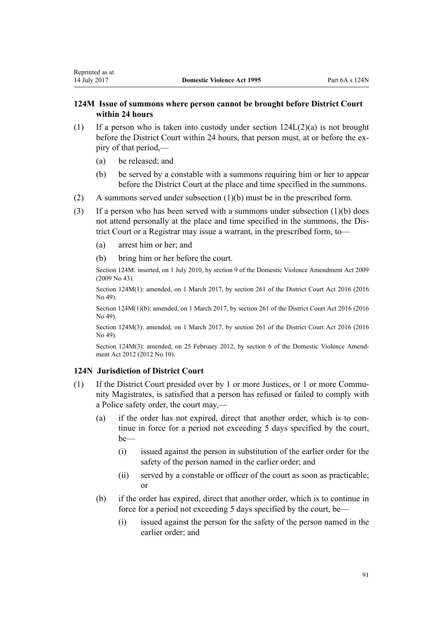# <span id="page-90-0"></span>**124M Issue of summons where person cannot be brought before District Court within 24 hours**

- (1) If a person who is taken into custody under section  $124L(2)(a)$  is not brought before the District Court within 24 hours, that person must, at or before the expiry of that period,—
	- (a) be released; and
	- (b) be served by a constable with a summons requiring him or her to appear before the District Court at the place and time specified in the summons.
- (2) A summons served under subsection (1)(b) must be in the prescribed form.
- (3) If a person who has been served with a summons under subsection (1)(b) does not attend personally at the place and time specified in the summons, the District Court or a Registrar may issue a warrant, in the prescribed form, to—
	- (a) arrest him or her; and
	- (b) bring him or her before the court.

Section 124M: inserted, on 1 July 2010, by [section 9](http://prd-lgnz-nlb.prd.pco.net.nz/pdflink.aspx?id=DLM1774218) of the Domestic Violence Amendment Act 2009 (2009 No 43).

Section 124M(1): amended, on 1 March 2017, by [section 261](http://prd-lgnz-nlb.prd.pco.net.nz/pdflink.aspx?id=DLM6942680) of the District Court Act 2016 (2016 No 49).

Section 124M(1)(b): amended, on 1 March 2017, by [section 261](http://prd-lgnz-nlb.prd.pco.net.nz/pdflink.aspx?id=DLM6942680) of the District Court Act 2016 (2016 No 49).

Section 124M(3): amended, on 1 March 2017, by [section 261](http://prd-lgnz-nlb.prd.pco.net.nz/pdflink.aspx?id=DLM6942680) of the District Court Act 2016 (2016 No 49).

Section 124M(3): amended, on 25 February 2012, by [section 6](http://prd-lgnz-nlb.prd.pco.net.nz/pdflink.aspx?id=DLM4014213) of the Domestic Violence Amendment Act 2012 (2012 No 10).

## **124N Jurisdiction of District Court**

- (1) If the District Court presided over by 1 or more Justices, or 1 or more Community Magistrates, is satisfied that a person has refused or failed to comply with a Police safety order, the court may,—
	- (a) if the order has not expired, direct that another order, which is to continue in force for a period not exceeding 5 days specified by the court, be—
		- (i) issued against the person in substitution of the earlier order for the safety of the person named in the earlier order; and
		- (ii) served by a constable or officer of the court as soon as practicable; or
	- (b) if the order has expired, direct that another order, which is to continue in force for a period not exceeding 5 days specified by the court, be—
		- (i) issued against the person for the safety of the person named in the earlier order; and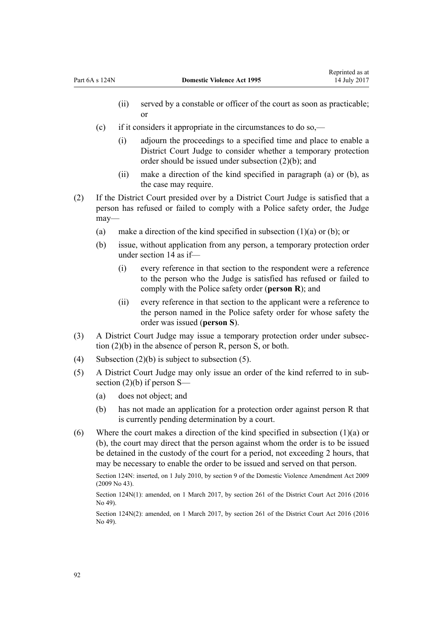- (ii) served by a constable or officer of the court as soon as practicable; or
- (c) if it considers it appropriate in the circumstances to do so,—
	- (i) adjourn the proceedings to a specified time and place to enable a District Court Judge to consider whether a temporary protection order should be issued under subsection (2)(b); and
	- (ii) make a direction of the kind specified in paragraph (a) or (b), as the case may require.
- (2) If the District Court presided over by a District Court Judge is satisfied that a person has refused or failed to comply with a Police safety order, the Judge may—
	- (a) make a direction of the kind specified in subsection  $(1)(a)$  or  $(b)$ ; or
	- (b) issue, without application from any person, a temporary protection order under [section 14](#page-20-0) as if—
		- (i) every reference in that section to the respondent were a reference to the person who the Judge is satisfied has refused or failed to comply with the Police safety order (**person R**); and
		- (ii) every reference in that section to the applicant were a reference to the person named in the Police safety order for whose safety the order was issued (**person S**).
- (3) A District Court Judge may issue a temporary protection order under subsection (2)(b) in the absence of person R, person S, or both.
- (4) Subsection  $(2)(b)$  is subject to subsection (5).
- (5) A District Court Judge may only issue an order of the kind referred to in subsection  $(2)(b)$  if person S—
	- (a) does not object; and
	- (b) has not made an application for a protection order against person R that is currently pending determination by a court.
- (6) Where the court makes a direction of the kind specified in subsection (1)(a) or (b), the court may direct that the person against whom the order is to be issued be detained in the custody of the court for a period, not exceeding 2 hours, that may be necessary to enable the order to be issued and served on that person.

Section 124N: inserted, on 1 July 2010, by [section 9](http://prd-lgnz-nlb.prd.pco.net.nz/pdflink.aspx?id=DLM1774218) of the Domestic Violence Amendment Act 2009 (2009 No 43).

Section 124N(1): amended, on 1 March 2017, by [section 261](http://prd-lgnz-nlb.prd.pco.net.nz/pdflink.aspx?id=DLM6942680) of the District Court Act 2016 (2016 No 49).

Section 124N(2): amended, on 1 March 2017, by [section 261](http://prd-lgnz-nlb.prd.pco.net.nz/pdflink.aspx?id=DLM6942680) of the District Court Act 2016 (2016 No 49).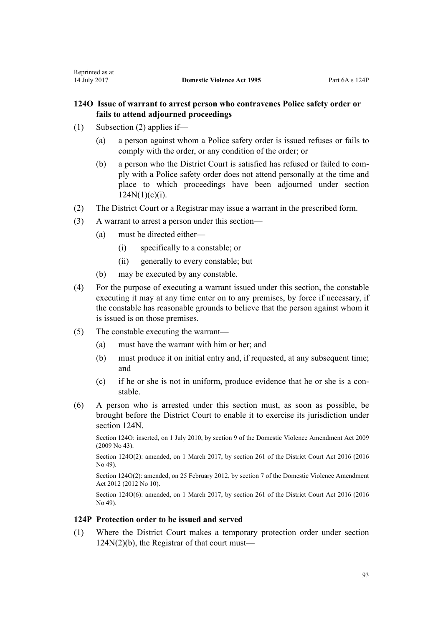# <span id="page-92-0"></span>**124O Issue of warrant to arrest person who contravenes Police safety order or fails to attend adjourned proceedings**

- (1) Subsection (2) applies if—
	- (a) a person against whom a Police safety order is issued refuses or fails to comply with the order, or any condition of the order; or
	- (b) a person who the District Court is satisfied has refused or failed to comply with a Police safety order does not attend personally at the time and place to which proceedings have been adjourned under [section](#page-90-0)  $124N(1)(c)(i)$ .
- (2) The District Court or a Registrar may issue a warrant in the prescribed form.
- (3) A warrant to arrest a person under this section—
	- (a) must be directed either—
		- (i) specifically to a constable; or
		- (ii) generally to every constable; but
	- (b) may be executed by any constable.
- (4) For the purpose of executing a warrant issued under this section, the constable executing it may at any time enter on to any premises, by force if necessary, if the constable has reasonable grounds to believe that the person against whom it is issued is on those premises.
- (5) The constable executing the warrant—
	- (a) must have the warrant with him or her; and
	- (b) must produce it on initial entry and, if requested, at any subsequent time; and
	- (c) if he or she is not in uniform, produce evidence that he or she is a constable.
- (6) A person who is arrested under this section must, as soon as possible, be brought before the District Court to enable it to exercise its jurisdiction under [section 124N](#page-90-0).

Section 124O: inserted, on 1 July 2010, by [section 9](http://prd-lgnz-nlb.prd.pco.net.nz/pdflink.aspx?id=DLM1774218) of the Domestic Violence Amendment Act 2009 (2009 No 43).

Section 124O(2): amended, on 1 March 2017, by [section 261](http://prd-lgnz-nlb.prd.pco.net.nz/pdflink.aspx?id=DLM6942680) of the District Court Act 2016 (2016) No 49).

Section 124O(2): amended, on 25 February 2012, by [section 7](http://prd-lgnz-nlb.prd.pco.net.nz/pdflink.aspx?id=DLM4014214) of the Domestic Violence Amendment Act 2012 (2012 No 10).

Section 124O(6): amended, on 1 March 2017, by [section 261](http://prd-lgnz-nlb.prd.pco.net.nz/pdflink.aspx?id=DLM6942680) of the District Court Act 2016 (2016 No 49).

# **124P Protection order to be issued and served**

(1) Where the District Court makes a temporary protection order under [section](#page-90-0) [124N\(2\)\(b\),](#page-90-0) the Registrar of that court must—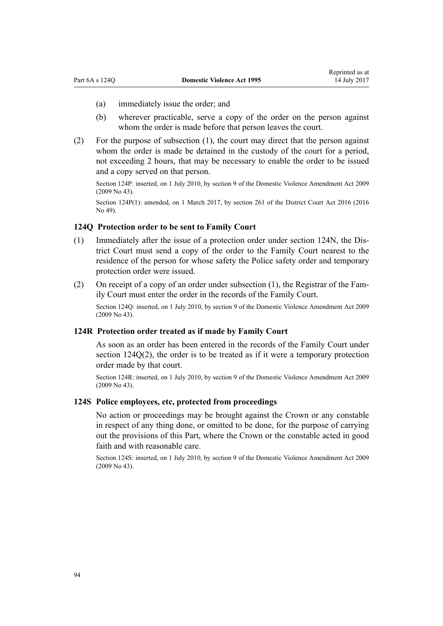- (a) immediately issue the order; and
- (b) wherever practicable, serve a copy of the order on the person against whom the order is made before that person leaves the court.
- (2) For the purpose of subsection (1), the court may direct that the person against whom the order is made be detained in the custody of the court for a period, not exceeding 2 hours, that may be necessary to enable the order to be issued and a copy served on that person.

Section 124P: inserted, on 1 July 2010, by [section 9](http://prd-lgnz-nlb.prd.pco.net.nz/pdflink.aspx?id=DLM1774218) of the Domestic Violence Amendment Act 2009 (2009 No 43).

Section 124P(1): amended, on 1 March 2017, by [section 261](http://prd-lgnz-nlb.prd.pco.net.nz/pdflink.aspx?id=DLM6942680) of the District Court Act 2016 (2016) No 49).

# **124Q Protection order to be sent to Family Court**

- (1) Immediately after the issue of a protection order under [section 124N](#page-90-0), the District Court must send a copy of the order to the Family Court nearest to the residence of the person for whose safety the Police safety order and temporary protection order were issued.
- (2) On receipt of a copy of an order under subsection (1), the Registrar of the Family Court must enter the order in the records of the Family Court.

Section 124Q: inserted, on 1 July 2010, by [section 9](http://prd-lgnz-nlb.prd.pco.net.nz/pdflink.aspx?id=DLM1774218) of the Domestic Violence Amendment Act 2009 (2009 No 43).

#### **124R Protection order treated as if made by Family Court**

As soon as an order has been entered in the records of the Family Court under section 124Q(2), the order is to be treated as if it were a temporary protection order made by that court.

Section 124R: inserted, on 1 July 2010, by [section 9](http://prd-lgnz-nlb.prd.pco.net.nz/pdflink.aspx?id=DLM1774218) of the Domestic Violence Amendment Act 2009 (2009 No 43).

## **124S Police employees, etc, protected from proceedings**

No action or proceedings may be brought against the Crown or any constable in respect of any thing done, or omitted to be done, for the purpose of carrying out the provisions of this Part, where the Crown or the constable acted in good faith and with reasonable care.

Section 124S: inserted, on 1 July 2010, by [section 9](http://prd-lgnz-nlb.prd.pco.net.nz/pdflink.aspx?id=DLM1774218) of the Domestic Violence Amendment Act 2009 (2009 No 43).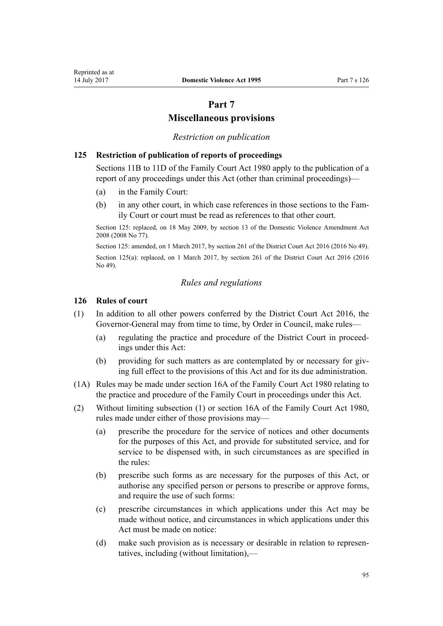# **Part 7**

# **Miscellaneous provisions**

# *Restriction on publication*

# **125 Restriction of publication of reports of proceedings**

[Sections 11B to 11D](http://prd-lgnz-nlb.prd.pco.net.nz/pdflink.aspx?id=DLM2061203) of the Family Court Act 1980 apply to the publication of a report of any proceedings under this Act (other than criminal proceedings)—

- (a) in the Family Court:
- (b) in any other court, in which case references in those sections to the Family Court or court must be read as references to that other court.

Section 125: replaced, on 18 May 2009, by [section 13](http://prd-lgnz-nlb.prd.pco.net.nz/pdflink.aspx?id=DLM1302125) of the Domestic Violence Amendment Act 2008 (2008 No 77).

Section 125: amended, on 1 March 2017, by [section 261](http://prd-lgnz-nlb.prd.pco.net.nz/pdflink.aspx?id=DLM6942680) of the District Court Act 2016 (2016 No 49). Section 125(a): replaced, on 1 March 2017, by [section 261](http://prd-lgnz-nlb.prd.pco.net.nz/pdflink.aspx?id=DLM6942680) of the District Court Act 2016 (2016) No 49).

## *Rules and regulations*

## **126 Rules of court**

- (1) In addition to all other powers conferred by the [District Court Act 2016,](http://prd-lgnz-nlb.prd.pco.net.nz/pdflink.aspx?id=DLM6942200) the Governor-General may from time to time, by Order in Council, make rules—
	- (a) regulating the practice and procedure of the District Court in proceedings under this Act:
	- (b) providing for such matters as are contemplated by or necessary for giving full effect to the provisions of this Act and for its due administration.
- (1A) Rules may be made under [section 16A](http://prd-lgnz-nlb.prd.pco.net.nz/pdflink.aspx?id=DLM42296) of the Family Court Act 1980 relating to the practice and procedure of the Family Court in proceedings under this Act.
- (2) Without limiting subsection (1) or [section 16A](http://prd-lgnz-nlb.prd.pco.net.nz/pdflink.aspx?id=DLM42296) of the Family Court Act 1980, rules made under either of those provisions may—
	- (a) prescribe the procedure for the service of notices and other documents for the purposes of this Act, and provide for substituted service, and for service to be dispensed with, in such circumstances as are specified in the rules:
	- (b) prescribe such forms as are necessary for the purposes of this Act, or authorise any specified person or persons to prescribe or approve forms, and require the use of such forms:
	- (c) prescribe circumstances in which applications under this Act may be made without notice, and circumstances in which applications under this Act must be made on notice:
	- (d) make such provision as is necessary or desirable in relation to representatives, including (without limitation),—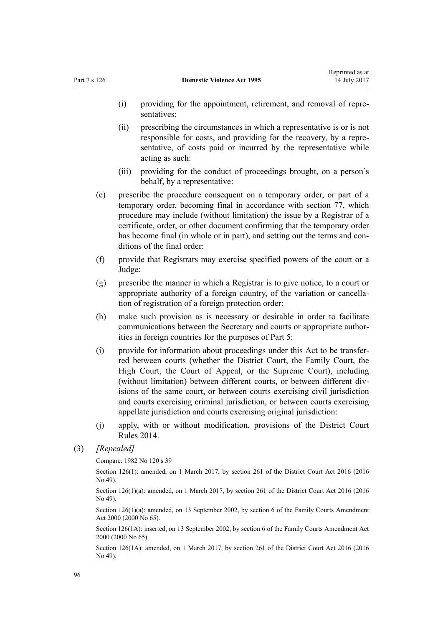- (i) providing for the appointment, retirement, and removal of representatives:
- (ii) prescribing the circumstances in which a representative is or is not responsible for costs, and providing for the recovery, by a representative, of costs paid or incurred by the representative while acting as such:
- (iii) providing for the conduct of proceedings brought, on a person's behalf, by a representative:
- (e) prescribe the procedure consequent on a temporary order, or part of a temporary order, becoming final in accordance with [section 77,](#page-62-0) which procedure may include (without limitation) the issue by a Registrar of a certificate, order, or other document confirming that the temporary order has become final (in whole or in part), and setting out the terms and conditions of the final order:
- (f) provide that Registrars may exercise specified powers of the court or a Judge:
- (g) prescribe the manner in which a Registrar is to give notice, to a court or appropriate authority of a foreign country, of the variation or cancellation of registration of a foreign protection order:
- (h) make such provision as is necessary or desirable in order to facilitate communications between the Secretary and courts or appropriate authorities in foreign countries for the purposes of [Part 5:](#page-73-0)
- (i) provide for information about proceedings under this Act to be transferred between courts (whether the District Court, the Family Court, the High Court, the Court of Appeal, or the Supreme Court), including (without limitation) between different courts, or between different divisions of the same court, or between courts exercising civil jurisdiction and courts exercising criminal jurisdiction, or between courts exercising appellate jurisdiction and courts exercising original jurisdiction:
- (j) apply, with or without modification, provisions of the [District Court](http://prd-lgnz-nlb.prd.pco.net.nz/pdflink.aspx?id=DLM6129566) [Rules 2014](http://prd-lgnz-nlb.prd.pco.net.nz/pdflink.aspx?id=DLM6129566).

Compare: 1982 No 120 s 39

Section 126(1): amended, on 1 March 2017, by [section 261](http://prd-lgnz-nlb.prd.pco.net.nz/pdflink.aspx?id=DLM6942680) of the District Court Act 2016 (2016) No 49).

Section 126(1)(a): amended, on 1 March 2017, by [section 261](http://prd-lgnz-nlb.prd.pco.net.nz/pdflink.aspx?id=DLM6942680) of the District Court Act 2016 (2016 No 49).

Section 126(1)(a): amended, on 13 September 2002, by [section 6](http://prd-lgnz-nlb.prd.pco.net.nz/pdflink.aspx?id=DLM76831) of the Family Courts Amendment Act 2000 (2000 No 65).

Section 126(1A): inserted, on 13 September 2002, by [section 6](http://prd-lgnz-nlb.prd.pco.net.nz/pdflink.aspx?id=DLM76831) of the Family Courts Amendment Act 2000 (2000 No 65).

Section 126(1A): amended, on 1 March 2017, by [section 261](http://prd-lgnz-nlb.prd.pco.net.nz/pdflink.aspx?id=DLM6942680) of the District Court Act 2016 (2016 No 49).

<sup>(3)</sup> *[Repealed]*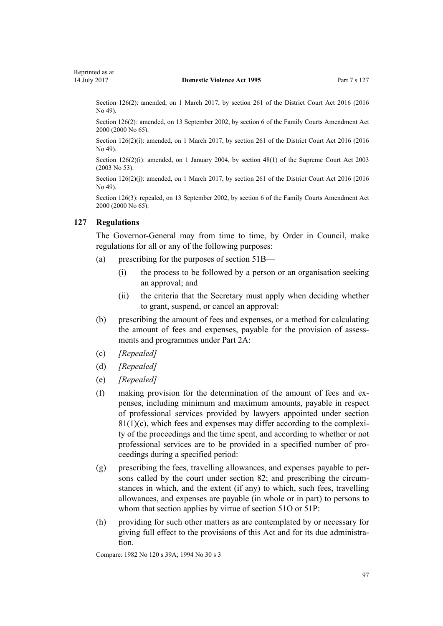<span id="page-96-0"></span>Section 126(2): amended, on 1 March 2017, by [section 261](http://prd-lgnz-nlb.prd.pco.net.nz/pdflink.aspx?id=DLM6942680) of the District Court Act 2016 (2016) No 49).

Section 126(2): amended, on 13 September 2002, by [section 6](http://prd-lgnz-nlb.prd.pco.net.nz/pdflink.aspx?id=DLM76831) of the Family Courts Amendment Act 2000 (2000 No 65).

Section 126(2)(i): amended, on 1 March 2017, by [section 261](http://prd-lgnz-nlb.prd.pco.net.nz/pdflink.aspx?id=DLM6942680) of the District Court Act 2016 (2016 No 49).

Section 126(2)(i): amended, on 1 January 2004, by [section 48\(1\)](http://prd-lgnz-nlb.prd.pco.net.nz/pdflink.aspx?id=DLM214522) of the Supreme Court Act 2003 (2003 No 53).

Section 126(2)(j): amended, on 1 March 2017, by [section 261](http://prd-lgnz-nlb.prd.pco.net.nz/pdflink.aspx?id=DLM6942680) of the District Court Act 2016 (2016) No 49).

Section 126(3): repealed, on 13 September 2002, by [section 6](http://prd-lgnz-nlb.prd.pco.net.nz/pdflink.aspx?id=DLM76831) of the Family Courts Amendment Act 2000 (2000 No 65).

#### **127 Regulations**

The Governor-General may from time to time, by Order in Council, make regulations for all or any of the following purposes:

- (a) prescribing for the purposes of [section 51B—](#page-40-0)
	- (i) the process to be followed by a person or an organisation seeking an approval; and
	- (ii) the criteria that the Secretary must apply when deciding whether to grant, suspend, or cancel an approval:
- (b) prescribing the amount of fees and expenses, or a method for calculating the amount of fees and expenses, payable for the provision of assessments and programmes under [Part 2A:](#page-39-0)
- (c) *[Repealed]*
- (d) *[Repealed]*
- (e) *[Repealed]*
- (f) making provision for the determination of the amount of fees and expenses, including minimum and maximum amounts, payable in respect of professional services provided by lawyers appointed under [section](#page-65-0)  $81(1)(c)$ , which fees and expenses may differ according to the complexity of the proceedings and the time spent, and according to whether or not professional services are to be provided in a specified number of proceedings during a specified period:
- (g) prescribing the fees, travelling allowances, and expenses payable to persons called by the court under [section 82](#page-67-0); and prescribing the circumstances in which, and the extent (if any) to which, such fees, travelling allowances, and expenses are payable (in whole or in part) to persons to whom that section applies by virtue of [section 51O](#page-47-0) or [51P:](#page-47-0)
- (h) providing for such other matters as are contemplated by or necessary for giving full effect to the provisions of this Act and for its due administration.

Compare: 1982 No 120 s 39A; 1994 No 30 s 3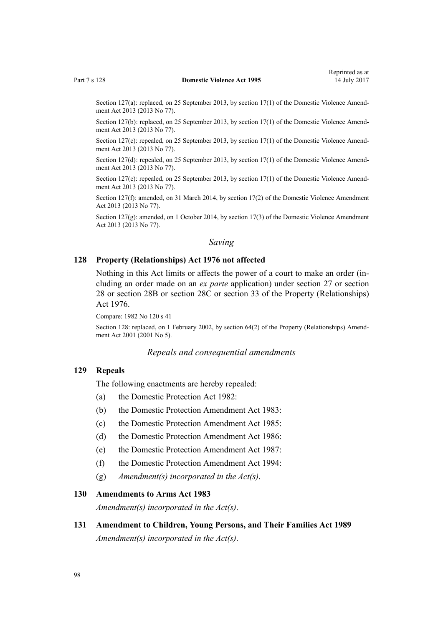Section 127(a): replaced, on 25 September 2013, by [section 17\(1\)](http://prd-lgnz-nlb.prd.pco.net.nz/pdflink.aspx?id=DLM5616706) of the Domestic Violence Amendment Act 2013 (2013 No 77).

Section 127(b): replaced, on 25 September 2013, by [section 17\(1\)](http://prd-lgnz-nlb.prd.pco.net.nz/pdflink.aspx?id=DLM5616706) of the Domestic Violence Amendment Act 2013 (2013 No 77).

Section 127(c): repealed, on 25 September 2013, by [section 17\(1\)](http://prd-lgnz-nlb.prd.pco.net.nz/pdflink.aspx?id=DLM5616706) of the Domestic Violence Amendment Act 2013 (2013 No 77).

Section 127(d): repealed, on 25 September 2013, by [section 17\(1\)](http://prd-lgnz-nlb.prd.pco.net.nz/pdflink.aspx?id=DLM5616706) of the Domestic Violence Amendment Act 2013 (2013 No 77).

Section 127(e): repealed, on 25 September 2013, by [section 17\(1\)](http://prd-lgnz-nlb.prd.pco.net.nz/pdflink.aspx?id=DLM5616706) of the Domestic Violence Amendment Act 2013 (2013 No 77).

Section 127(f): amended, on 31 March 2014, by [section 17\(2\)](http://prd-lgnz-nlb.prd.pco.net.nz/pdflink.aspx?id=DLM5616706) of the Domestic Violence Amendment Act 2013 (2013 No 77).

Section 127(g): amended, on 1 October 2014, by [section 17\(3\)](http://prd-lgnz-nlb.prd.pco.net.nz/pdflink.aspx?id=DLM5616706) of the Domestic Violence Amendment Act 2013 (2013 No 77).

# *Saving*

### **128 Property (Relationships) Act 1976 not affected**

Nothing in this Act limits or affects the power of a court to make an order (including an order made on an *ex parte* application) under [section 27](http://prd-lgnz-nlb.prd.pco.net.nz/pdflink.aspx?id=DLM441483) or [section](http://prd-lgnz-nlb.prd.pco.net.nz/pdflink.aspx?id=DLM441495) [28](http://prd-lgnz-nlb.prd.pco.net.nz/pdflink.aspx?id=DLM441495) or [section 28B](http://prd-lgnz-nlb.prd.pco.net.nz/pdflink.aspx?id=DLM441616) or [section 28C](http://prd-lgnz-nlb.prd.pco.net.nz/pdflink.aspx?id=DLM441619) or [section 33](http://prd-lgnz-nlb.prd.pco.net.nz/pdflink.aspx?id=DLM441660) of the Property (Relationships) Act 1976.

Compare: 1982 No 120 s 41

Section 128: replaced, on 1 February 2002, by [section 64\(2\)](http://prd-lgnz-nlb.prd.pco.net.nz/pdflink.aspx?id=DLM87570) of the Property (Relationships) Amendment Act 2001 (2001 No 5).

#### *Repeals and consequential amendments*

## **129 Repeals**

The following enactments are hereby repealed:

- (a) the Domestic Protection Act 1982:
- (b) the Domestic Protection Amendment Act 1983:
- (c) the Domestic Protection Amendment Act 1985:
- (d) the Domestic Protection Amendment Act 1986:
- (e) the Domestic Protection Amendment Act 1987:
- (f) the Domestic Protection Amendment Act 1994:
- (g) *Amendment(s) incorporated in the [Act\(s\)](http://prd-lgnz-nlb.prd.pco.net.nz/pdflink.aspx?id=DLM367240)*.

## **130 Amendments to Arms Act 1983**

*Amendment(s) incorporated in the [Act\(s\)](http://prd-lgnz-nlb.prd.pco.net.nz/pdflink.aspx?id=DLM72929)*.

**131 Amendment to Children, Young Persons, and Their Families Act 1989** *Amendment(s) incorporated in the [Act\(s\)](http://prd-lgnz-nlb.prd.pco.net.nz/pdflink.aspx?id=DLM151079)*.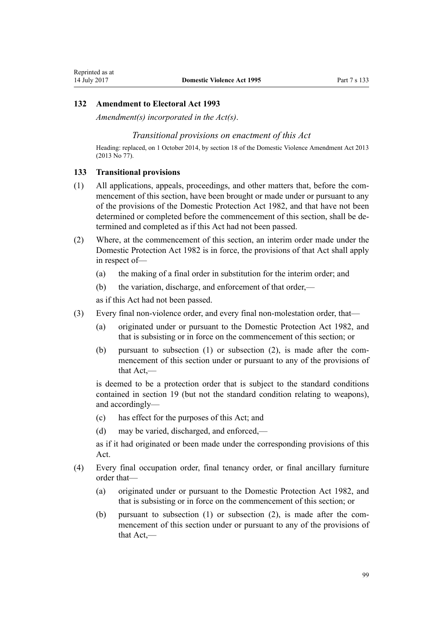## **132 Amendment to Electoral Act 1993**

*Amendment(s) incorporated in the [Act\(s\)](http://prd-lgnz-nlb.prd.pco.net.nz/pdflink.aspx?id=DLM309404)*.

## *Transitional provisions on enactment of this Act*

Heading: replaced, on 1 October 2014, by [section 18](http://prd-lgnz-nlb.prd.pco.net.nz/pdflink.aspx?id=DLM5616707) of the Domestic Violence Amendment Act 2013 (2013 No 77).

#### **133 Transitional provisions**

- (1) All applications, appeals, proceedings, and other matters that, before the commencement of this section, have been brought or made under or pursuant to any of the provisions of the Domestic Protection Act 1982, and that have not been determined or completed before the commencement of this section, shall be determined and completed as if this Act had not been passed.
- (2) Where, at the commencement of this section, an interim order made under the Domestic Protection Act 1982 is in force, the provisions of that Act shall apply in respect of—
	- (a) the making of a final order in substitution for the interim order; and
	- (b) the variation, discharge, and enforcement of that order,—

as if this Act had not been passed.

- (3) Every final non-violence order, and every final non-molestation order, that—
	- (a) originated under or pursuant to the Domestic Protection Act 1982, and that is subsisting or in force on the commencement of this section; or
	- (b) pursuant to subsection (1) or subsection (2), is made after the commencement of this section under or pursuant to any of the provisions of that Act,—

is deemed to be a protection order that is subject to the standard conditions contained in [section 19](#page-23-0) (but not the standard condition relating to weapons), and accordingly—

- (c) has effect for the purposes of this Act; and
- (d) may be varied, discharged, and enforced,—

as if it had originated or been made under the corresponding provisions of this Act.

- (4) Every final occupation order, final tenancy order, or final ancillary furniture order that—
	- (a) originated under or pursuant to the Domestic Protection Act 1982, and that is subsisting or in force on the commencement of this section; or
	- (b) pursuant to subsection (1) or subsection (2), is made after the commencement of this section under or pursuant to any of the provisions of that Act,—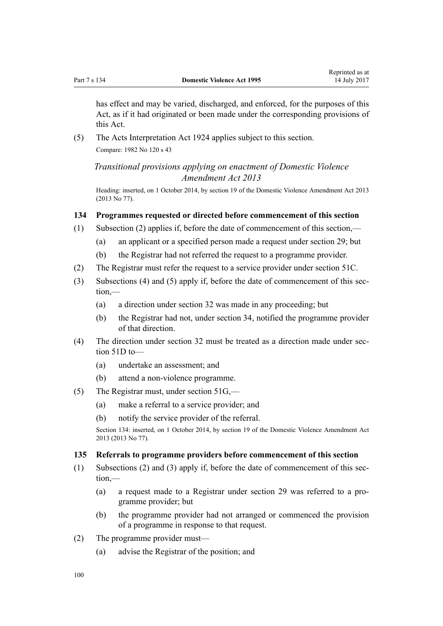has effect and may be varied, discharged, and enforced, for the purposes of this Act, as if it had originated or been made under the corresponding provisions of this Act.

(5) The Acts Interpretation Act 1924 applies subject to this section. Compare: 1982 No 120 s 43

*Transitional provisions applying on enactment of Domestic Violence Amendment Act 2013*

Heading: inserted, on 1 October 2014, by [section 19](http://prd-lgnz-nlb.prd.pco.net.nz/pdflink.aspx?id=DLM5616709) of the Domestic Violence Amendment Act 2013 (2013 No 77).

# **134 Programmes requested or directed before commencement of this section**

- (1) Subsection (2) applies if, before the date of commencement of this section,—
	- (a) an applicant or a specified person made a request under [section 29](#page-34-0); but
	- (b) the Registrar had not referred the request to a programme provider.
- (2) The Registrar must refer the request to a service provider under [section 51C.](#page-41-0)
- (3) Subsections (4) and (5) apply if, before the date of commencement of this section,—
	- (a) a direction under [section 32](#page-34-0) was made in any proceeding; but
	- (b) the Registrar had not, under [section 34,](#page-35-0) notified the programme provider of that direction.
- (4) The direction under [section 32](#page-34-0) must be treated as a direction made under [sec](#page-42-0)[tion 51D](#page-42-0) to—
	- (a) undertake an assessment; and
	- (b) attend a non-violence programme.
- (5) The Registrar must, under [section 51G](#page-43-0),—
	- (a) make a referral to a service provider; and
	- (b) notify the service provider of the referral.

Section 134: inserted, on 1 October 2014, by [section 19](http://prd-lgnz-nlb.prd.pco.net.nz/pdflink.aspx?id=DLM5616709) of the Domestic Violence Amendment Act 2013 (2013 No 77).

#### **135 Referrals to programme providers before commencement of this section**

- (1) Subsections (2) and (3) apply if, before the date of commencement of this section,—
	- (a) a request made to a Registrar under [section 29](#page-34-0) was referred to a programme provider; but
	- (b) the programme provider had not arranged or commenced the provision of a programme in response to that request.
- (2) The programme provider must—
	- (a) advise the Registrar of the position; and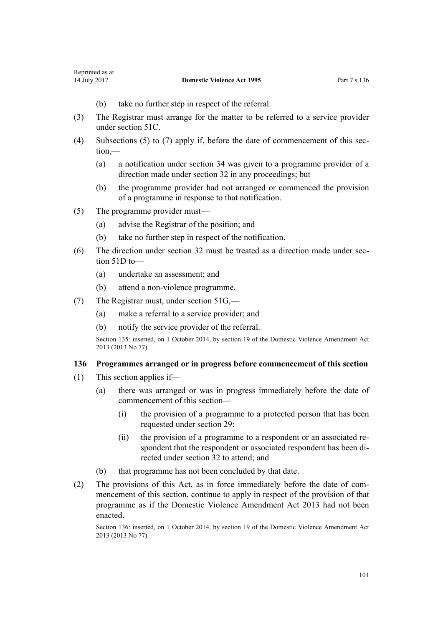- (b) take no further step in respect of the referral.
- (3) The Registrar must arrange for the matter to be referred to a service provider under [section 51C.](#page-41-0)
- (4) Subsections (5) to (7) apply if, before the date of commencement of this section,—
	- (a) a notification under [section 34](#page-35-0) was given to a programme provider of a direction made under [section 32](#page-34-0) in any proceedings; but
	- (b) the programme provider had not arranged or commenced the provision of a programme in response to that notification.
- (5) The programme provider must—
	- (a) advise the Registrar of the position; and
	- (b) take no further step in respect of the notification.
- (6) The direction under [section 32](#page-34-0) must be treated as a direction made under [sec](#page-42-0)[tion 51D](#page-42-0) to—
	- (a) undertake an assessment; and
	- (b) attend a non-violence programme.
- (7) The Registrar must, under [section 51G](#page-43-0),—
	- (a) make a referral to a service provider; and
	- (b) notify the service provider of the referral.

Section 135: inserted, on 1 October 2014, by [section 19](http://prd-lgnz-nlb.prd.pco.net.nz/pdflink.aspx?id=DLM5616709) of the Domestic Violence Amendment Act 2013 (2013 No 77).

## **136 Programmes arranged or in progress before commencement of this section**

- (1) This section applies if—
	- (a) there was arranged or was in progress immediately before the date of commencement of this section—
		- (i) the provision of a programme to a protected person that has been requested under [section 29](#page-34-0):
		- (ii) the provision of a programme to a respondent or an associated respondent that the respondent or associated respondent has been directed under [section 32](#page-34-0) to attend; and
	- (b) that programme has not been concluded by that date.
- (2) The provisions of this Act, as in force immediately before the date of commencement of this section, continue to apply in respect of the provision of that programme as if the [Domestic Violence Amendment Act 2013](http://prd-lgnz-nlb.prd.pco.net.nz/pdflink.aspx?id=DLM5615636) had not been enacted.

Section 136: inserted, on 1 October 2014, by [section 19](http://prd-lgnz-nlb.prd.pco.net.nz/pdflink.aspx?id=DLM5616709) of the Domestic Violence Amendment Act 2013 (2013 No 77).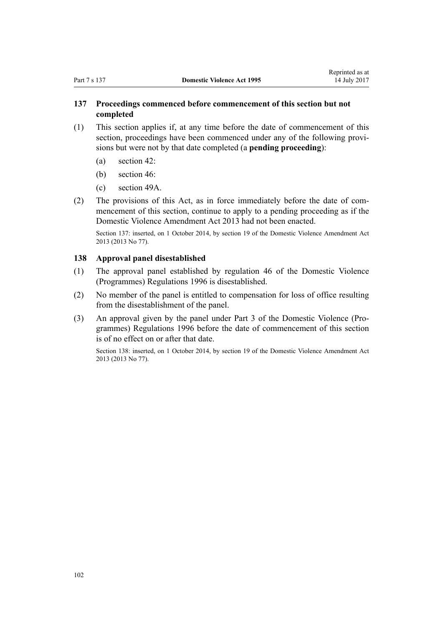# **137 Proceedings commenced before commencement of this section but not completed**

- (1) This section applies if, at any time before the date of commencement of this section, proceedings have been commenced under any of the following provisions but were not by that date completed (a **pending proceeding**):
	- (a) [section 42](#page-36-0):
	- (b) [section 46](#page-36-0):
	- (c) [section 49A](#page-39-0).
- (2) The provisions of this Act, as in force immediately before the date of commencement of this section, continue to apply to a pending proceeding as if the [Domestic Violence Amendment Act 2013](http://prd-lgnz-nlb.prd.pco.net.nz/pdflink.aspx?id=DLM5615636) had not been enacted.

Section 137: inserted, on 1 October 2014, by [section 19](http://prd-lgnz-nlb.prd.pco.net.nz/pdflink.aspx?id=DLM5616709) of the Domestic Violence Amendment Act 2013 (2013 No 77).

## **138 Approval panel disestablished**

- (1) The approval panel established by [regulation 46](http://prd-lgnz-nlb.prd.pco.net.nz/pdflink.aspx?id=DLM214897) of the Domestic Violence (Programmes) Regulations 1996 is disestablished.
- (2) No member of the panel is entitled to compensation for loss of office resulting from the disestablishment of the panel.
- (3) An approval given by the panel under [Part 3](http://prd-lgnz-nlb.prd.pco.net.nz/pdflink.aspx?id=DLM214806) of the Domestic Violence (Programmes) Regulations 1996 before the date of commencement of this section is of no effect on or after that date.

Section 138: inserted, on 1 October 2014, by [section 19](http://prd-lgnz-nlb.prd.pco.net.nz/pdflink.aspx?id=DLM5616709) of the Domestic Violence Amendment Act 2013 (2013 No 77).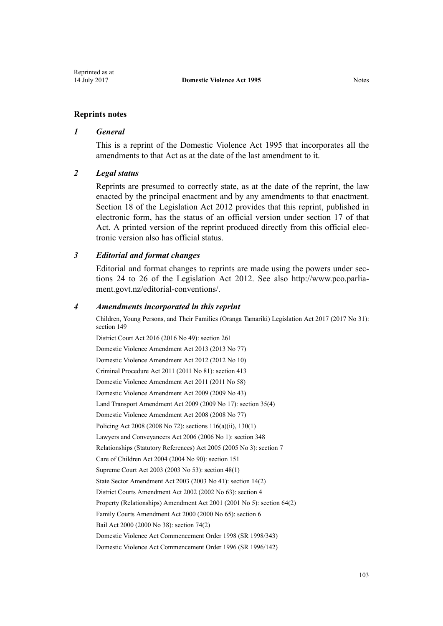#### **Reprints notes**

#### *1 General*

This is a reprint of the Domestic Violence Act 1995 that incorporates all the amendments to that Act as at the date of the last amendment to it.

#### *2 Legal status*

Reprints are presumed to correctly state, as at the date of the reprint, the law enacted by the principal enactment and by any amendments to that enactment. [Section 18](http://prd-lgnz-nlb.prd.pco.net.nz/pdflink.aspx?id=DLM2998516) of the Legislation Act 2012 provides that this reprint, published in electronic form, has the status of an official version under [section 17](http://prd-lgnz-nlb.prd.pco.net.nz/pdflink.aspx?id=DLM2998515) of that Act. A printed version of the reprint produced directly from this official electronic version also has official status.

#### *3 Editorial and format changes*

Editorial and format changes to reprints are made using the powers under [sec](http://prd-lgnz-nlb.prd.pco.net.nz/pdflink.aspx?id=DLM2998532)[tions 24 to 26](http://prd-lgnz-nlb.prd.pco.net.nz/pdflink.aspx?id=DLM2998532) of the Legislation Act 2012. See also [http://www.pco.parlia](http://www.pco.parliament.govt.nz/editorial-conventions/)[ment.govt.nz/editorial-conventions/](http://www.pco.parliament.govt.nz/editorial-conventions/).

#### *4 Amendments incorporated in this reprint*

Children, Young Persons, and Their Families (Oranga Tamariki) Legislation Act 2017 (2017 No 31): [section 149](http://prd-lgnz-nlb.prd.pco.net.nz/pdflink.aspx?id=DLM7287401)

District Court Act 2016 (2016 No 49): [section 261](http://prd-lgnz-nlb.prd.pco.net.nz/pdflink.aspx?id=DLM6942680)

[Domestic Violence Amendment Act 2013](http://prd-lgnz-nlb.prd.pco.net.nz/pdflink.aspx?id=DLM5615636) (2013 No 77)

[Domestic Violence Amendment Act 2012](http://prd-lgnz-nlb.prd.pco.net.nz/pdflink.aspx?id=DLM4014200) (2012 No 10) Criminal Procedure Act 2011 (2011 No 81): [section 413](http://prd-lgnz-nlb.prd.pco.net.nz/pdflink.aspx?id=DLM3360714)

[Domestic Violence Amendment Act 2011](http://prd-lgnz-nlb.prd.pco.net.nz/pdflink.aspx?id=DLM2295900) (2011 No 58)

[Domestic Violence Amendment Act 2009](http://prd-lgnz-nlb.prd.pco.net.nz/pdflink.aspx?id=DLM1774200) (2009 No 43)

Land Transport Amendment Act 2009 (2009 No 17): [section 35\(4\)](http://prd-lgnz-nlb.prd.pco.net.nz/pdflink.aspx?id=DLM2015063)

[Domestic Violence Amendment Act 2008](http://prd-lgnz-nlb.prd.pco.net.nz/pdflink.aspx?id=DLM1302102) (2008 No 77)

Policing Act 2008 (2008 No 72): [sections 116\(a\)\(ii\),](http://prd-lgnz-nlb.prd.pco.net.nz/pdflink.aspx?id=DLM1102349) [130\(1\)](http://prd-lgnz-nlb.prd.pco.net.nz/pdflink.aspx?id=DLM1102383)

Lawyers and Conveyancers Act 2006 (2006 No 1): [section 348](http://prd-lgnz-nlb.prd.pco.net.nz/pdflink.aspx?id=DLM367849)

Relationships (Statutory References) Act 2005 (2005 No 3): [section 7](http://prd-lgnz-nlb.prd.pco.net.nz/pdflink.aspx?id=DLM333795)

Care of Children Act 2004 (2004 No 90): [section 151](http://prd-lgnz-nlb.prd.pco.net.nz/pdflink.aspx?id=DLM317988)

Supreme Court Act 2003 (2003 No 53): [section 48\(1\)](http://prd-lgnz-nlb.prd.pco.net.nz/pdflink.aspx?id=DLM214522)

State Sector Amendment Act 2003 (2003 No 41): [section 14\(2\)](http://prd-lgnz-nlb.prd.pco.net.nz/pdflink.aspx?id=DLM201378)

District Courts Amendment Act 2002 (2002 No 63): [section 4](http://prd-lgnz-nlb.prd.pco.net.nz/pdflink.aspx?id=DLM168713)

Property (Relationships) Amendment Act 2001 (2001 No 5): [section 64\(2\)](http://prd-lgnz-nlb.prd.pco.net.nz/pdflink.aspx?id=DLM87570)

Family Courts Amendment Act 2000 (2000 No 65): [section 6](http://prd-lgnz-nlb.prd.pco.net.nz/pdflink.aspx?id=DLM76831)

Bail Act 2000 (2000 No 38): [section 74\(2\)](http://prd-lgnz-nlb.prd.pco.net.nz/pdflink.aspx?id=DLM69643)

[Domestic Violence Act Commencement Order 1998](http://prd-lgnz-nlb.prd.pco.net.nz/pdflink.aspx?id=DLM264465) (SR 1998/343)

[Domestic Violence Act Commencement Order 1996](http://prd-lgnz-nlb.prd.pco.net.nz/pdflink.aspx?id=DLM212125) (SR 1996/142)